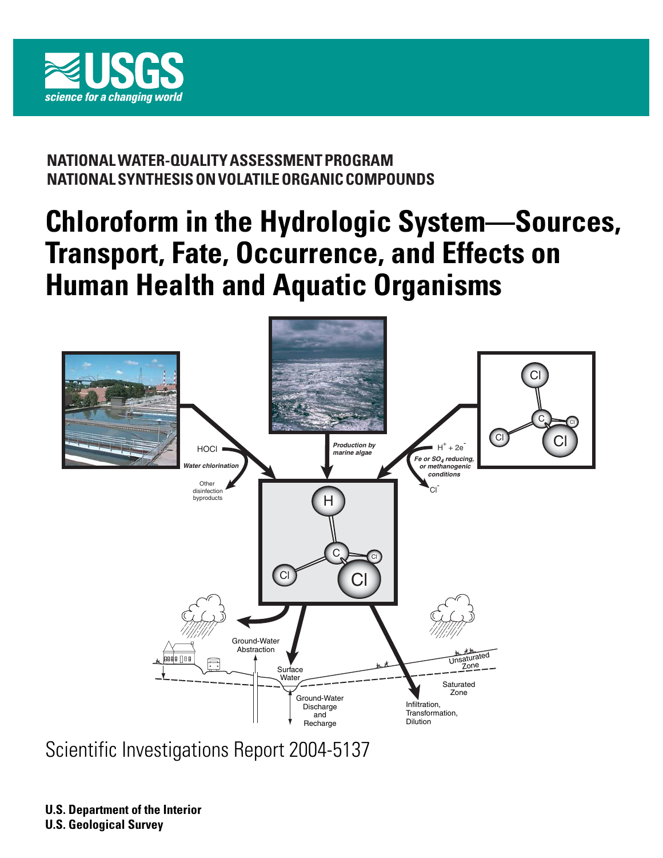

### **NATIONAL WATER-QUALITY ASSESSMENT PROGRAM NATIONAL SYNTHESIS ON VOLATILE ORGANIC COMPOUNDS**

# **Chloroform in the Hydrologic System—Sources, Transport, Fate, Occurrence, and Effects on Human Health and Aquatic Organisms**



Scientific Investigations Report 2004-5137

**U.S. Department of the Interior U.S. Geological Survey**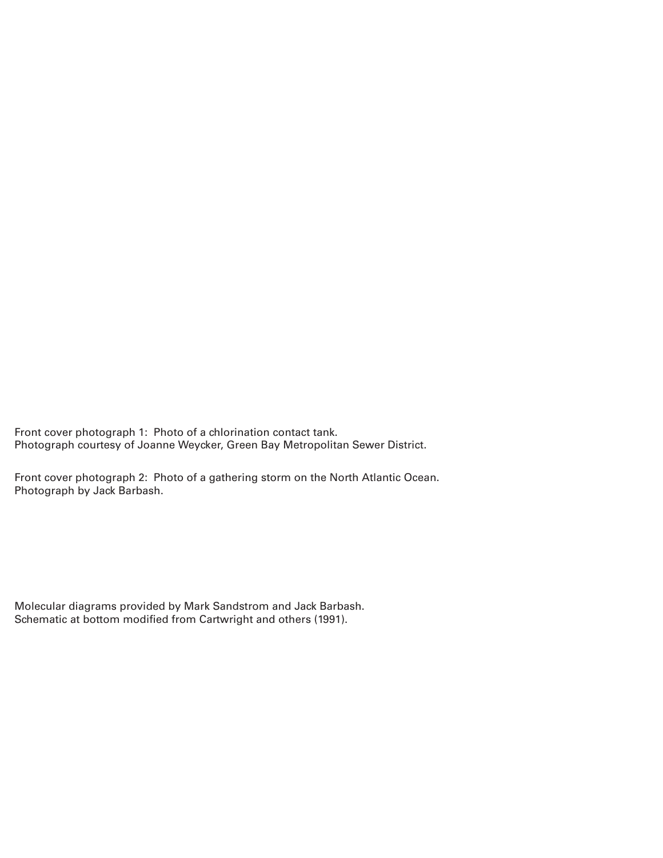Front cover photograph 1: Photo of a chlorination contact tank. Photograph courtesy of Joanne Weycker, Green Bay Metropolitan Sewer District.

Front cover photograph 2: Photo of a gathering storm on the North Atlantic Ocean. Photograph by Jack Barbash.

Molecular diagrams provided by Mark Sandstrom and Jack Barbash. Schematic at bottom modified from Cartwright and others (1991).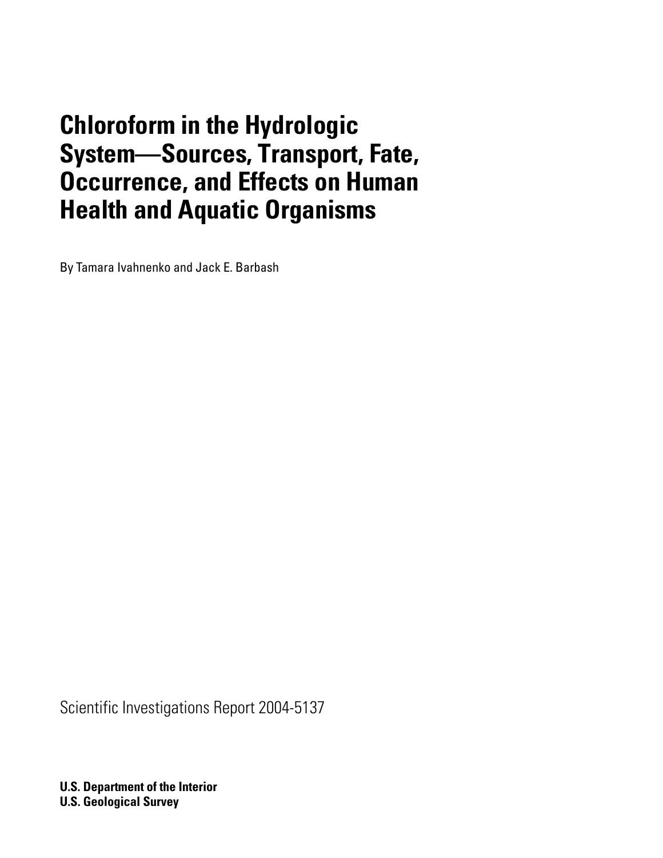# **Chloroform in the Hydrologic System—Sources, Transport, Fate, Occurrence, and Effects on Human Health and Aquatic Organisms**

By Tamara Ivahnenko and Jack E. Barbash

Scientific Investigations Report 2004-5137

**U.S. Department of the Interior U.S. Geological Survey**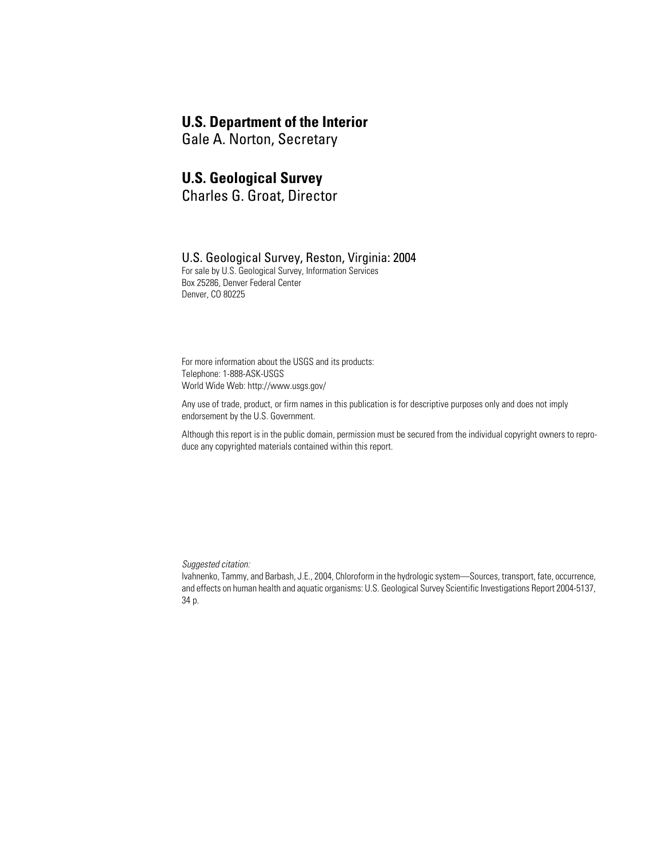### **U.S. Department of the Interior**

Gale A. Norton, Secretary

### **U.S. Geological Survey**

Charles G. Groat, Director

### U.S. Geological Survey, Reston, Virginia: 2004

For sale by U.S. Geological Survey, Information Services Box 25286, Denver Federal Center Denver, CO 80225

For more information about the USGS and its products: Telephone: 1-888-ASK-USGS World Wide Web: http://www.usgs.gov/

Any use of trade, product, or firm names in this publication is for descriptive purposes only and does not imply endorsement by the U.S. Government.

Although this report is in the public domain, permission must be secured from the individual copyright owners to reproduce any copyrighted materials contained within this report.

*Suggested citation:*

Ivahnenko, Tammy, and Barbash, J.E., 2004, Chloroform in the hydrologic system—Sources, transport, fate, occurrence, and effects on human health and aquatic organisms: U.S. Geological Survey Scientific Investigations Report 2004-5137, 34 p.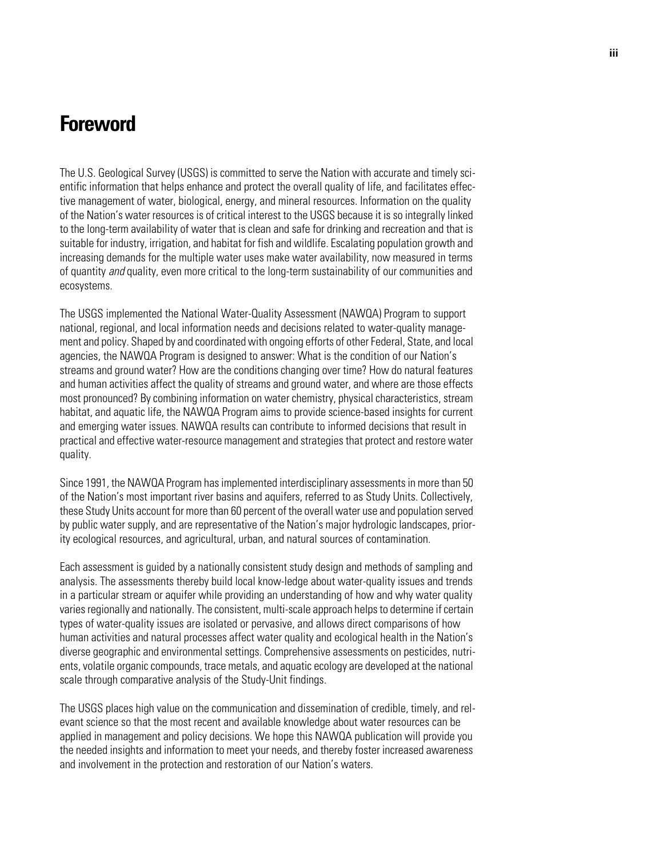### **Foreword**

The U.S. Geological Survey (USGS) is committed to serve the Nation with accurate and timely scientific information that helps enhance and protect the overall quality of life, and facilitates effective management of water, biological, energy, and mineral resources. Information on the quality of the Nation's water resources is of critical interest to the USGS because it is so integrally linked to the long-term availability of water that is clean and safe for drinking and recreation and that is suitable for industry, irrigation, and habitat for fish and wildlife. Escalating population growth and increasing demands for the multiple water uses make water availability, now measured in terms of quantity *and* quality, even more critical to the long-term sustainability of our communities and ecosystems.

The USGS implemented the National Water-Quality Assessment (NAWQA) Program to support national, regional, and local information needs and decisions related to water-quality management and policy. Shaped by and coordinated with ongoing efforts of other Federal, State, and local agencies, the NAWQA Program is designed to answer: What is the condition of our Nation's streams and ground water? How are the conditions changing over time? How do natural features and human activities affect the quality of streams and ground water, and where are those effects most pronounced? By combining information on water chemistry, physical characteristics, stream habitat, and aquatic life, the NAWQA Program aims to provide science-based insights for current and emerging water issues. NAWQA results can contribute to informed decisions that result in practical and effective water-resource management and strategies that protect and restore water quality.

Since 1991, the NAWQA Program has implemented interdisciplinary assessments in more than 50 of the Nation's most important river basins and aquifers, referred to as Study Units. Collectively, these Study Units account for more than 60 percent of the overall water use and population served by public water supply, and are representative of the Nation's major hydrologic landscapes, priority ecological resources, and agricultural, urban, and natural sources of contamination.

Each assessment is guided by a nationally consistent study design and methods of sampling and analysis. The assessments thereby build local know-ledge about water-quality issues and trends in a particular stream or aquifer while providing an understanding of how and why water quality varies regionally and nationally. The consistent, multi-scale approach helps to determine if certain types of water-quality issues are isolated or pervasive, and allows direct comparisons of how human activities and natural processes affect water quality and ecological health in the Nation's diverse geographic and environmental settings. Comprehensive assessments on pesticides, nutrients, volatile organic compounds, trace metals, and aquatic ecology are developed at the national scale through comparative analysis of the Study-Unit findings.

The USGS places high value on the communication and dissemination of credible, timely, and relevant science so that the most recent and available knowledge about water resources can be applied in management and policy decisions. We hope this NAWQA publication will provide you the needed insights and information to meet your needs, and thereby foster increased awareness and involvement in the protection and restoration of our Nation's waters.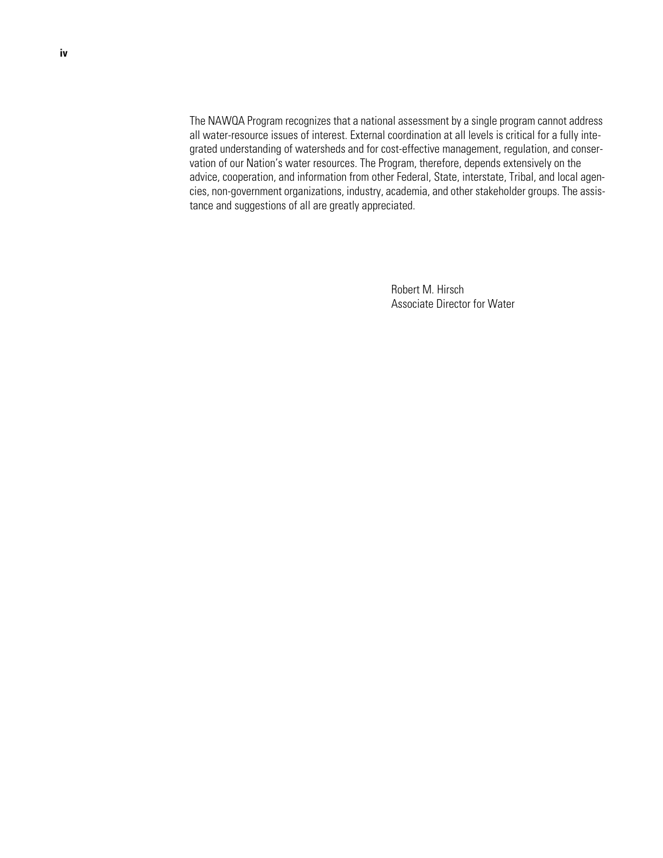The NAWQA Program recognizes that a national assessment by a single program cannot address all water-resource issues of interest. External coordination at all levels is critical for a fully integrated understanding of watersheds and for cost-effective management, regulation, and conservation of our Nation's water resources. The Program, therefore, depends extensively on the advice, cooperation, and information from other Federal, State, interstate, Tribal, and local agencies, non-government organizations, industry, academia, and other stakeholder groups. The assistance and suggestions of all are greatly appreciated.

> Robert M. Hirsch Associate Director for Water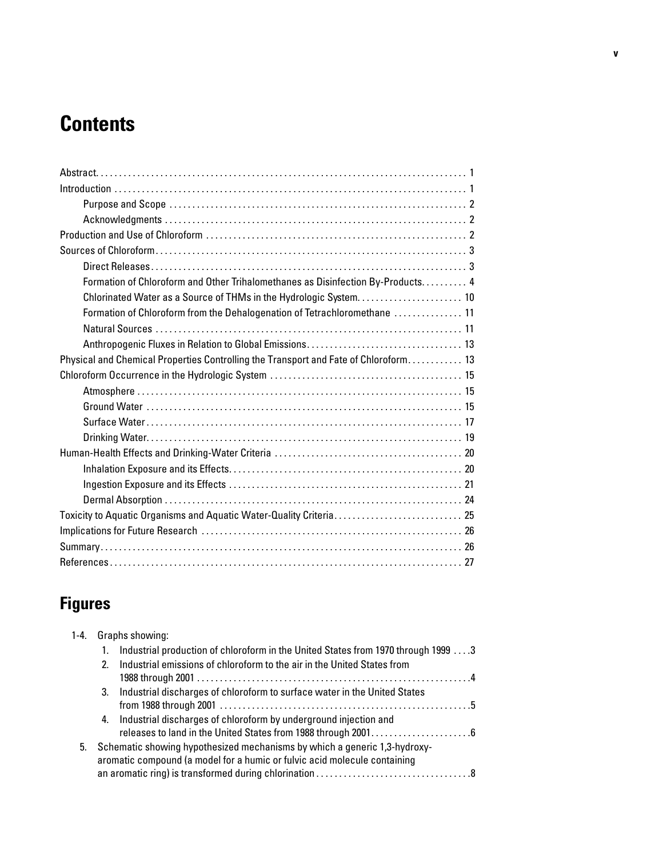# **Contents**

| Formation of Chloroform and Other Trihalomethanes as Disinfection By-Products 4      |  |
|--------------------------------------------------------------------------------------|--|
| Chlorinated Water as a Source of THMs in the Hydrologic System 10                    |  |
| Formation of Chloroform from the Dehalogenation of Tetrachloromethane  11            |  |
|                                                                                      |  |
|                                                                                      |  |
| Physical and Chemical Properties Controlling the Transport and Fate of Chloroform 13 |  |
|                                                                                      |  |
|                                                                                      |  |
|                                                                                      |  |
|                                                                                      |  |
|                                                                                      |  |
|                                                                                      |  |
|                                                                                      |  |
|                                                                                      |  |
|                                                                                      |  |
|                                                                                      |  |
|                                                                                      |  |
|                                                                                      |  |
|                                                                                      |  |

## **Figures**

| $1 - 4.$ |                | Graphs showing:                                                                                                                                        |  |
|----------|----------------|--------------------------------------------------------------------------------------------------------------------------------------------------------|--|
|          |                | Industrial production of chloroform in the United States from 1970 through 1999 3                                                                      |  |
|          | 2 <sub>1</sub> | Industrial emissions of chloroform to the air in the United States from                                                                                |  |
|          | 3.             | Industrial discharges of chloroform to surface water in the United States                                                                              |  |
|          | 4.             | Industrial discharges of chloroform by underground injection and                                                                                       |  |
| 5.       |                | Schematic showing hypothesized mechanisms by which a generic 1,3-hydroxy-<br>aromatic compound (a model for a humic or fulvic acid molecule containing |  |
|          |                |                                                                                                                                                        |  |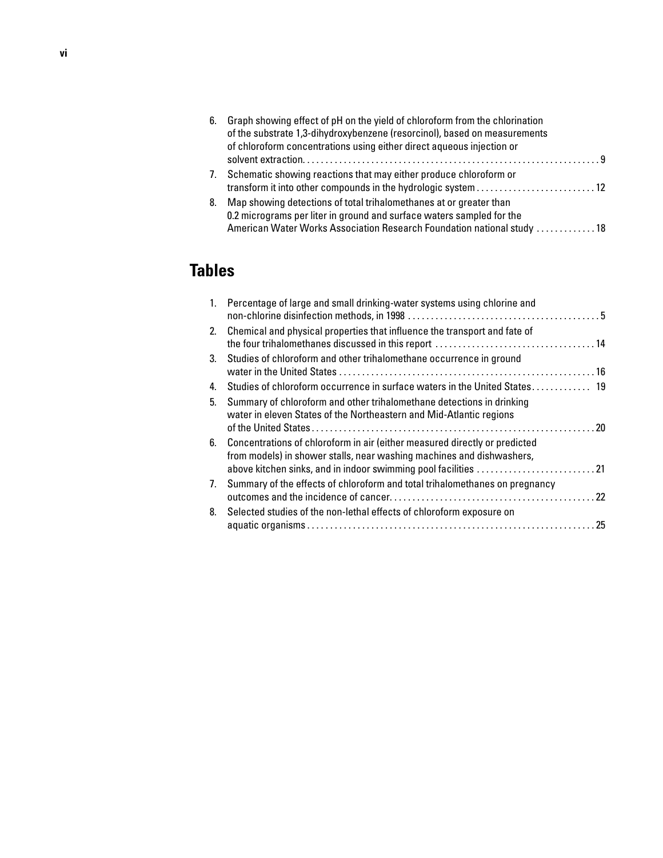| 6. | Graph showing effect of pH on the yield of chloroform from the chlorination |  |
|----|-----------------------------------------------------------------------------|--|
|    | of the substrate 1,3-dihydroxybenzene (resorcinol), based on measurements   |  |
|    | of chloroform concentrations using either direct aqueous injection or       |  |
|    |                                                                             |  |
| 7. | Schematic showing reactions that may either produce chloroform or           |  |
|    | transform it into other compounds in the hydrologic system 12               |  |
| 8. | Map showing detections of total trihalomethanes at or greater than          |  |
|    | 0.2 micrograms per liter in ground and surface waters sampled for the       |  |
|    | American Water Works Association Research Foundation national study  18     |  |

## **Tables**

|    | 1. Percentage of large and small drinking-water systems using chlorine and                                                                                                                                            |  |
|----|-----------------------------------------------------------------------------------------------------------------------------------------------------------------------------------------------------------------------|--|
|    | 2. Chemical and physical properties that influence the transport and fate of                                                                                                                                          |  |
| 3. | Studies of chloroform and other trihalomethane occurrence in ground                                                                                                                                                   |  |
| 4. | Studies of chloroform occurrence in surface waters in the United States 19                                                                                                                                            |  |
| 5. | Summary of chloroform and other trihalomethane detections in drinking<br>water in eleven States of the Northeastern and Mid-Atlantic regions                                                                          |  |
| 6. | Concentrations of chloroform in air (either measured directly or predicted<br>from models) in shower stalls, near washing machines and dishwashers,<br>above kitchen sinks, and in indoor swimming pool facilities 21 |  |
| 7. | Summary of the effects of chloroform and total trihalomethanes on pregnancy                                                                                                                                           |  |
| 8. | Selected studies of the non-lethal effects of chloroform exposure on                                                                                                                                                  |  |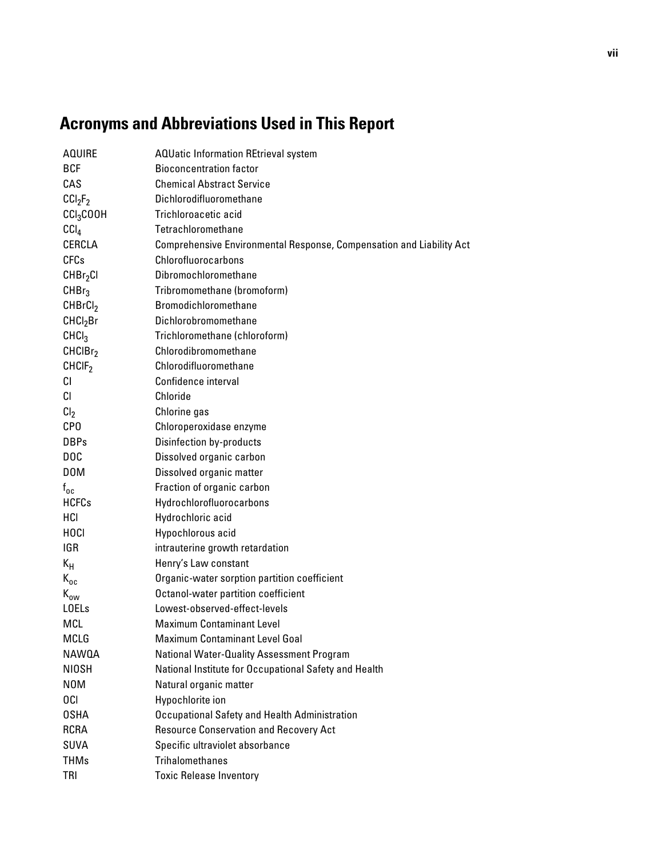# **Acronyms and Abbreviations Used in This Report**

| <b>AQUIRE</b>                   | <b>AQUatic Information REtrieval system</b>                          |
|---------------------------------|----------------------------------------------------------------------|
| <b>BCF</b>                      | <b>Bioconcentration factor</b>                                       |
| CAS                             | <b>Chemical Abstract Service</b>                                     |
| CCI <sub>2</sub> F <sub>2</sub> | Dichlorodifluoromethane                                              |
| CCI <sub>3</sub> COOH           | Trichloroacetic acid                                                 |
| CCI <sub>4</sub>                | Tetrachloromethane                                                   |
| CERCLA                          | Comprehensive Environmental Response, Compensation and Liability Act |
| <b>CFCs</b>                     | Chlorofluorocarbons                                                  |
| CHBr <sub>2</sub> CI            | Dibromochloromethane                                                 |
| CHBr <sub>3</sub>               | Tribromomethane (bromoform)                                          |
| CHBrCl <sub>2</sub>             | Bromodichloromethane                                                 |
| CHCl <sub>2</sub> Br            | Dichlorobromomethane                                                 |
| CHCl <sub>3</sub>               | Trichloromethane (chloroform)                                        |
| CHCIBr <sub>2</sub>             | Chlorodibromomethane                                                 |
| CHCIF <sub>2</sub>              | Chlorodifluoromethane                                                |
| CI                              | Confidence interval                                                  |
| <b>CI</b>                       | Chloride                                                             |
| Cl <sub>2</sub>                 | Chlorine gas                                                         |
| CP <sub>0</sub>                 | Chloroperoxidase enzyme                                              |
| <b>DBPs</b>                     | <b>Disinfection by-products</b>                                      |
| D <sub>O</sub> C                | Dissolved organic carbon                                             |
| D <sub>0</sub> M                | Dissolved organic matter                                             |
| $f_{oc}$                        | Fraction of organic carbon                                           |
| <b>HCFCs</b>                    | Hydrochlorofluorocarbons                                             |
| HCI                             | Hydrochloric acid                                                    |
| <b>HOCI</b>                     | Hypochlorous acid                                                    |
| <b>IGR</b>                      | intrauterine growth retardation                                      |
| $K_H$                           | Henry's Law constant                                                 |
| $K_{oc}$                        | Organic-water sorption partition coefficient                         |
| $K_{ow}$                        | Octanol-water partition coefficient                                  |
| <b>LOELs</b>                    | Lowest-observed-effect-levels                                        |
| MCL                             | <b>Maximum Contaminant Level</b>                                     |
| MCLG                            | <b>Maximum Contaminant Level Goal</b>                                |
| NAWQA                           | National Water-Quality Assessment Program                            |
| NIOSH                           | National Institute for Occupational Safety and Health                |
| N <sub>0</sub> M                | Natural organic matter                                               |
| 0CI                             | Hypochlorite ion                                                     |
| <b>OSHA</b>                     | <b>Occupational Safety and Health Administration</b>                 |
| <b>RCRA</b>                     | <b>Resource Conservation and Recovery Act</b>                        |
| SUVA                            | Specific ultraviolet absorbance                                      |
| <b>THMs</b>                     | <b>Trihalomethanes</b>                                               |
| <b>TRI</b>                      | <b>Toxic Release Inventory</b>                                       |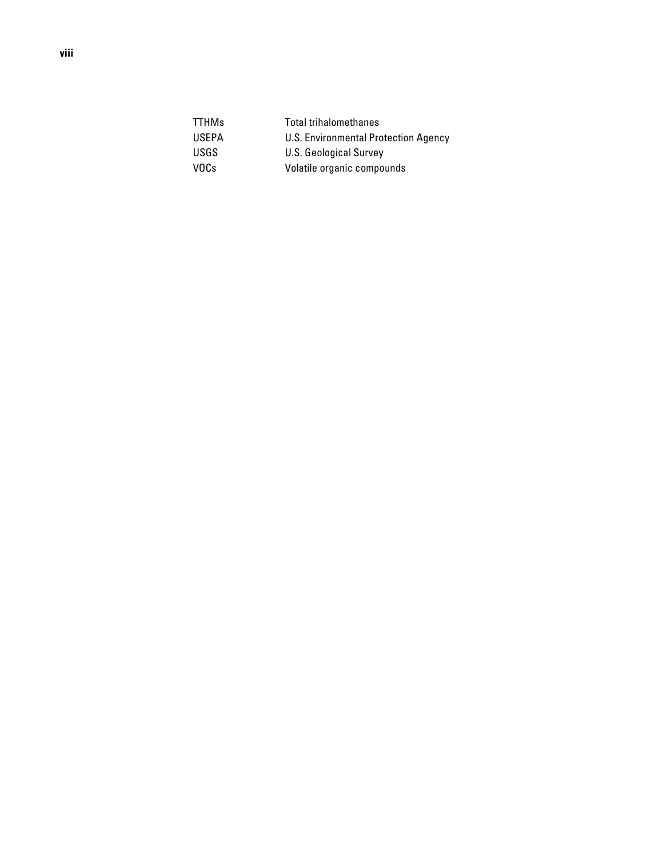| <b>TTHMs</b> | <b>Total trihalomethanes</b>         |
|--------------|--------------------------------------|
| <b>USEPA</b> | U.S. Environmental Protection Agency |
| USGS.        | U.S. Geological Survey               |
| VOCs         | Volatile organic compounds           |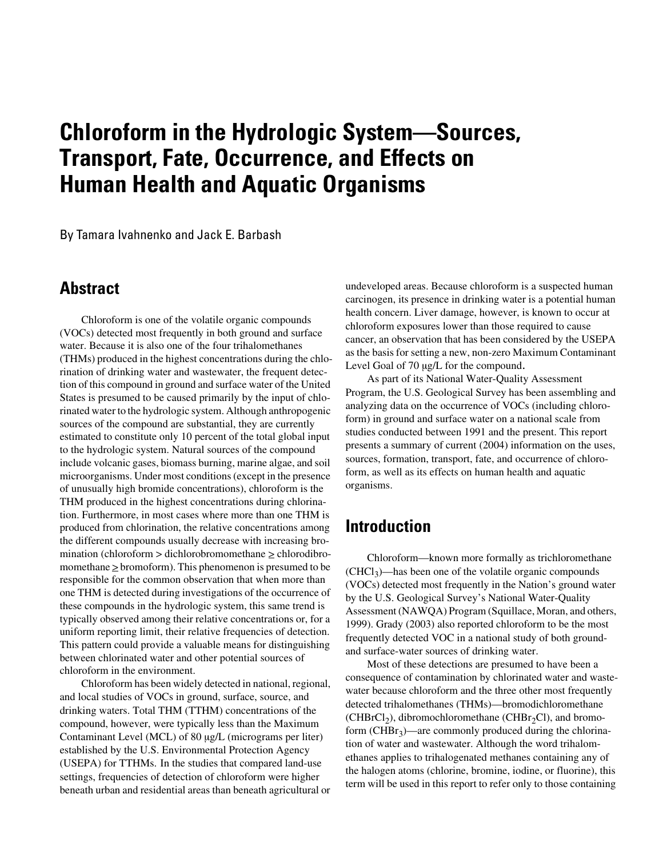# **Chloroform in the Hydrologic System—Sources, Transport, Fate, Occurrence, and Effects on Human Health and Aquatic Organisms**

By Tamara Ivahnenko and Jack E. Barbash

### <span id="page-10-0"></span>**Abstract**

Chloroform is one of the volatile organic compounds (VOCs) detected most frequently in both ground and surface water. Because it is also one of the four trihalomethanes (THMs) produced in the highest concentrations during the chlorination of drinking water and wastewater, the frequent detection of this compound in ground and surface water of the United States is presumed to be caused primarily by the input of chlorinated water to the hydrologic system. Although anthropogenic sources of the compound are substantial, they are currently estimated to constitute only 10 percent of the total global input to the hydrologic system. Natural sources of the compound include volcanic gases, biomass burning, marine algae, and soil microorganisms. Under most conditions (except in the presence of unusually high bromide concentrations), chloroform is the THM produced in the highest concentrations during chlorination. Furthermore, in most cases where more than one THM is produced from chlorination, the relative concentrations among the different compounds usually decrease with increasing bromination (chloroform  $>$  dichlorobromomethane  $\geq$  chlorodibromomethane  $\geq$  bromoform). This phenomenon is presumed to be responsible for the common observation that when more than one THM is detected during investigations of the occurrence of these compounds in the hydrologic system, this same trend is typically observed among their relative concentrations or, for a uniform reporting limit, their relative frequencies of detection. This pattern could provide a valuable means for distinguishing between chlorinated water and other potential sources of chloroform in the environment.

Chloroform has been widely detected in national, regional, and local studies of VOCs in ground, surface, source, and drinking waters. Total THM (TTHM) concentrations of the compound, however, were typically less than the Maximum Contaminant Level (MCL) of 80 µg/L (micrograms per liter) established by the U.S. Environmental Protection Agency (USEPA) for TTHMs. In the studies that compared land-use settings, frequencies of detection of chloroform were higher beneath urban and residential areas than beneath agricultural or undeveloped areas. Because chloroform is a suspected human carcinogen, its presence in drinking water is a potential human health concern. Liver damage, however, is known to occur at chloroform exposures lower than those required to cause cancer, an observation that has been considered by the USEPA as the basis for setting a new, non-zero Maximum Contaminant Level Goal of 70  $\mu$ g/L for the compound.

As part of its National Water-Quality Assessment Program, the U.S. Geological Survey has been assembling and analyzing data on the occurrence of VOCs (including chloroform) in ground and surface water on a national scale from studies conducted between 1991 and the present. This report presents a summary of current (2004) information on the uses, sources, formation, transport, fate, and occurrence of chloroform, as well as its effects on human health and aquatic organisms.

### <span id="page-10-1"></span>**Introduction**

Chloroform—known more formally as trichloromethane  $(CHCl<sub>3</sub>)$ —has been one of the volatile organic compounds (VOCs) detected most frequently in the Nation's ground water by the U.S. Geological Survey's National Water-Quality Assessment (NAWQA) Program (Squillace, Moran, and others, 1999). Grady (2003) also reported chloroform to be the most frequently detected VOC in a national study of both groundand surface-water sources of drinking water.

Most of these detections are presumed to have been a consequence of contamination by chlorinated water and wastewater because chloroform and the three other most frequently detected trihalomethanes (THMs)—bromodichloromethane  $(CHBrCl<sub>2</sub>)$ , dibromochloromethane (CHBr<sub>2</sub>Cl), and bromoform  $(CHBr<sub>3</sub>)$ —are commonly produced during the chlorination of water and wastewater. Although the word trihalomethanes applies to trihalogenated methanes containing any of the halogen atoms (chlorine, bromine, iodine, or fluorine), this term will be used in this report to refer only to those containing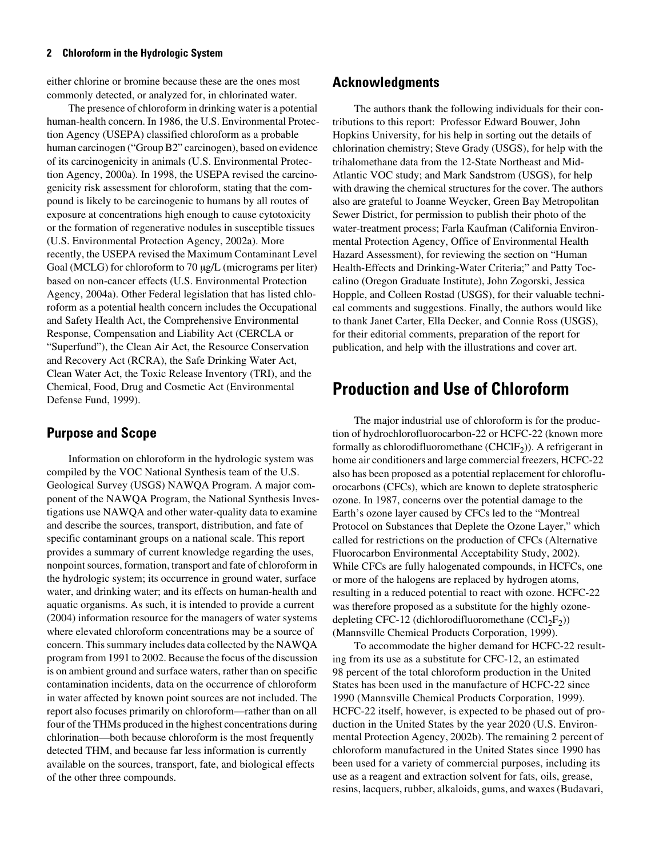either chlorine or bromine because these are the ones most commonly detected, or analyzed for, in chlorinated water.

The presence of chloroform in drinking water is a potential human-health concern. In 1986, the U.S. Environmental Protection Agency (USEPA) classified chloroform as a probable human carcinogen ("Group B2" carcinogen), based on evidence of its carcinogenicity in animals (U.S. Environmental Protection Agency, 2000a). In 1998, the USEPA revised the carcinogenicity risk assessment for chloroform, stating that the compound is likely to be carcinogenic to humans by all routes of exposure at concentrations high enough to cause cytotoxicity or the formation of regenerative nodules in susceptible tissues (U.S. Environmental Protection Agency, 2002a). More recently, the USEPA revised the Maximum Contaminant Level Goal (MCLG) for chloroform to 70 µg/L (micrograms per liter) based on non-cancer effects (U.S. Environmental Protection Agency, 2004a). Other Federal legislation that has listed chloroform as a potential health concern includes the Occupational and Safety Health Act, the Comprehensive Environmental Response, Compensation and Liability Act (CERCLA or "Superfund"), the Clean Air Act, the Resource Conservation and Recovery Act (RCRA), the Safe Drinking Water Act, Clean Water Act, the Toxic Release Inventory (TRI), and the Chemical, Food, Drug and Cosmetic Act (Environmental Defense Fund, 1999).

### <span id="page-11-0"></span>**Purpose and Scope**

Information on chloroform in the hydrologic system was compiled by the VOC National Synthesis team of the U.S. Geological Survey (USGS) NAWQA Program. A major component of the NAWQA Program, the National Synthesis Investigations use NAWQA and other water-quality data to examine and describe the sources, transport, distribution, and fate of specific contaminant groups on a national scale. This report provides a summary of current knowledge regarding the uses, nonpoint sources, formation, transport and fate of chloroform in the hydrologic system; its occurrence in ground water, surface water, and drinking water; and its effects on human-health and aquatic organisms. As such, it is intended to provide a current (2004) information resource for the managers of water systems where elevated chloroform concentrations may be a source of concern. This summary includes data collected by the NAWQA program from 1991 to 2002. Because the focus of the discussion is on ambient ground and surface waters, rather than on specific contamination incidents, data on the occurrence of chloroform in water affected by known point sources are not included. The report also focuses primarily on chloroform—rather than on all four of the THMs produced in the highest concentrations during chlorination—both because chloroform is the most frequently detected THM, and because far less information is currently available on the sources, transport, fate, and biological effects of the other three compounds.

### <span id="page-11-1"></span>**Acknowledgments**

The authors thank the following individuals for their contributions to this report: Professor Edward Bouwer, John Hopkins University, for his help in sorting out the details of chlorination chemistry; Steve Grady (USGS), for help with the trihalomethane data from the 12-State Northeast and Mid-Atlantic VOC study; and Mark Sandstrom (USGS), for help with drawing the chemical structures for the cover. The authors also are grateful to Joanne Weycker, Green Bay Metropolitan Sewer District, for permission to publish their photo of the water-treatment process; Farla Kaufman (California Environmental Protection Agency, Office of Environmental Health Hazard Assessment), for reviewing the section on "Human Health-Effects and Drinking-Water Criteria;" and Patty Toccalino (Oregon Graduate Institute), John Zogorski, Jessica Hopple, and Colleen Rostad (USGS), for their valuable technical comments and suggestions. Finally, the authors would like to thank Janet Carter, Ella Decker, and Connie Ross (USGS), for their editorial comments, preparation of the report for publication, and help with the illustrations and cover art.

### <span id="page-11-2"></span>**Production and Use of Chloroform**

The major industrial use of chloroform is for the production of hydrochlorofluorocarbon-22 or HCFC-22 (known more formally as chlorodifluoromethane  $(CHCIF<sub>2</sub>)$ ). A refrigerant in home air conditioners and large commercial freezers, HCFC-22 also has been proposed as a potential replacement for chlorofluorocarbons (CFCs), which are known to deplete stratospheric ozone. In 1987, concerns over the potential damage to the Earth's ozone layer caused by CFCs led to the "Montreal Protocol on Substances that Deplete the Ozone Layer," which called for restrictions on the production of CFCs (Alternative Fluorocarbon Environmental Acceptability Study, 2002). While CFCs are fully halogenated compounds, in HCFCs, one or more of the halogens are replaced by hydrogen atoms, resulting in a reduced potential to react with ozone. HCFC-22 was therefore proposed as a substitute for the highly ozonedepleting CFC-12 (dichlorodifluoromethane  $(CCl_2F_2)$ ) (Mannsville Chemical Products Corporation, 1999).

To accommodate the higher demand for HCFC-22 resulting from its use as a substitute for CFC-12, an estimated 98 percent of the total chloroform production in the United States has been used in the manufacture of HCFC-22 since 1990 (Mannsville Chemical Products Corporation, 1999). HCFC-22 itself, however, is expected to be phased out of production in the United States by the year 2020 (U.S. Environmental Protection Agency, 2002b). The remaining 2 percent of chloroform manufactured in the United States since 1990 has been used for a variety of commercial purposes, including its use as a reagent and extraction solvent for fats, oils, grease, resins, lacquers, rubber, alkaloids, gums, and waxes (Budavari,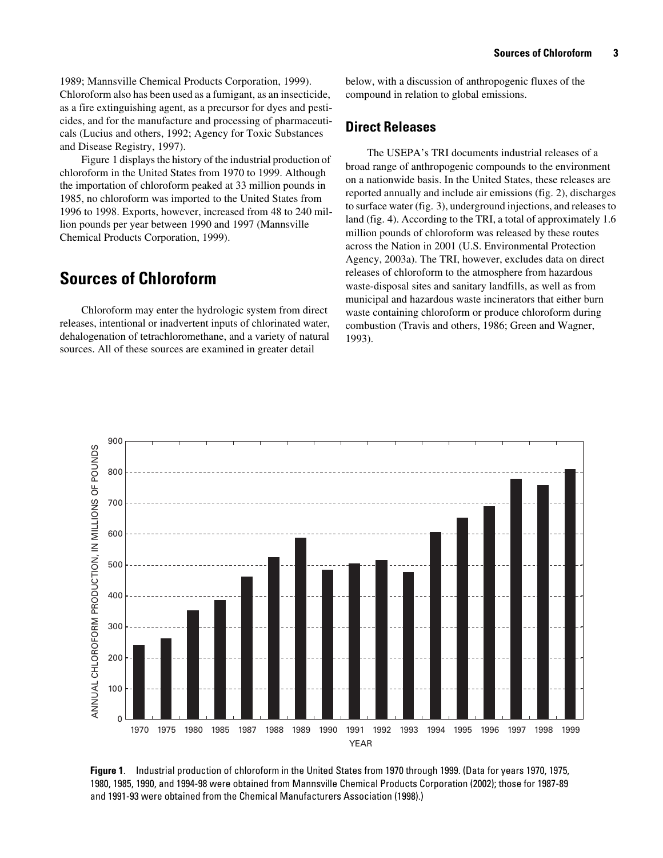1989; Mannsville Chemical Products Corporation, 1999). Chloroform also has been used as a fumigant, as an insecticide, as a fire extinguishing agent, as a precursor for dyes and pesticides, and for the manufacture and processing of pharmaceuticals (Lucius and others, 1992; Agency for Toxic Substances and Disease Registry, 1997).

Figure 1 displays the history of the industrial production of chloroform in the United States from 1970 to 1999. Although the importation of chloroform peaked at 33 million pounds in 1985, no chloroform was imported to the United States from 1996 to 1998. Exports, however, increased from 48 to 240 million pounds per year between 1990 and 1997 (Mannsville Chemical Products Corporation, 1999).

### <span id="page-12-0"></span>**Sources of Chloroform**

Chloroform may enter the hydrologic system from direct releases, intentional or inadvertent inputs of chlorinated water, dehalogenation of tetrachloromethane, and a variety of natural sources. All of these sources are examined in greater detail

below, with a discussion of anthropogenic fluxes of the compound in relation to global emissions.

### <span id="page-12-1"></span>**Direct Releases**

The USEPA's TRI documents industrial releases of a broad range of anthropogenic compounds to the environment on a nationwide basis. In the United States, these releases are reported annually and include air emissions (fig. 2), discharges to surface water (fig. 3), underground injections, and releases to land (fig. 4). According to the TRI, a total of approximately 1.6 million pounds of chloroform was released by these routes across the Nation in 2001 (U.S. Environmental Protection Agency, 2003a). The TRI, however, excludes data on direct releases of chloroform to the atmosphere from hazardous waste-disposal sites and sanitary landfills, as well as from municipal and hazardous waste incinerators that either burn waste containing chloroform or produce chloroform during combustion (Travis and others, 1986; Green and Wagner, 1993).



**Figure 1**. Industrial production of chloroform in the United States from 1970 through 1999. (Data for years 1970, 1975, 1980, 1985, 1990, and 1994-98 were obtained from Mannsville Chemical Products Corporation (2002); those for 1987-89 and 1991-93 were obtained from the Chemical Manufacturers Association (1998).)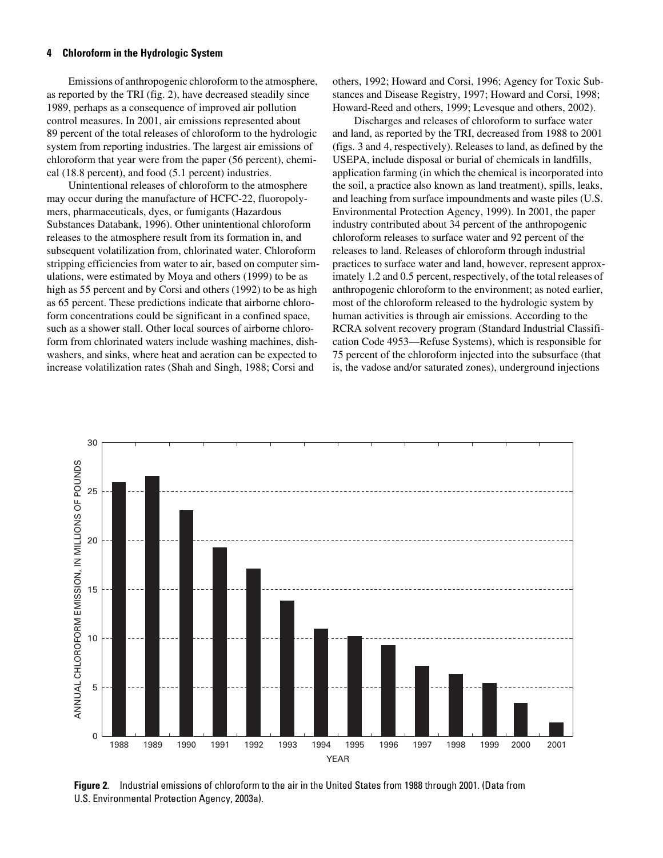Emissions of anthropogenic chloroform to the atmosphere, as reported by the TRI (fig. 2), have decreased steadily since 1989, perhaps as a consequence of improved air pollution control measures. In 2001, air emissions represented about 89 percent of the total releases of chloroform to the hydrologic system from reporting industries. The largest air emissions of chloroform that year were from the paper (56 percent), chemical (18.8 percent), and food (5.1 percent) industries.

Unintentional releases of chloroform to the atmosphere may occur during the manufacture of HCFC-22, fluoropolymers, pharmaceuticals, dyes, or fumigants (Hazardous Substances Databank, 1996). Other unintentional chloroform releases to the atmosphere result from its formation in, and subsequent volatilization from, chlorinated water. Chloroform stripping efficiencies from water to air, based on computer simulations, were estimated by Moya and others (1999) to be as high as 55 percent and by Corsi and others (1992) to be as high as 65 percent. These predictions indicate that airborne chloroform concentrations could be significant in a confined space, such as a shower stall. Other local sources of airborne chloroform from chlorinated waters include washing machines, dishwashers, and sinks, where heat and aeration can be expected to increase volatilization rates (Shah and Singh, 1988; Corsi and

others, 1992; Howard and Corsi, 1996; Agency for Toxic Substances and Disease Registry, 1997; Howard and Corsi, 1998; Howard-Reed and others, 1999; Levesque and others, 2002).

Discharges and releases of chloroform to surface water and land, as reported by the TRI, decreased from 1988 to 2001 (figs. 3 and 4, respectively). Releases to land, as defined by the USEPA, include disposal or burial of chemicals in landfills, application farming (in which the chemical is incorporated into the soil, a practice also known as land treatment), spills, leaks, and leaching from surface impoundments and waste piles (U.S. Environmental Protection Agency, 1999). In 2001, the paper industry contributed about 34 percent of the anthropogenic chloroform releases to surface water and 92 percent of the releases to land. Releases of chloroform through industrial practices to surface water and land, however, represent approximately 1.2 and 0.5 percent, respectively, of the total releases of anthropogenic chloroform to the environment; as noted earlier, most of the chloroform released to the hydrologic system by human activities is through air emissions. According to the RCRA solvent recovery program (Standard Industrial Classification Code 4953—Refuse Systems), which is responsible for 75 percent of the chloroform injected into the subsurface (that is, the vadose and/or saturated zones), underground injections



**Figure 2**. Industrial emissions of chloroform to the air in the United States from 1988 through 2001. (Data from U.S. Environmental Protection Agency, 2003a).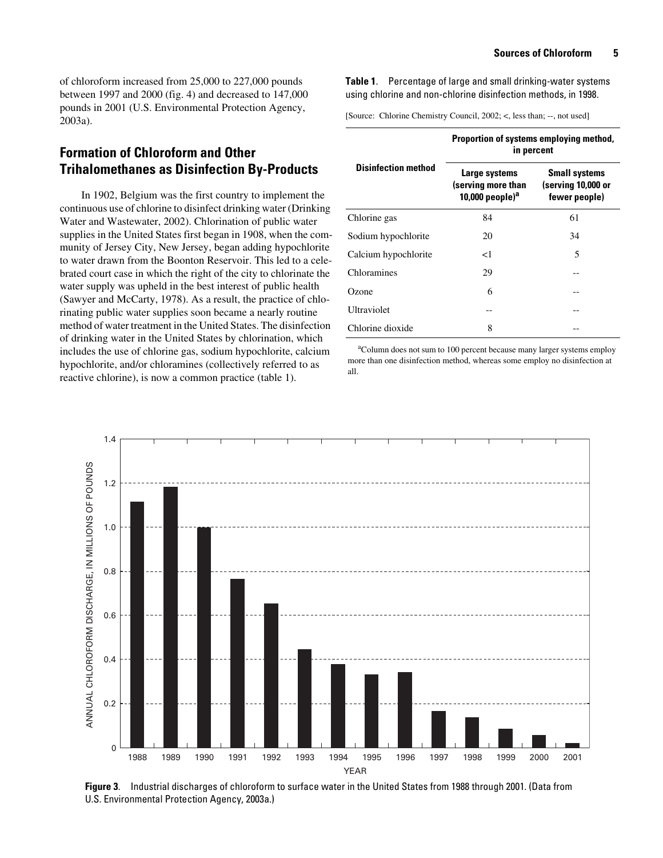of chloroform increased from 25,000 to 227,000 pounds between 1997 and 2000 (fig. 4) and decreased to 147,000 pounds in 2001 (U.S. Environmental Protection Agency, 2003a).

### <span id="page-14-0"></span>**Formation of Chloroform and Other Trihalomethanes as Disinfection By-Products**

In 1902, Belgium was the first country to implement the continuous use of chlorine to disinfect drinking water (Drinking Water and Wastewater, 2002). Chlorination of public water supplies in the United States first began in 1908, when the community of Jersey City, New Jersey, began adding hypochlorite to water drawn from the Boonton Reservoir. This led to a celebrated court case in which the right of the city to chlorinate the water supply was upheld in the best interest of public health (Sawyer and McCarty, 1978). As a result, the practice of chlorinating public water supplies soon became a nearly routine method of water treatment in the United States. The disinfection of drinking water in the United States by chlorination, which includes the use of chlorine gas, sodium hypochlorite, calcium hypochlorite, and/or chloramines (collectively referred to as reactive chlorine), is now a common practice (table 1).

<span id="page-14-1"></span>**Table 1**. Percentage of large and small drinking-water systems using chlorine and non-chlorine disinfection methods, in 1998.

[Source: Chlorine Chemistry Council, 2002; <, less than; --, not used]

|                            | Proportion of systems employing method,<br>in percent     |                                                             |  |  |  |
|----------------------------|-----------------------------------------------------------|-------------------------------------------------------------|--|--|--|
| <b>Disinfection method</b> | Large systems<br>(serving more than<br>10,000 people) $a$ | <b>Small systems</b><br>(serving 10,000 or<br>fewer people) |  |  |  |
| Chlorine gas               | 84                                                        | 61                                                          |  |  |  |
| Sodium hypochlorite        | 20                                                        | 34                                                          |  |  |  |
| Calcium hypochlorite       | ا>                                                        | 5                                                           |  |  |  |
| Chloramines                | 29                                                        |                                                             |  |  |  |
| Ozone                      | 6                                                         |                                                             |  |  |  |
| Ultraviolet                |                                                           |                                                             |  |  |  |
| Chlorine dioxide           | 8                                                         |                                                             |  |  |  |

<sup>a</sup>Column does not sum to 100 percent because many larger systems employ more than one disinfection method, whereas some employ no disinfection at all.



**Figure 3**. Industrial discharges of chloroform to surface water in the United States from 1988 through 2001. (Data from U.S. Environmental Protection Agency, 2003a.)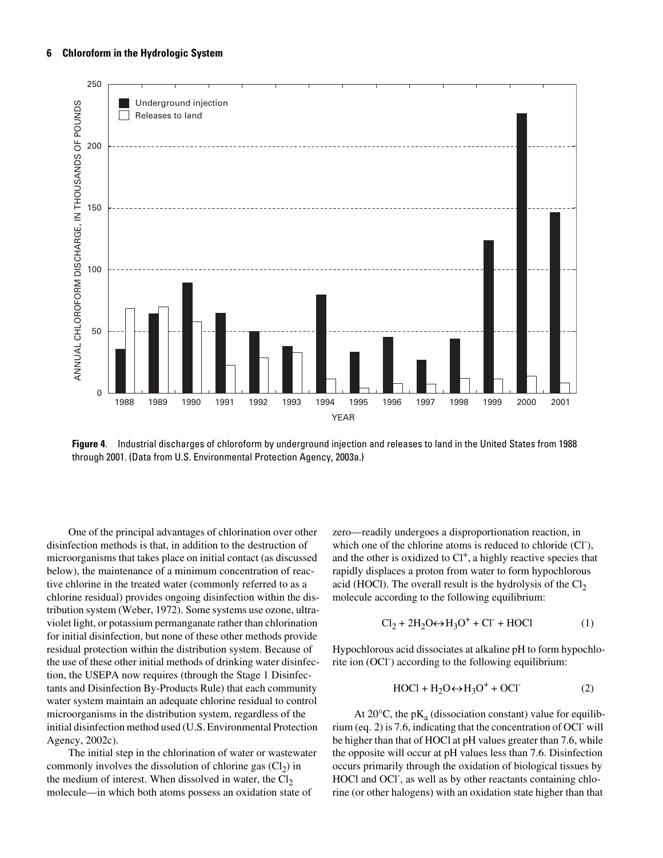

**Figure 4**. Industrial discharges of chloroform by underground injection and releases to land in the United States from 1988 through 2001. (Data from U.S. Environmental Protection Agency, 2003a.)

One of the principal advantages of chlorination over other disinfection methods is that, in addition to the destruction of microorganisms that takes place on initial contact (as discussed below), the maintenance of a minimum concentration of reactive chlorine in the treated water (commonly referred to as a chlorine residual) provides ongoing disinfection within the distribution system (Weber, 1972). Some systems use ozone, ultraviolet light, or potassium permanganate rather than chlorination for initial disinfection, but none of these other methods provide residual protection within the distribution system. Because of the use of these other initial methods of drinking water disinfection, the USEPA now requires (through the Stage 1 Disinfectants and Disinfection By-Products Rule) that each community water system maintain an adequate chlorine residual to control microorganisms in the distribution system, regardless of the initial disinfection method used (U.S. Environmental Protection Agency, 2002c).

The initial step in the chlorination of water or wastewater commonly involves the dissolution of chlorine gas  $(Cl<sub>2</sub>)$  in the medium of interest. When dissolved in water, the  $Cl<sub>2</sub>$ molecule—in which both atoms possess an oxidation state of

zero—readily undergoes a disproportionation reaction, in which one of the chlorine atoms is reduced to chloride  $(C<sup>T</sup>)$ , and the other is oxidized to  $Cl<sup>+</sup>$ , a highly reactive species that rapidly displaces a proton from water to form hypochlorous acid (HOCl). The overall result is the hydrolysis of the  $Cl<sub>2</sub>$ molecule according to the following equilibrium:

$$
Cl2 + 2H2O \leftrightarrow H3O+ + Cl- + HOCl
$$
 (1)

Hypochlorous acid dissociates at alkaline pH to form hypochlorite ion (OCl<sup>-</sup>) according to the following equilibrium:

$$
HOC1 + H_2O \leftrightarrow H_3O^+ + OCI
$$
 (2)

At  $20^{\circ}$ C, the pK<sub>a</sub> (dissociation constant) value for equilibrium (eq. 2) is 7.6, indicating that the concentration of OCl- will be higher than that of HOCl at pH values greater than 7.6, while the opposite will occur at pH values less than 7.6. Disinfection occurs primarily through the oxidation of biological tissues by HOCl and OCl<sup>-</sup>, as well as by other reactants containing chlorine (or other halogens) with an oxidation state higher than that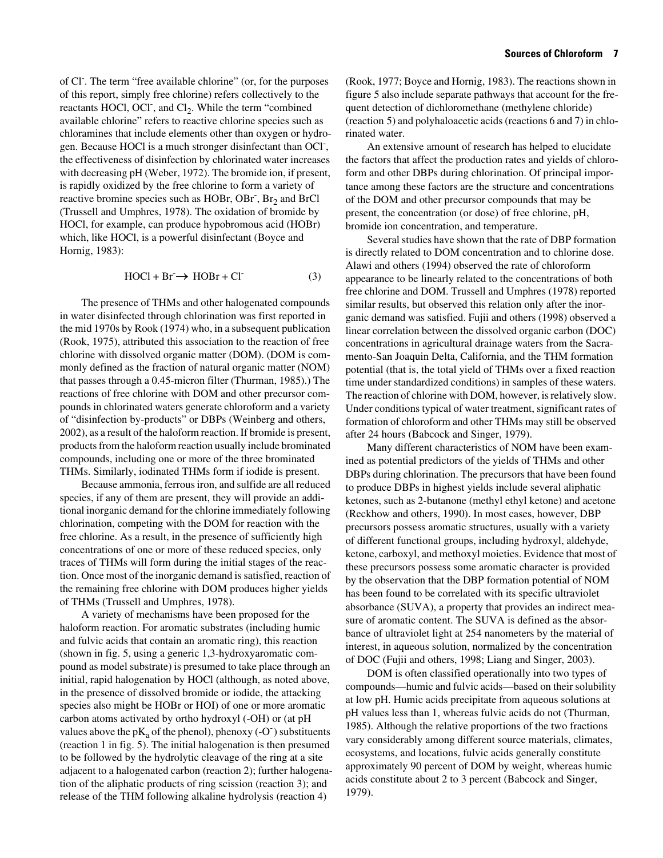of Cl<sup>-</sup>. The term "free available chlorine" (or, for the purposes of this report, simply free chlorine) refers collectively to the reactants HOCl, OCl<sup>-</sup>, and Cl<sub>2</sub>. While the term "combined" available chlorine" refers to reactive chlorine species such as chloramines that include elements other than oxygen or hydrogen. Because HOCl is a much stronger disinfectant than OCl<sup>-</sup>, the effectiveness of disinfection by chlorinated water increases with decreasing pH (Weber, 1972). The bromide ion, if present, is rapidly oxidized by the free chlorine to form a variety of reactive bromine species such as HOBr, OBr<sup>-</sup>, Br<sub>2</sub> and BrCl (Trussell and Umphres, 1978). The oxidation of bromide by HOCl, for example, can produce hypobromous acid (HOBr) which, like HOCl, is a powerful disinfectant (Boyce and Hornig, 1983):

$$
HOCl + Br^- \rightarrow HOBr + Cl^-
$$
 (3)

The presence of THMs and other halogenated compounds in water disinfected through chlorination was first reported in the mid 1970s by Rook (1974) who, in a subsequent publication (Rook, 1975), attributed this association to the reaction of free chlorine with dissolved organic matter (DOM). (DOM is commonly defined as the fraction of natural organic matter (NOM) that passes through a 0.45-micron filter (Thurman, 1985).) The reactions of free chlorine with DOM and other precursor compounds in chlorinated waters generate chloroform and a variety of "disinfection by-products" or DBPs (Weinberg and others, 2002), as a result of the haloform reaction. If bromide is present, products from the haloform reaction usually include brominated compounds, including one or more of the three brominated THMs. Similarly, iodinated THMs form if iodide is present.

Because ammonia, ferrous iron, and sulfide are all reduced species, if any of them are present, they will provide an additional inorganic demand for the chlorine immediately following chlorination, competing with the DOM for reaction with the free chlorine. As a result, in the presence of sufficiently high concentrations of one or more of these reduced species, only traces of THMs will form during the initial stages of the reaction. Once most of the inorganic demand is satisfied, reaction of the remaining free chlorine with DOM produces higher yields of THMs (Trussell and Umphres, 1978).

A variety of mechanisms have been proposed for the haloform reaction. For aromatic substrates (including humic and fulvic acids that contain an aromatic ring), this reaction (shown in fig. 5, using a generic 1,3-hydroxyaromatic compound as model substrate) is presumed to take place through an initial, rapid halogenation by HOCl (although, as noted above, in the presence of dissolved bromide or iodide, the attacking species also might be HOBr or HOI) of one or more aromatic carbon atoms activated by ortho hydroxyl (-OH) or (at pH values above the  $pK_a$  of the phenol), phenoxy (-O<sup>-</sup>) substituents (reaction 1 in fig. 5). The initial halogenation is then presumed to be followed by the hydrolytic cleavage of the ring at a site adjacent to a halogenated carbon (reaction 2); further halogenation of the aliphatic products of ring scission (reaction 3); and release of the THM following alkaline hydrolysis (reaction 4)

(Rook, 1977; Boyce and Hornig, 1983). The reactions shown in figure 5 also include separate pathways that account for the frequent detection of dichloromethane (methylene chloride) (reaction 5) and polyhaloacetic acids (reactions 6 and 7) in chlorinated water.

An extensive amount of research has helped to elucidate the factors that affect the production rates and yields of chloroform and other DBPs during chlorination. Of principal importance among these factors are the structure and concentrations of the DOM and other precursor compounds that may be present, the concentration (or dose) of free chlorine, pH, bromide ion concentration, and temperature.

Several studies have shown that the rate of DBP formation is directly related to DOM concentration and to chlorine dose. Alawi and others (1994) observed the rate of chloroform appearance to be linearly related to the concentrations of both free chlorine and DOM. Trussell and Umphres (1978) reported similar results, but observed this relation only after the inorganic demand was satisfied. Fujii and others (1998) observed a linear correlation between the dissolved organic carbon (DOC) concentrations in agricultural drainage waters from the Sacramento-San Joaquin Delta, California, and the THM formation potential (that is, the total yield of THMs over a fixed reaction time under standardized conditions) in samples of these waters. The reaction of chlorine with DOM, however, is relatively slow. Under conditions typical of water treatment, significant rates of formation of chloroform and other THMs may still be observed after 24 hours (Babcock and Singer, 1979).

Many different characteristics of NOM have been examined as potential predictors of the yields of THMs and other DBPs during chlorination. The precursors that have been found to produce DBPs in highest yields include several aliphatic ketones, such as 2-butanone (methyl ethyl ketone) and acetone (Reckhow and others, 1990). In most cases, however, DBP precursors possess aromatic structures, usually with a variety of different functional groups, including hydroxyl, aldehyde, ketone, carboxyl, and methoxyl moieties. Evidence that most of these precursors possess some aromatic character is provided by the observation that the DBP formation potential of NOM has been found to be correlated with its specific ultraviolet absorbance (SUVA), a property that provides an indirect measure of aromatic content. The SUVA is defined as the absorbance of ultraviolet light at 254 nanometers by the material of interest, in aqueous solution, normalized by the concentration of DOC (Fujii and others, 1998; Liang and Singer, 2003).

DOM is often classified operationally into two types of compounds—humic and fulvic acids—based on their solubility at low pH. Humic acids precipitate from aqueous solutions at pH values less than 1, whereas fulvic acids do not (Thurman, 1985). Although the relative proportions of the two fractions vary considerably among different source materials, climates, ecosystems, and locations, fulvic acids generally constitute approximately 90 percent of DOM by weight, whereas humic acids constitute about 2 to 3 percent (Babcock and Singer, 1979).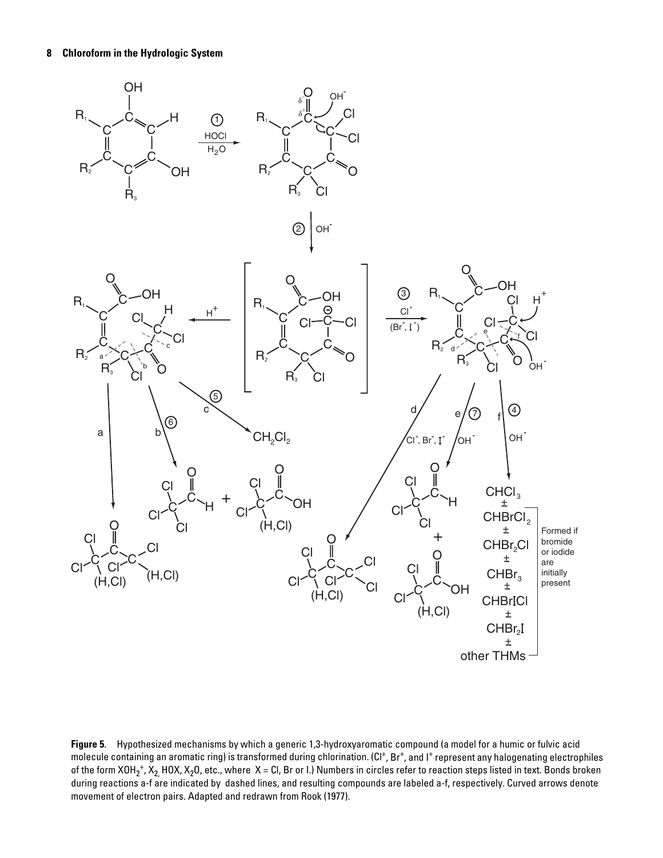

**Figure 5**. Hypothesized mechanisms by which a generic 1,3-hydroxyaromatic compound (a model for a humic or fulvic acid molecule containing an aromatic ring) is transformed during chlorination. (Cl<sup>+</sup>, Br<sup>+</sup>, and I<sup>+</sup> represent any halogenating electrophiles of the form XOH<sub>2</sub>+, X<sub>2,</sub> HOX, X<sub>2</sub>O, etc., where  $X$  = Cl, Br or I.) Numbers in circles refer to reaction steps listed in text. Bonds broken during reactions a-f are indicated by dashed lines, and resulting compounds are labeled a-f, respectively. Curved arrows denote movement of electron pairs. Adapted and redrawn from Rook (1977).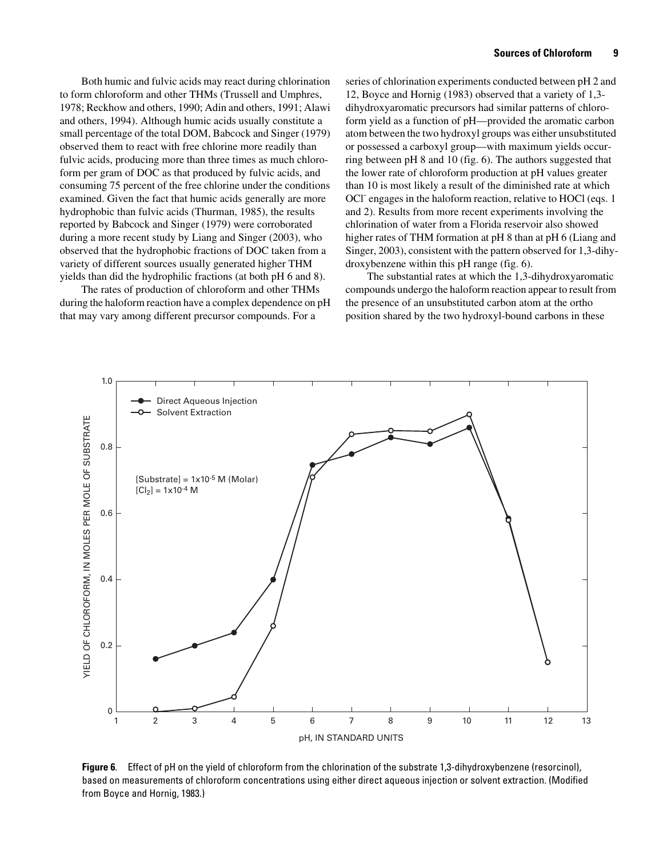Both humic and fulvic acids may react during chlorination to form chloroform and other THMs (Trussell and Umphres, 1978; Reckhow and others, 1990; Adin and others, 1991; Alawi and others, 1994). Although humic acids usually constitute a small percentage of the total DOM, Babcock and Singer (1979) observed them to react with free chlorine more readily than fulvic acids, producing more than three times as much chloroform per gram of DOC as that produced by fulvic acids, and consuming 75 percent of the free chlorine under the conditions examined. Given the fact that humic acids generally are more hydrophobic than fulvic acids (Thurman, 1985), the results reported by Babcock and Singer (1979) were corroborated during a more recent study by Liang and Singer (2003), who observed that the hydrophobic fractions of DOC taken from a variety of different sources usually generated higher THM yields than did the hydrophilic fractions (at both pH 6 and 8).

The rates of production of chloroform and other THMs during the haloform reaction have a complex dependence on pH that may vary among different precursor compounds. For a

series of chlorination experiments conducted between pH 2 and 12, Boyce and Hornig (1983) observed that a variety of 1,3 dihydroxyaromatic precursors had similar patterns of chloroform yield as a function of pH—provided the aromatic carbon atom between the two hydroxyl groups was either unsubstituted or possessed a carboxyl group—with maximum yields occurring between pH 8 and 10 (fig. 6). The authors suggested that the lower rate of chloroform production at pH values greater than 10 is most likely a result of the diminished rate at which OCl<sup>-</sup> engages in the haloform reaction, relative to HOCl (eqs. 1 and 2). Results from more recent experiments involving the chlorination of water from a Florida reservoir also showed higher rates of THM formation at pH 8 than at pH 6 (Liang and Singer, 2003), consistent with the pattern observed for 1,3-dihydroxybenzene within this pH range (fig. 6).

The substantial rates at which the 1,3-dihydroxyaromatic compounds undergo the haloform reaction appear to result from the presence of an unsubstituted carbon atom at the ortho position shared by the two hydroxyl-bound carbons in these



**Figure 6**. Effect of pH on the yield of chloroform from the chlorination of the substrate 1,3-dihydroxybenzene (resorcinol), based on measurements of chloroform concentrations using either direct aqueous injection or solvent extraction. (Modified from Boyce and Hornig, 1983.)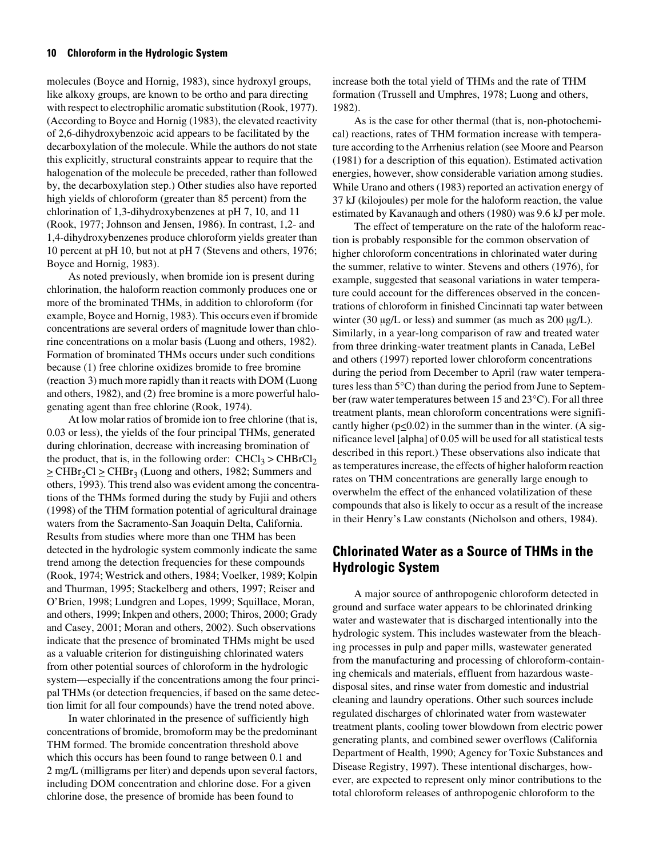molecules (Boyce and Hornig, 1983), since hydroxyl groups, like alkoxy groups, are known to be ortho and para directing with respect to electrophilic aromatic substitution (Rook, 1977). (According to Boyce and Hornig (1983), the elevated reactivity of 2,6-dihydroxybenzoic acid appears to be facilitated by the decarboxylation of the molecule. While the authors do not state this explicitly, structural constraints appear to require that the halogenation of the molecule be preceded, rather than followed by, the decarboxylation step.) Other studies also have reported high yields of chloroform (greater than 85 percent) from the chlorination of 1,3-dihydroxybenzenes at pH 7, 10, and 11 (Rook, 1977; Johnson and Jensen, 1986). In contrast, 1,2- and 1,4-dihydroxybenzenes produce chloroform yields greater than 10 percent at pH 10, but not at pH 7 (Stevens and others, 1976; Boyce and Hornig, 1983).

As noted previously, when bromide ion is present during chlorination, the haloform reaction commonly produces one or more of the brominated THMs, in addition to chloroform (for example, Boyce and Hornig, 1983). This occurs even if bromide concentrations are several orders of magnitude lower than chlorine concentrations on a molar basis (Luong and others, 1982). Formation of brominated THMs occurs under such conditions because (1) free chlorine oxidizes bromide to free bromine (reaction 3) much more rapidly than it reacts with DOM (Luong and others, 1982), and (2) free bromine is a more powerful halogenating agent than free chlorine (Rook, 1974).

At low molar ratios of bromide ion to free chlorine (that is, 0.03 or less), the yields of the four principal THMs, generated during chlorination, decrease with increasing bromination of the product, that is, in the following order:  $CHCl<sub>3</sub> > CHBrCl<sub>2</sub>$  $\geq$  CHBr<sub>2</sub>Cl  $\geq$  CHBr<sub>3</sub> (Luong and others, 1982; Summers and others, 1993). This trend also was evident among the concentrations of the THMs formed during the study by Fujii and others (1998) of the THM formation potential of agricultural drainage waters from the Sacramento-San Joaquin Delta, California. Results from studies where more than one THM has been detected in the hydrologic system commonly indicate the same trend among the detection frequencies for these compounds (Rook, 1974; Westrick and others, 1984; Voelker, 1989; Kolpin and Thurman, 1995; Stackelberg and others, 1997; Reiser and O'Brien, 1998; Lundgren and Lopes, 1999; Squillace, Moran, and others, 1999; Inkpen and others, 2000; Thiros, 2000; Grady and Casey, 2001; Moran and others, 2002). Such observations indicate that the presence of brominated THMs might be used as a valuable criterion for distinguishing chlorinated waters from other potential sources of chloroform in the hydrologic system—especially if the concentrations among the four principal THMs (or detection frequencies, if based on the same detection limit for all four compounds) have the trend noted above.

In water chlorinated in the presence of sufficiently high concentrations of bromide, bromoform may be the predominant THM formed. The bromide concentration threshold above which this occurs has been found to range between 0.1 and 2 mg/L (milligrams per liter) and depends upon several factors, including DOM concentration and chlorine dose. For a given chlorine dose, the presence of bromide has been found to

increase both the total yield of THMs and the rate of THM formation (Trussell and Umphres, 1978; Luong and others, 1982).

As is the case for other thermal (that is, non-photochemical) reactions, rates of THM formation increase with temperature according to the Arrhenius relation (see Moore and Pearson (1981) for a description of this equation). Estimated activation energies, however, show considerable variation among studies. While Urano and others (1983) reported an activation energy of 37 kJ (kilojoules) per mole for the haloform reaction, the value estimated by Kavanaugh and others (1980) was 9.6 kJ per mole.

The effect of temperature on the rate of the haloform reaction is probably responsible for the common observation of higher chloroform concentrations in chlorinated water during the summer, relative to winter. Stevens and others (1976), for example, suggested that seasonal variations in water temperature could account for the differences observed in the concentrations of chloroform in finished Cincinnati tap water between winter (30  $\mu$ g/L or less) and summer (as much as 200  $\mu$ g/L). Similarly, in a year-long comparison of raw and treated water from three drinking-water treatment plants in Canada, LeBel and others (1997) reported lower chloroform concentrations during the period from December to April (raw water temperatures less than 5°C) than during the period from June to September (raw water temperatures between 15 and 23°C). For all three treatment plants, mean chloroform concentrations were significantly higher ( $p \le 0.02$ ) in the summer than in the winter. (A significance level [alpha] of 0.05 will be used for all statistical tests described in this report.) These observations also indicate that as temperatures increase, the effects of higher haloform reaction rates on THM concentrations are generally large enough to overwhelm the effect of the enhanced volatilization of these compounds that also is likely to occur as a result of the increase in their Henry's Law constants (Nicholson and others, 1984).

### <span id="page-19-0"></span>**Chlorinated Water as a Source of THMs in the Hydrologic System**

A major source of anthropogenic chloroform detected in ground and surface water appears to be chlorinated drinking water and wastewater that is discharged intentionally into the hydrologic system. This includes wastewater from the bleaching processes in pulp and paper mills, wastewater generated from the manufacturing and processing of chloroform-containing chemicals and materials, effluent from hazardous wastedisposal sites, and rinse water from domestic and industrial cleaning and laundry operations. Other such sources include regulated discharges of chlorinated water from wastewater treatment plants, cooling tower blowdown from electric power generating plants, and combined sewer overflows (California Department of Health, 1990; Agency for Toxic Substances and Disease Registry, 1997). These intentional discharges, however, are expected to represent only minor contributions to the total chloroform releases of anthropogenic chloroform to the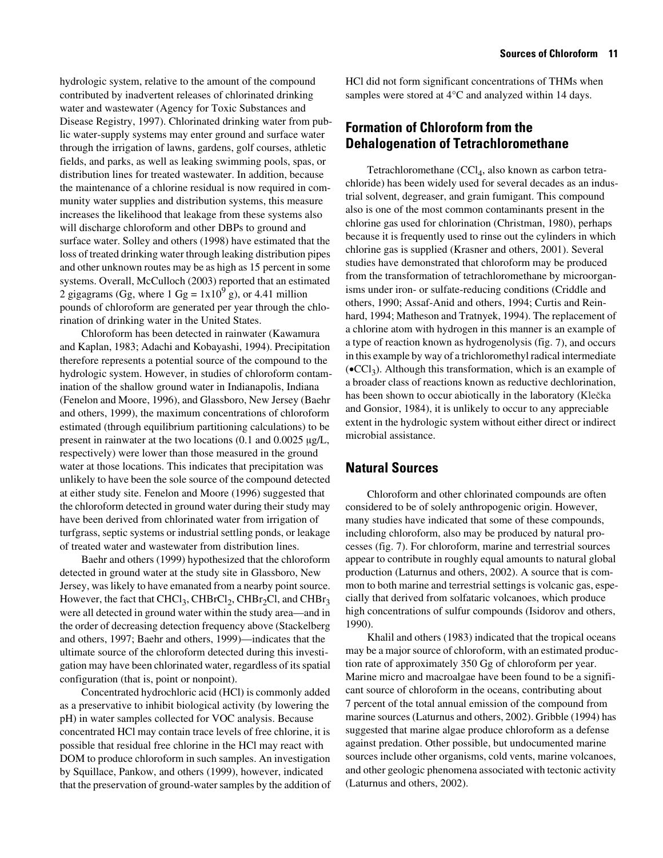hydrologic system, relative to the amount of the compound contributed by inadvertent releases of chlorinated drinking water and wastewater (Agency for Toxic Substances and Disease Registry, 1997). Chlorinated drinking water from public water-supply systems may enter ground and surface water through the irrigation of lawns, gardens, golf courses, athletic fields, and parks, as well as leaking swimming pools, spas, or distribution lines for treated wastewater. In addition, because the maintenance of a chlorine residual is now required in community water supplies and distribution systems, this measure increases the likelihood that leakage from these systems also will discharge chloroform and other DBPs to ground and surface water. Solley and others (1998) have estimated that the loss of treated drinking water through leaking distribution pipes and other unknown routes may be as high as 15 percent in some systems. Overall, McCulloch (2003) reported that an estimated 2 gigagrams (Gg, where  $1 \text{ Gg} = 1 \times 10^9 \text{ g}$ ), or 4.41 million pounds of chloroform are generated per year through the chlorination of drinking water in the United States.

Chloroform has been detected in rainwater (Kawamura and Kaplan, 1983; Adachi and Kobayashi, 1994). Precipitation therefore represents a potential source of the compound to the hydrologic system. However, in studies of chloroform contamination of the shallow ground water in Indianapolis, Indiana (Fenelon and Moore, 1996), and Glassboro, New Jersey (Baehr and others, 1999), the maximum concentrations of chloroform estimated (through equilibrium partitioning calculations) to be present in rainwater at the two locations (0.1 and 0.0025 µg/L, respectively) were lower than those measured in the ground water at those locations. This indicates that precipitation was unlikely to have been the sole source of the compound detected at either study site. Fenelon and Moore (1996) suggested that the chloroform detected in ground water during their study may have been derived from chlorinated water from irrigation of turfgrass, septic systems or industrial settling ponds, or leakage of treated water and wastewater from distribution lines.

Baehr and others (1999) hypothesized that the chloroform detected in ground water at the study site in Glassboro, New Jersey, was likely to have emanated from a nearby point source. However, the fact that CHCl<sub>3</sub>, CHBrCl<sub>2</sub>, CHBr<sub>2</sub>Cl, and CHBr<sub>3</sub> were all detected in ground water within the study area—and in the order of decreasing detection frequency above (Stackelberg and others, 1997; Baehr and others, 1999)—indicates that the ultimate source of the chloroform detected during this investigation may have been chlorinated water, regardless of its spatial configuration (that is, point or nonpoint).

Concentrated hydrochloric acid (HCl) is commonly added as a preservative to inhibit biological activity (by lowering the pH) in water samples collected for VOC analysis. Because concentrated HCl may contain trace levels of free chlorine, it is possible that residual free chlorine in the HCl may react with DOM to produce chloroform in such samples. An investigation by Squillace, Pankow, and others (1999), however, indicated that the preservation of ground-water samples by the addition of HCl did not form significant concentrations of THMs when samples were stored at 4°C and analyzed within 14 days.

### <span id="page-20-0"></span>**Formation of Chloroform from the Dehalogenation of Tetrachloromethane**

Tetrachloromethane  $(CCl<sub>4</sub>, also known as carbon tetra-<sub>4</sub>)$ chloride) has been widely used for several decades as an industrial solvent, degreaser, and grain fumigant. This compound also is one of the most common contaminants present in the chlorine gas used for chlorination (Christman, 1980), perhaps because it is frequently used to rinse out the cylinders in which chlorine gas is supplied (Krasner and others, 2001). Several studies have demonstrated that chloroform may be produced from the transformation of tetrachloromethane by microorganisms under iron- or sulfate-reducing conditions (Criddle and others, 1990; Assaf-Anid and others, 1994; Curtis and Reinhard, 1994; Matheson and Tratnyek, 1994). The replacement of a chlorine atom with hydrogen in this manner is an example of a type of reaction known as hydrogenolysis (fig. 7), and occurs in this example by way of a trichloromethyl radical intermediate  $\rm \left( \bullet CCl_3 \right)$ . Although this transformation, which is an example of a broader class of reactions known as reductive dechlorination, has been shown to occur abiotically in the laboratory (Klečka and Gonsior, 1984), it is unlikely to occur to any appreciable extent in the hydrologic system without either direct or indirect microbial assistance.

### <span id="page-20-1"></span>**Natural Sources**

Chloroform and other chlorinated compounds are often considered to be of solely anthropogenic origin. However, many studies have indicated that some of these compounds, including chloroform, also may be produced by natural processes (fig. 7). For chloroform, marine and terrestrial sources appear to contribute in roughly equal amounts to natural global production (Laturnus and others, 2002). A source that is common to both marine and terrestrial settings is volcanic gas, especially that derived from solfataric volcanoes, which produce high concentrations of sulfur compounds (Isidorov and others, 1990).

Khalil and others (1983) indicated that the tropical oceans may be a major source of chloroform, with an estimated production rate of approximately 350 Gg of chloroform per year. Marine micro and macroalgae have been found to be a significant source of chloroform in the oceans, contributing about 7 percent of the total annual emission of the compound from marine sources (Laturnus and others, 2002). Gribble (1994) has suggested that marine algae produce chloroform as a defense against predation. Other possible, but undocumented marine sources include other organisms, cold vents, marine volcanoes, and other geologic phenomena associated with tectonic activity (Laturnus and others, 2002).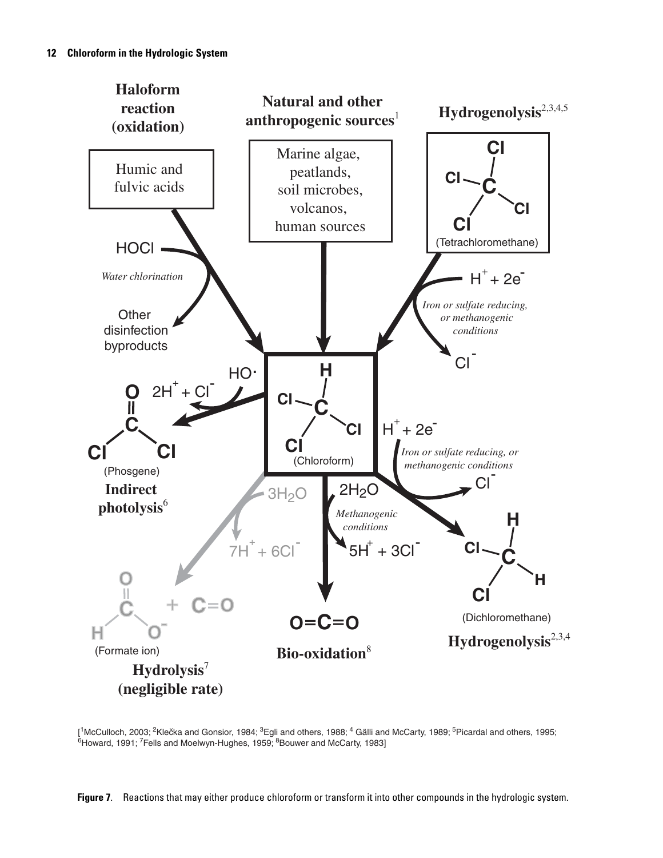

 $[$ <sup>1</sup>McCulloch, 2003; <sup>2</sup>Klečka and Gonsior, 1984; <sup>3</sup>Egli and others, 1988; <sup>4</sup> Gälli and McCarty, 1989; <sup>5</sup>Picardal and others, 1995; <sup>6</sup>Howard, 1991; <sup>7</sup>Fells and Moelwyn-Hughes, 1959; <sup>8</sup>Bouwer and McCarty, 1983]

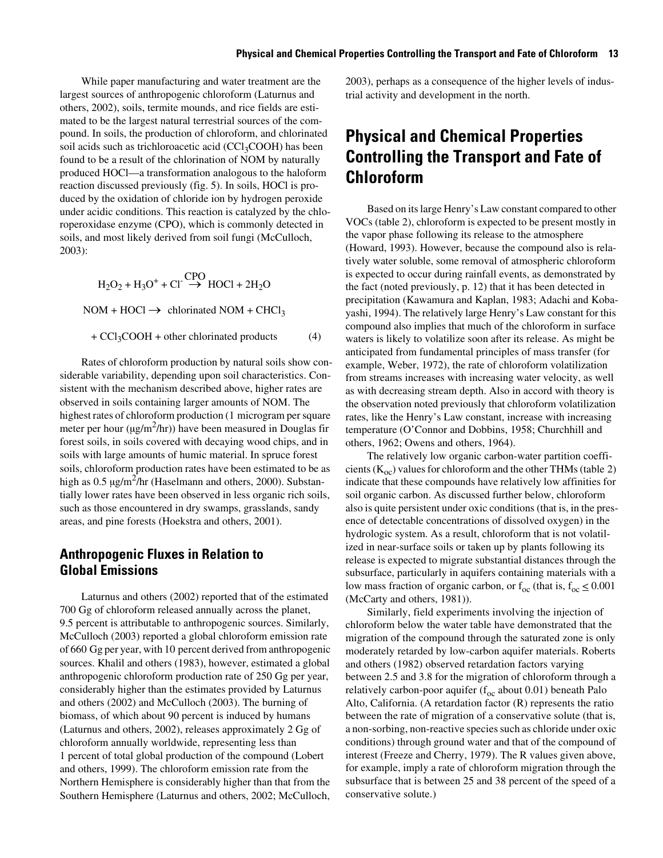While paper manufacturing and water treatment are the largest sources of anthropogenic chloroform (Laturnus and others, 2002), soils, termite mounds, and rice fields are estimated to be the largest natural terrestrial sources of the compound. In soils, the production of chloroform, and chlorinated soil acids such as trichloroacetic acid  $(CCl<sub>3</sub>COOH)$  has been found to be a result of the chlorination of NOM by naturally produced HOCl—a transformation analogous to the haloform reaction discussed previously (fig. 5). In soils, HOCl is produced by the oxidation of chloride ion by hydrogen peroxide under acidic conditions. This reaction is catalyzed by the chloroperoxidase enzyme (CPO), which is commonly detected in soils, and most likely derived from soil fungi (McCulloch, 2003):

$$
H_2O_2 + H_3O^+ + Cl \stackrel{CPO}{\rightarrow} HOCI + 2H_2O
$$

 $NOM + HOC1 \rightarrow$  chlorinated  $NOM + CHCl<sub>3</sub>$ 

 $+ CCl<sub>3</sub>COOH + other chlorinated products$  (4)

Rates of chloroform production by natural soils show considerable variability, depending upon soil characteristics. Consistent with the mechanism described above, higher rates are observed in soils containing larger amounts of NOM. The highest rates of chloroform production (1 microgram per square meter per hour  $(\mu g/m^2/hr)$  have been measured in Douglas fir forest soils, in soils covered with decaying wood chips, and in soils with large amounts of humic material. In spruce forest soils, chloroform production rates have been estimated to be as high as  $0.5 \mu g/m^2/hr$  (Haselmann and others, 2000). Substantially lower rates have been observed in less organic rich soils, such as those encountered in dry swamps, grasslands, sandy areas, and pine forests (Hoekstra and others, 2001).

### <span id="page-22-0"></span>**Anthropogenic Fluxes in Relation to Global Emissions**

Laturnus and others (2002) reported that of the estimated 700 Gg of chloroform released annually across the planet, 9.5 percent is attributable to anthropogenic sources. Similarly, McCulloch (2003) reported a global chloroform emission rate of 660 Gg per year, with 10 percent derived from anthropogenic sources. Khalil and others (1983), however, estimated a global anthropogenic chloroform production rate of 250 Gg per year, considerably higher than the estimates provided by Laturnus and others (2002) and McCulloch (2003). The burning of biomass, of which about 90 percent is induced by humans (Laturnus and others, 2002), releases approximately 2 Gg of chloroform annually worldwide, representing less than 1 percent of total global production of the compound (Lobert and others, 1999). The chloroform emission rate from the Northern Hemisphere is considerably higher than that from the Southern Hemisphere (Laturnus and others, 2002; McCulloch,

2003), perhaps as a consequence of the higher levels of industrial activity and development in the north.

### <span id="page-22-1"></span>**Physical and Chemical Properties Controlling the Transport and Fate of Chloroform**

Based on its large Henry's Law constant compared to other VOCs (table 2), chloroform is expected to be present mostly in the vapor phase following its release to the atmosphere (Howard, 1993). However, because the compound also is relatively water soluble, some removal of atmospheric chloroform is expected to occur during rainfall events, as demonstrated by the fact (noted previously, p. 12) that it has been detected in precipitation (Kawamura and Kaplan, 1983; Adachi and Kobayashi, 1994). The relatively large Henry's Law constant for this compound also implies that much of the chloroform in surface waters is likely to volatilize soon after its release. As might be anticipated from fundamental principles of mass transfer (for example, Weber, 1972), the rate of chloroform volatilization from streams increases with increasing water velocity, as well as with decreasing stream depth. Also in accord with theory is the observation noted previously that chloroform volatilization rates, like the Henry's Law constant, increase with increasing temperature (O'Connor and Dobbins, 1958; Churchhill and others, 1962; Owens and others, 1964).

The relatively low organic carbon-water partition coefficients ( $K_{oc}$ ) values for chloroform and the other THMs (table 2) indicate that these compounds have relatively low affinities for soil organic carbon. As discussed further below, chloroform also is quite persistent under oxic conditions (that is, in the presence of detectable concentrations of dissolved oxygen) in the hydrologic system. As a result, chloroform that is not volatilized in near-surface soils or taken up by plants following its release is expected to migrate substantial distances through the subsurface, particularly in aquifers containing materials with a low mass fraction of organic carbon, or  $f_{\text{oc}}$  (that is,  $f_{\text{oc}} \leq 0.001$ ) (McCarty and others, 1981)).

Similarly, field experiments involving the injection of chloroform below the water table have demonstrated that the migration of the compound through the saturated zone is only moderately retarded by low-carbon aquifer materials. Roberts and others (1982) observed retardation factors varying between 2.5 and 3.8 for the migration of chloroform through a relatively carbon-poor aquifer  $(f_{oc}$  about 0.01) beneath Palo Alto, California. (A retardation factor (R) represents the ratio between the rate of migration of a conservative solute (that is, a non-sorbing, non-reactive species such as chloride under oxic conditions) through ground water and that of the compound of interest (Freeze and Cherry, 1979). The R values given above, for example, imply a rate of chloroform migration through the subsurface that is between 25 and 38 percent of the speed of a conservative solute.)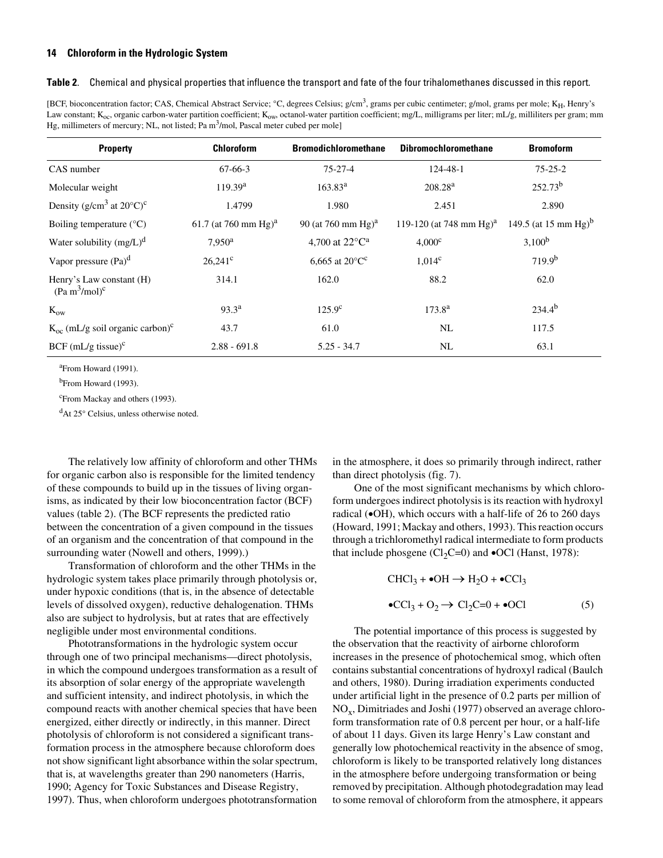#### <span id="page-23-0"></span>**Table 2**. Chemical and physical properties that influence the transport and fate of the four trihalomethanes discussed in this report.

[BCF, bioconcentration factor; CAS, Chemical Abstract Service; °C, degrees Celsius; g/cm<sup>3</sup>, grams per cubic centimeter; g/mol, grams per mole; K<sub>H</sub>, Henry's Law constant; K<sub>oc</sub>, organic carbon-water partition coefficient; K<sub>ow</sub>, octanol-water partition coefficient; mg/L, milligrams per liter; mL/g, milliliters per gram; mm Hg, millimeters of mercury; NL, not listed; Pa m<sup>3</sup>/mol, Pascal meter cubed per mole]

| <b>Property</b>                                                   | <b>Chloroform</b>                | <b>Bromodichloromethane</b>       | <b>Dibromochloromethane</b>         | <b>Bromoform</b>                 |
|-------------------------------------------------------------------|----------------------------------|-----------------------------------|-------------------------------------|----------------------------------|
| CAS number                                                        | $67-66-3$                        | $75 - 27 - 4$                     | $124 - 48 - 1$                      | $75 - 25 - 2$                    |
| Molecular weight                                                  | 119.39 <sup>a</sup>              | $163.83^{\rm a}$                  | 208.28 <sup>a</sup>                 | $252.73^{b}$                     |
| Density ( $g/cm3$ at $20^{\circ}C$ ) <sup>c</sup>                 | 1.4799                           | 1.980                             | 2.451                               | 2.890                            |
| Boiling temperature $(^{\circ}C)$                                 | 61.7 (at 760 mm Hg) <sup>a</sup> | 90 (at 760 mm $Hg$ ) <sup>a</sup> | 119-120 (at 748 mm Hg) <sup>a</sup> | 149.5 (at 15 mm Hg) <sup>b</sup> |
| Water solubility $(mg/L)^d$                                       | 7.950 <sup>a</sup>               | 4,700 at $22^{\circ}C^{\text{a}}$ | $4,000^{\circ}$                     | $3,100^b$                        |
| Vapor pressure $(Pa)^d$                                           | $26.241^{\circ}$                 | 6,665 at $20^{\circ}C^{c}$        | $1,014^c$                           | $719.9^{b}$                      |
| Henry's Law constant (H)<br>(Pa m <sup>3</sup> /mol) <sup>c</sup> | 314.1                            | 162.0                             | 88.2                                | 62.0                             |
| $K_{ow}$                                                          | $93.3^{\rm a}$                   | $125.9^{\circ}$                   | $173.8^{a}$                         | $234.4^{b}$                      |
| $K_{\rm oc}$ (mL/g soil organic carbon) <sup>c</sup>              | 43.7                             | 61.0                              | NL                                  | 117.5                            |
| $BCF$ (mL/g tissue) <sup>c</sup>                                  | $2.88 - 691.8$                   | $5.25 - 34.7$                     | NL                                  | 63.1                             |

<sup>a</sup> From Howard (1991).

<sup>b</sup>From Howard (1993).

<sup>c</sup>From Mackay and others (1993).

dAt 25° Celsius, unless otherwise noted.

The relatively low affinity of chloroform and other THMs for organic carbon also is responsible for the limited tendency of these compounds to build up in the tissues of living organisms, as indicated by their low bioconcentration factor (BCF) values (table 2). (The BCF represents the predicted ratio between the concentration of a given compound in the tissues of an organism and the concentration of that compound in the surrounding water (Nowell and others, 1999).)

Transformation of chloroform and the other THMs in the hydrologic system takes place primarily through photolysis or, under hypoxic conditions (that is, in the absence of detectable levels of dissolved oxygen), reductive dehalogenation. THMs also are subject to hydrolysis, but at rates that are effectively negligible under most environmental conditions.

Phototransformations in the hydrologic system occur through one of two principal mechanisms—direct photolysis, in which the compound undergoes transformation as a result of its absorption of solar energy of the appropriate wavelength and sufficient intensity, and indirect photolysis, in which the compound reacts with another chemical species that have been energized, either directly or indirectly, in this manner. Direct photolysis of chloroform is not considered a significant transformation process in the atmosphere because chloroform does not show significant light absorbance within the solar spectrum, that is, at wavelengths greater than 290 nanometers (Harris, 1990; Agency for Toxic Substances and Disease Registry, 1997). Thus, when chloroform undergoes phototransformation

in the atmosphere, it does so primarily through indirect, rather than direct photolysis (fig. 7).

One of the most significant mechanisms by which chloroform undergoes indirect photolysis is its reaction with hydroxyl radical (•OH), which occurs with a half-life of 26 to 260 days (Howard, 1991; Mackay and others, 1993). This reaction occurs through a trichloromethyl radical intermediate to form products that include phosgene (Cl<sub>2</sub>C=0) and  $\bullet$ OCl (Hanst, 1978):

$$
\text{CHCl}_3 + \bullet \text{OH} \to \text{H}_2\text{O} + \bullet \text{CCl}_3
$$

$$
\bullet \text{CCl}_3 + \text{O}_2 \to \text{Cl}_2\text{C} = 0 + \bullet \text{OCl}
$$
(5)

The potential importance of this process is suggested by the observation that the reactivity of airborne chloroform increases in the presence of photochemical smog, which often contains substantial concentrations of hydroxyl radical (Baulch and others, 1980). During irradiation experiments conducted under artificial light in the presence of 0.2 parts per million of  $NO<sub>x</sub>$ , Dimitriades and Joshi (1977) observed an average chloroform transformation rate of 0.8 percent per hour, or a half-life of about 11 days. Given its large Henry's Law constant and generally low photochemical reactivity in the absence of smog, chloroform is likely to be transported relatively long distances in the atmosphere before undergoing transformation or being removed by precipitation. Although photodegradation may lead to some removal of chloroform from the atmosphere, it appears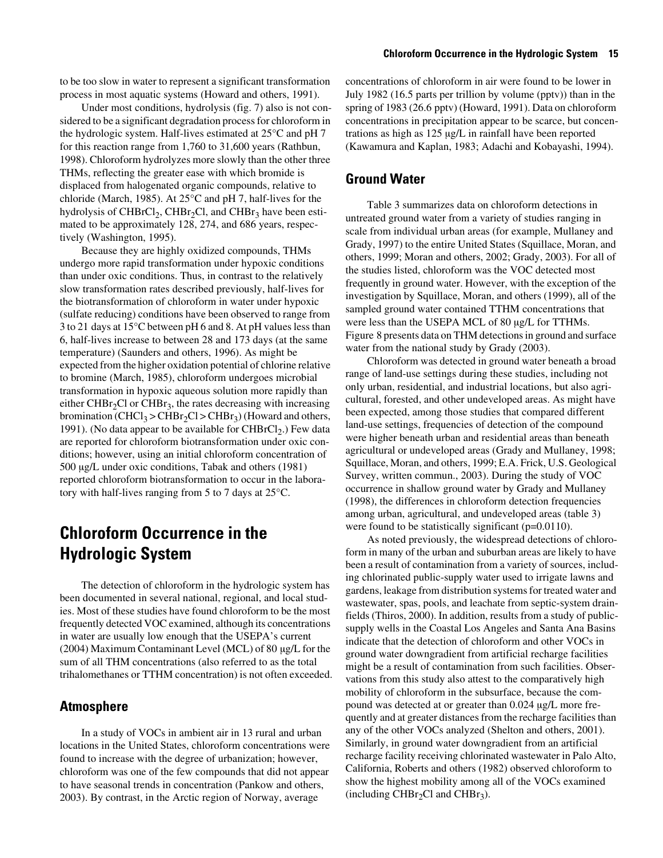to be too slow in water to represent a significant transformation process in most aquatic systems (Howard and others, 1991).

Under most conditions, hydrolysis (fig. 7) also is not considered to be a significant degradation process for chloroform in the hydrologic system. Half-lives estimated at 25°C and pH 7 for this reaction range from 1,760 to 31,600 years (Rathbun, 1998). Chloroform hydrolyzes more slowly than the other three THMs, reflecting the greater ease with which bromide is displaced from halogenated organic compounds, relative to chloride (March, 1985). At 25°C and pH 7, half-lives for the hydrolysis of CHBrCl<sub>2</sub>, CHBr<sub>2</sub>Cl, and CHBr<sub>3</sub> have been estimated to be approximately 128, 274, and 686 years, respectively (Washington, 1995).

Because they are highly oxidized compounds, THMs undergo more rapid transformation under hypoxic conditions than under oxic conditions. Thus, in contrast to the relatively slow transformation rates described previously, half-lives for the biotransformation of chloroform in water under hypoxic (sulfate reducing) conditions have been observed to range from 3 to 21 days at 15°C between pH 6 and 8. At pH values less than 6, half-lives increase to between 28 and 173 days (at the same temperature) (Saunders and others, 1996). As might be expected from the higher oxidation potential of chlorine relative to bromine (March, 1985), chloroform undergoes microbial transformation in hypoxic aqueous solution more rapidly than either CHBr<sub>2</sub>Cl or CHBr<sub>3</sub>, the rates decreasing with increasing bromination (CHCl<sub>3</sub> > CHBr<sub>2</sub>Cl > CHBr<sub>3</sub>) (Howard and others, 1991). (No data appear to be available for  $CHBrCl<sub>2</sub>$ .) Few data are reported for chloroform biotransformation under oxic conditions; however, using an initial chloroform concentration of 500 µg/L under oxic conditions, Tabak and others (1981) reported chloroform biotransformation to occur in the laboratory with half-lives ranging from 5 to 7 days at 25°C.

### **Chloroform Occurrence in the Hydrologic System**

The detection of chloroform in the hydrologic system has been documented in several national, regional, and local studies. Most of these studies have found chloroform to be the most frequently detected VOC examined, although its concentrations in water are usually low enough that the USEPA's current (2004) Maximum Contaminant Level (MCL) of 80 µg/L for the sum of all THM concentrations (also referred to as the total trihalomethanes or TTHM concentration) is not often exceeded.

### <span id="page-24-0"></span>**Atmosphere**

In a study of VOCs in ambient air in 13 rural and urban locations in the United States, chloroform concentrations were found to increase with the degree of urbanization; however, chloroform was one of the few compounds that did not appear to have seasonal trends in concentration (Pankow and others, 2003). By contrast, in the Arctic region of Norway, average

concentrations of chloroform in air were found to be lower in July 1982 (16.5 parts per trillion by volume (pptv)) than in the spring of 1983 (26.6 pptv) (Howard, 1991). Data on chloroform concentrations in precipitation appear to be scarce, but concentrations as high as 125 µg/L in rainfall have been reported (Kawamura and Kaplan, 1983; Adachi and Kobayashi, 1994).

### <span id="page-24-1"></span>**Ground Water**

Table 3 summarizes data on chloroform detections in untreated ground water from a variety of studies ranging in scale from individual urban areas (for example, Mullaney and Grady, 1997) to the entire United States (Squillace, Moran, and others, 1999; Moran and others, 2002; Grady, 2003). For all of the studies listed, chloroform was the VOC detected most frequently in ground water. However, with the exception of the investigation by Squillace, Moran, and others (1999), all of the sampled ground water contained TTHM concentrations that were less than the USEPA MCL of 80 µg/L for TTHMs. Figure 8 presents data on THM detections in ground and surface water from the national study by Grady (2003).

Chloroform was detected in ground water beneath a broad range of land-use settings during these studies, including not only urban, residential, and industrial locations, but also agricultural, forested, and other undeveloped areas. As might have been expected, among those studies that compared different land-use settings, frequencies of detection of the compound were higher beneath urban and residential areas than beneath agricultural or undeveloped areas (Grady and Mullaney, 1998; Squillace, Moran, and others, 1999; E.A. Frick, U.S. Geological Survey, written commun., 2003). During the study of VOC occurrence in shallow ground water by Grady and Mullaney (1998), the differences in chloroform detection frequencies among urban, agricultural, and undeveloped areas (table 3) were found to be statistically significant (p=0.0110).

As noted previously, the widespread detections of chloroform in many of the urban and suburban areas are likely to have been a result of contamination from a variety of sources, including chlorinated public-supply water used to irrigate lawns and gardens, leakage from distribution systems for treated water and wastewater, spas, pools, and leachate from septic-system drainfields (Thiros, 2000). In addition, results from a study of publicsupply wells in the Coastal Los Angeles and Santa Ana Basins indicate that the detection of chloroform and other VOCs in ground water downgradient from artificial recharge facilities might be a result of contamination from such facilities. Observations from this study also attest to the comparatively high mobility of chloroform in the subsurface, because the compound was detected at or greater than 0.024 µg/L more frequently and at greater distances from the recharge facilities than any of the other VOCs analyzed (Shelton and others, 2001). Similarly, in ground water downgradient from an artificial recharge facility receiving chlorinated wastewater in Palo Alto, California, Roberts and others (1982) observed chloroform to show the highest mobility among all of the VOCs examined (including CHBr<sub>2</sub>Cl and CHBr<sub>3</sub>).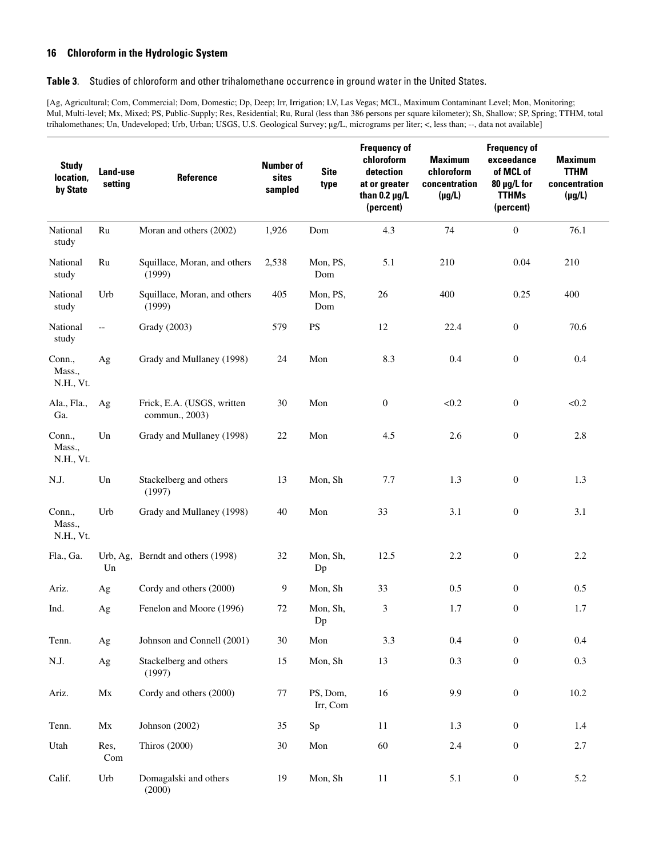#### <span id="page-25-0"></span>**Table 3**. Studies of chloroform and other trihalomethane occurrence in ground water in the United States.

[Ag, Agricultural; Com, Commercial; Dom, Domestic; Dp, Deep; Irr, Irrigation; LV, Las Vegas; MCL, Maximum Contaminant Level; Mon, Monitoring; Mul, Multi-level; Mx, Mixed; PS, Public-Supply; Res, Residential; Ru, Rural (less than 386 persons per square kilometer); Sh, Shallow; SP, Spring; TTHM, total trihalomethanes; Un, Undeveloped; Urb, Urban; USGS, U.S. Geological Survey; µg/L, micrograms per liter; <, less than; --, data not available]

| <b>Study</b><br>location,<br>by State | Land-use<br>setting      | Reference                                    | <b>Number of</b><br>sites<br>sampled | <b>Site</b><br>type  | <b>Frequency of</b><br>chloroform<br>detection<br>at or greater<br>than $0.2 \mu g/L$<br>(percent) | <b>Maximum</b><br>chloroform<br>concentration<br>$(\mu g/L)$ | <b>Frequency of</b><br>exceedance<br>of MCL of<br>80 µg/L for<br><b>TTHMs</b><br>(percent) | <b>Maximum</b><br><b>TTHM</b><br>concentration<br>$(\mu g/L)$ |
|---------------------------------------|--------------------------|----------------------------------------------|--------------------------------------|----------------------|----------------------------------------------------------------------------------------------------|--------------------------------------------------------------|--------------------------------------------------------------------------------------------|---------------------------------------------------------------|
| National<br>study                     | Ru                       | Moran and others (2002)                      | 1,926                                | Dom                  | 4.3                                                                                                | 74                                                           | $\boldsymbol{0}$                                                                           | 76.1                                                          |
| National<br>study                     | Ru                       | Squillace, Moran, and others<br>(1999)       | 2,538                                | Mon, PS,<br>Dom      | 5.1                                                                                                | 210                                                          | 0.04                                                                                       | 210                                                           |
| National<br>study                     | Urb                      | Squillace, Moran, and others<br>(1999)       | 405                                  | Mon, PS,<br>Dom      | 26                                                                                                 | 400                                                          | 0.25                                                                                       | 400                                                           |
| National<br>study                     | $\overline{\phantom{m}}$ | Grady (2003)                                 | 579                                  | <b>PS</b>            | 12                                                                                                 | 22.4                                                         | $\boldsymbol{0}$                                                                           | 70.6                                                          |
| Conn.,<br>Mass.,<br>N.H., Vt.         | Ag                       | Grady and Mullaney (1998)                    | 24                                   | Mon                  | 8.3                                                                                                | 0.4                                                          | $\boldsymbol{0}$                                                                           | 0.4                                                           |
| Ala., Fla.,<br>Ga.                    | Ag                       | Frick, E.A. (USGS, written<br>commun., 2003) | 30                                   | Mon                  | $\boldsymbol{0}$                                                                                   | < 0.2                                                        | $\boldsymbol{0}$                                                                           | < 0.2                                                         |
| Conn.,<br>Mass.,<br>N.H., Vt.         | Un                       | Grady and Mullaney (1998)                    | $22\,$                               | Mon                  | 4.5                                                                                                | 2.6                                                          | $\boldsymbol{0}$                                                                           | 2.8                                                           |
| N.J.                                  | $\mathop{\mathrm{Un}}$   | Stackelberg and others<br>(1997)             | 13                                   | Mon, Sh              | 7.7                                                                                                | 1.3                                                          | $\boldsymbol{0}$                                                                           | 1.3                                                           |
| Conn.,<br>Mass.,<br>N.H., Vt.         | Urb                      | Grady and Mullaney (1998)                    | 40                                   | Mon                  | 33                                                                                                 | 3.1                                                          | $\boldsymbol{0}$                                                                           | 3.1                                                           |
| Fla., Ga.                             | Un                       | Urb, Ag, Berndt and others (1998)            | 32                                   | Mon, Sh,<br>Dp       | 12.5                                                                                               | 2.2                                                          | $\boldsymbol{0}$                                                                           | 2.2                                                           |
| Ariz.                                 | Ag                       | Cordy and others (2000)                      | 9                                    | Mon, Sh              | 33                                                                                                 | 0.5                                                          | $\boldsymbol{0}$                                                                           | 0.5                                                           |
| Ind.                                  | Ag                       | Fenelon and Moore (1996)                     | 72                                   | Mon, Sh,<br>Dp       | 3                                                                                                  | 1.7                                                          | $\boldsymbol{0}$                                                                           | 1.7                                                           |
| Tenn.                                 | Ag                       | Johnson and Connell (2001)                   | 30                                   | Mon                  | 3.3                                                                                                | 0.4                                                          | $\boldsymbol{0}$                                                                           | $0.4\,$                                                       |
| N.J.                                  | Ag                       | Stackelberg and others<br>(1997)             | 15                                   | Mon, Sh              | 13                                                                                                 | 0.3                                                          | $\boldsymbol{0}$                                                                           | 0.3                                                           |
| Ariz.                                 | Mx                       | Cordy and others (2000)                      | 77                                   | PS, Dom,<br>Irr, Com | 16                                                                                                 | 9.9                                                          | $\boldsymbol{0}$                                                                           | 10.2                                                          |
| Tenn.                                 | Mx                       | Johnson (2002)                               | 35                                   | Sp                   | 11                                                                                                 | 1.3                                                          | $\boldsymbol{0}$                                                                           | 1.4                                                           |
| Utah                                  | Res,<br>Com              | <b>Thiros</b> (2000)                         | $30\,$                               | Mon                  | 60                                                                                                 | $2.4\,$                                                      | $\boldsymbol{0}$                                                                           | $2.7\,$                                                       |
| Calif.                                | Urb                      | Domagalski and others<br>(2000)              | 19                                   | Mon, Sh              | 11                                                                                                 | 5.1                                                          | $\boldsymbol{0}$                                                                           | 5.2                                                           |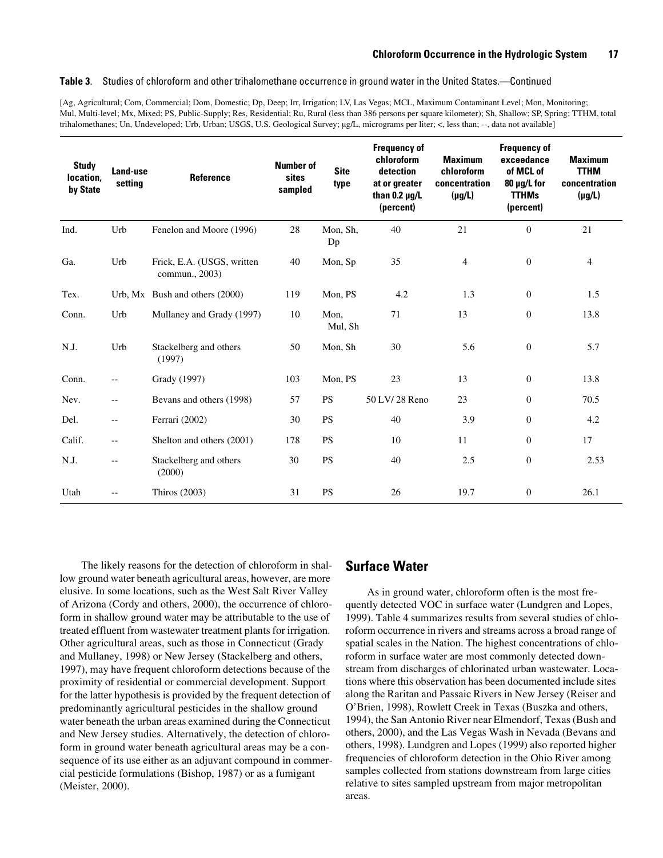#### **Table 3**. Studies of chloroform and other trihalomethane occurrence in ground water in the United States.—Continued

[Ag, Agricultural; Com, Commercial; Dom, Domestic; Dp, Deep; Irr, Irrigation; LV, Las Vegas; MCL, Maximum Contaminant Level; Mon, Monitoring; Mul, Multi-level; Mx, Mixed; PS, Public-Supply; Res, Residential; Ru, Rural (less than 386 persons per square kilometer); Sh, Shallow; SP, Spring; TTHM, total trihalomethanes; Un, Undeveloped; Urb, Urban; USGS, U.S. Geological Survey; µg/L, micrograms per liter; <, less than; --, data not available]

| <b>Study</b><br>location.<br>by State | Land-use<br>setting      | Reference                                    | <b>Number of</b><br>sites<br>sampled | <b>Site</b><br>type | <b>Frequency of</b><br>chloroform<br>detection<br>at or greater<br>than $0.2 \mu g/L$<br>(percent) | <b>Maximum</b><br>chloroform<br>concentration<br>$(\mu g/L)$ | <b>Frequency of</b><br>exceedance<br>of MCL of<br>80 µg/L for<br><b>TTHMs</b><br>(percent) | <b>Maximum</b><br><b>TTHM</b><br>concentration<br>$(\mu g/L)$ |
|---------------------------------------|--------------------------|----------------------------------------------|--------------------------------------|---------------------|----------------------------------------------------------------------------------------------------|--------------------------------------------------------------|--------------------------------------------------------------------------------------------|---------------------------------------------------------------|
| Ind.                                  | Urb                      | Fenelon and Moore (1996)                     | 28                                   | Mon, Sh,<br>Dp      | 40                                                                                                 | 21                                                           | $\overline{0}$                                                                             | 21                                                            |
| Ga.                                   | Urb                      | Frick, E.A. (USGS, written<br>commun., 2003) | 40                                   | Mon, Sp             | 35                                                                                                 | $\overline{4}$                                               | $\boldsymbol{0}$                                                                           | 4                                                             |
| Tex.                                  |                          | Urb, Mx Bush and others (2000)               | 119                                  | Mon, PS             | 4.2                                                                                                | 1.3                                                          | $\boldsymbol{0}$                                                                           | 1.5                                                           |
| Conn.                                 | Urb                      | Mullaney and Grady (1997)                    | 10                                   | Mon,<br>Mul, Sh     | 71                                                                                                 | 13                                                           | $\boldsymbol{0}$                                                                           | 13.8                                                          |
| N.J.                                  | Urb                      | Stackelberg and others<br>(1997)             | 50                                   | Mon, Sh             | 30                                                                                                 | 5.6                                                          | $\boldsymbol{0}$                                                                           | 5.7                                                           |
| Conn.                                 | $\overline{\phantom{m}}$ | Grady (1997)                                 | 103                                  | Mon, PS             | 23                                                                                                 | 13                                                           | $\boldsymbol{0}$                                                                           | 13.8                                                          |
| Nev.                                  | $\overline{\phantom{a}}$ | Bevans and others (1998)                     | 57                                   | <b>PS</b>           | 50 LV/28 Reno                                                                                      | 23                                                           | $\boldsymbol{0}$                                                                           | 70.5                                                          |
| Del.                                  | $\overline{\phantom{m}}$ | Ferrari (2002)                               | 30                                   | <b>PS</b>           | 40                                                                                                 | 3.9                                                          | $\boldsymbol{0}$                                                                           | 4.2                                                           |
| Calif.                                | $\overline{\phantom{a}}$ | Shelton and others (2001)                    | 178                                  | <b>PS</b>           | 10                                                                                                 | 11                                                           | $\boldsymbol{0}$                                                                           | 17                                                            |
| N.J.                                  | $\overline{\phantom{a}}$ | Stackelberg and others<br>(2000)             | 30                                   | <b>PS</b>           | 40                                                                                                 | 2.5                                                          | $\boldsymbol{0}$                                                                           | 2.53                                                          |
| Utah                                  | --                       | Thiros (2003)                                | 31                                   | <b>PS</b>           | 26                                                                                                 | 19.7                                                         | $\boldsymbol{0}$                                                                           | 26.1                                                          |

The likely reasons for the detection of chloroform in shallow ground water beneath agricultural areas, however, are more elusive. In some locations, such as the West Salt River Valley of Arizona (Cordy and others, 2000), the occurrence of chloroform in shallow ground water may be attributable to the use of treated effluent from wastewater treatment plants for irrigation. Other agricultural areas, such as those in Connecticut (Grady and Mullaney, 1998) or New Jersey (Stackelberg and others, 1997), may have frequent chloroform detections because of the proximity of residential or commercial development. Support for the latter hypothesis is provided by the frequent detection of predominantly agricultural pesticides in the shallow ground water beneath the urban areas examined during the Connecticut and New Jersey studies. Alternatively, the detection of chloroform in ground water beneath agricultural areas may be a consequence of its use either as an adjuvant compound in commercial pesticide formulations (Bishop, 1987) or as a fumigant (Meister, 2000).

### <span id="page-26-0"></span>**Surface Water**

As in ground water, chloroform often is the most frequently detected VOC in surface water (Lundgren and Lopes, 1999). Table 4 summarizes results from several studies of chloroform occurrence in rivers and streams across a broad range of spatial scales in the Nation. The highest concentrations of chloroform in surface water are most commonly detected downstream from discharges of chlorinated urban wastewater. Locations where this observation has been documented include sites along the Raritan and Passaic Rivers in New Jersey (Reiser and O'Brien, 1998), Rowlett Creek in Texas (Buszka and others, 1994), the San Antonio River near Elmendorf, Texas (Bush and others, 2000), and the Las Vegas Wash in Nevada (Bevans and others, 1998). Lundgren and Lopes (1999) also reported higher frequencies of chloroform detection in the Ohio River among samples collected from stations downstream from large cities relative to sites sampled upstream from major metropolitan areas.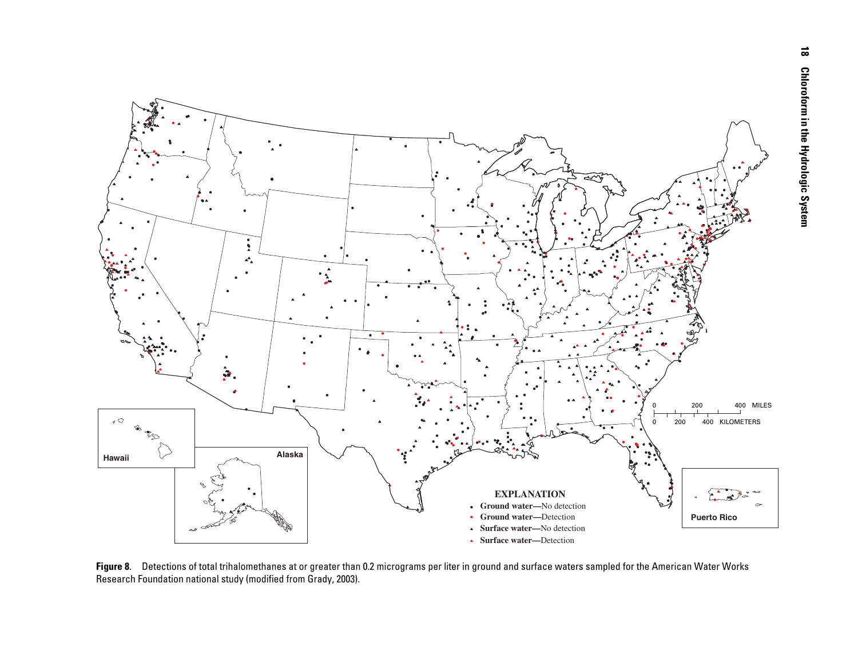

**Figure 8**. Detections of total trihalomethanes at or greater than 0.2 micrograms per liter in ground and surface waters sampled for the American Water Works Research Foundation national study (modified from Grady, 2003).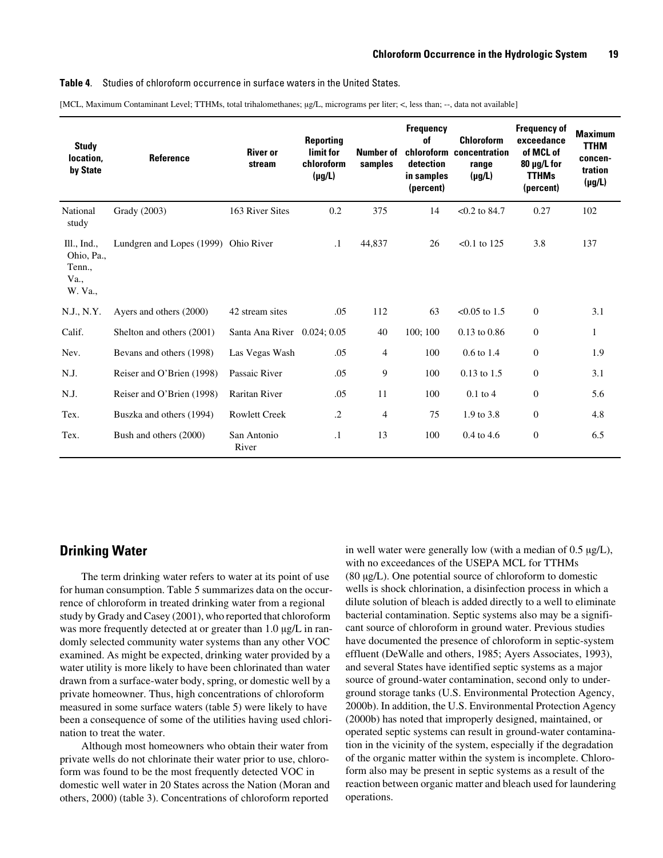#### <span id="page-28-1"></span>**Table 4**. Studies of chloroform occurrence in surface waters in the United States.

| [MCL, Maximum Contaminant Level; TTHMs, total trihalomethanes; µg/L, micrograms per liter; <, less than; --, data not available] |  |  |  |  |  |
|----------------------------------------------------------------------------------------------------------------------------------|--|--|--|--|--|
|----------------------------------------------------------------------------------------------------------------------------------|--|--|--|--|--|

| <b>Study</b><br>location.<br>by State                  | <b>Reference</b>          | <b>River or</b><br>stream   | <b>Reporting</b><br>limit for<br>chloroform<br>$(\mu g/L)$ | Number of<br>samples | <b>Frequency</b><br>of<br>detection<br>in samples<br>(percent) | <b>Chloroform</b><br>chloroform concentration<br>range<br>$(\mu g/L)$ | <b>Frequency of</b><br>exceedance<br>of MCL of<br>80 µg/L for<br><b>TTHMs</b><br>(percent) | <b>Maximum</b><br><b>TTHM</b><br>concen-<br>tration<br>$(\mu g/L)$ |
|--------------------------------------------------------|---------------------------|-----------------------------|------------------------------------------------------------|----------------------|----------------------------------------------------------------|-----------------------------------------------------------------------|--------------------------------------------------------------------------------------------|--------------------------------------------------------------------|
| National<br>study                                      | Grady (2003)              | 163 River Sites             | 0.2                                                        | 375                  | 14                                                             | $< 0.2$ to 84.7                                                       | 0.27                                                                                       | 102                                                                |
| III., Ind.,<br>Ohio, Pa.,<br>Tenn.,<br>Va.,<br>W. Va., | Lundgren and Lopes (1999) | Ohio River                  | $\cdot$ 1                                                  | 44,837               | 26                                                             | $< 0.1$ to 125                                                        | 3.8                                                                                        | 137                                                                |
| N.J., N.Y.                                             | Ayers and others (2000)   | 42 stream sites             | .05                                                        | 112                  | 63                                                             | $< 0.05$ to 1.5                                                       | $\Omega$                                                                                   | 3.1                                                                |
| Calif.                                                 | Shelton and others (2001) | Santa Ana River 0.024; 0.05 |                                                            | 40                   | 100; 100                                                       | $0.13$ to $0.86$                                                      | $\overline{0}$                                                                             | 1                                                                  |
| Nev.                                                   | Bevans and others (1998)  | Las Vegas Wash              | .05                                                        | $\overline{4}$       | 100                                                            | 0.6 to 1.4                                                            | $\mathbf{0}$                                                                               | 1.9                                                                |
| N.J.                                                   | Reiser and O'Brien (1998) | Passaic River               | .05                                                        | 9                    | 100                                                            | $0.13$ to 1.5                                                         | $\mathbf{0}$                                                                               | 3.1                                                                |
| N.J.                                                   | Reiser and O'Brien (1998) | <b>Raritan River</b>        | .05                                                        | 11                   | 100                                                            | $0.1$ to 4                                                            | $\overline{0}$                                                                             | 5.6                                                                |
| Tex.                                                   | Buszka and others (1994)  | <b>Rowlett Creek</b>        | $\cdot$ .2                                                 | 4                    | 75                                                             | 1.9 to 3.8                                                            | $\mathbf{0}$                                                                               | 4.8                                                                |
| Tex.                                                   | Bush and others (2000)    | San Antonio<br>River        | $\cdot$ 1                                                  | 13                   | 100                                                            | $0.4$ to 4.6                                                          | $\mathbf{0}$                                                                               | 6.5                                                                |

### <span id="page-28-0"></span>**Drinking Water**

The term drinking water refers to water at its point of use for human consumption. Table 5 summarizes data on the occurrence of chloroform in treated drinking water from a regional study by Grady and Casey (2001), who reported that chloroform was more frequently detected at or greater than 1.0  $\mu$ g/L in randomly selected community water systems than any other VOC examined. As might be expected, drinking water provided by a water utility is more likely to have been chlorinated than water drawn from a surface-water body, spring, or domestic well by a private homeowner. Thus, high concentrations of chloroform measured in some surface waters (table 5) were likely to have been a consequence of some of the utilities having used chlorination to treat the water.

Although most homeowners who obtain their water from private wells do not chlorinate their water prior to use, chloroform was found to be the most frequently detected VOC in domestic well water in 20 States across the Nation (Moran and others, 2000) (table 3). Concentrations of chloroform reported

in well water were generally low (with a median of 0.5 µg/L), with no exceedances of the USEPA MCL for TTHMs (80 µg/L). One potential source of chloroform to domestic wells is shock chlorination, a disinfection process in which a dilute solution of bleach is added directly to a well to eliminate bacterial contamination. Septic systems also may be a significant source of chloroform in ground water. Previous studies have documented the presence of chloroform in septic-system effluent (DeWalle and others, 1985; Ayers Associates, 1993), and several States have identified septic systems as a major source of ground-water contamination, second only to underground storage tanks (U.S. Environmental Protection Agency, 2000b). In addition, the U.S. Environmental Protection Agency (2000b) has noted that improperly designed, maintained, or operated septic systems can result in ground-water contamination in the vicinity of the system, especially if the degradation of the organic matter within the system is incomplete. Chloroform also may be present in septic systems as a result of the reaction between organic matter and bleach used for laundering operations.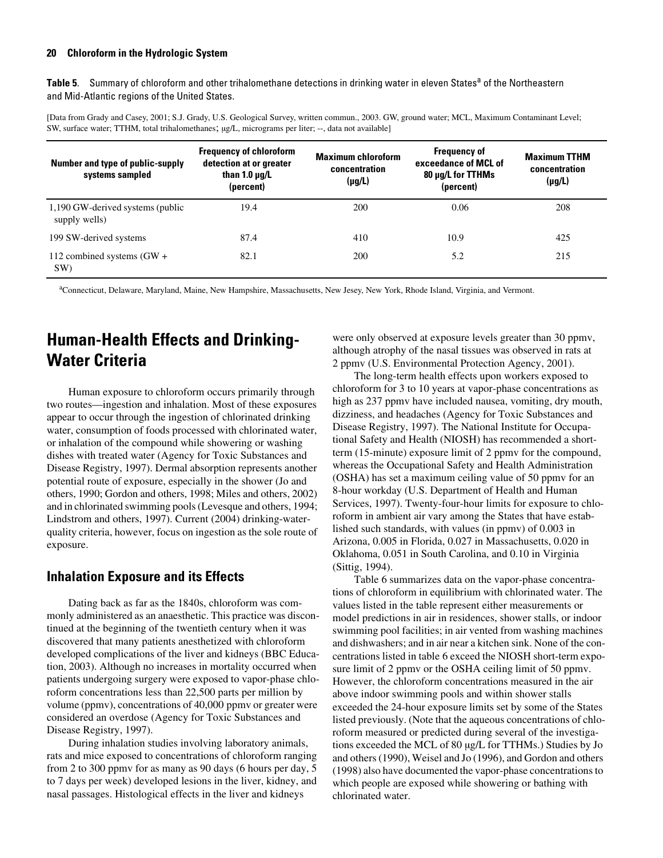<span id="page-29-2"></span>Table 5. Summary of chloroform and other trihalomethane detections in drinking water in eleven States<sup>a</sup> of the Northeastern and Mid-Atlantic regions of the United States.

[Data from Grady and Casey, 2001; S.J. Grady, U.S. Geological Survey, written commun., 2003. GW, ground water; MCL, Maximum Contaminant Level; SW, surface water; TTHM, total trihalomethanes;  $\mu g/L$ , micrograms per liter; --, data not available]

| Number and type of public-supply<br>systems sampled | <b>Frequency of chloroform</b><br>detection at or greater<br>than 1.0 $\mu q/L$<br>(percent) | <b>Maximum chloroform</b><br>concentration<br>$(\mu g/L)$ | <b>Frequency of</b><br>exceedance of MCL of<br>80 µg/L for TTHMs<br>(percent) | <b>Maximum TTHM</b><br>concentration<br>$(\mu g/L)$ |
|-----------------------------------------------------|----------------------------------------------------------------------------------------------|-----------------------------------------------------------|-------------------------------------------------------------------------------|-----------------------------------------------------|
| 1,190 GW-derived systems (public<br>supply wells)   | 19.4                                                                                         | 200                                                       | 0.06                                                                          | 208                                                 |
| 199 SW-derived systems                              | 87.4                                                                                         | 410                                                       | 10.9                                                                          | 425                                                 |
| 112 combined systems $(GW +$<br>SW)                 | 82.1                                                                                         | 200                                                       | 5.2                                                                           | 215                                                 |

a Connecticut, Delaware, Maryland, Maine, New Hampshire, Massachusetts, New Jesey, New York, Rhode Island, Virginia, and Vermont.

### <span id="page-29-0"></span>**Human-Health Effects and Drinking-Water Criteria**

Human exposure to chloroform occurs primarily through two routes—ingestion and inhalation. Most of these exposures appear to occur through the ingestion of chlorinated drinking water, consumption of foods processed with chlorinated water, or inhalation of the compound while showering or washing dishes with treated water (Agency for Toxic Substances and Disease Registry, 1997). Dermal absorption represents another potential route of exposure, especially in the shower (Jo and others, 1990; Gordon and others, 1998; Miles and others, 2002) and in chlorinated swimming pools (Levesque and others, 1994; Lindstrom and others, 1997). Current (2004) drinking-waterquality criteria, however, focus on ingestion as the sole route of exposure.

### <span id="page-29-1"></span>**Inhalation Exposure and its Effects**

Dating back as far as the 1840s, chloroform was commonly administered as an anaesthetic. This practice was discontinued at the beginning of the twentieth century when it was discovered that many patients anesthetized with chloroform developed complications of the liver and kidneys (BBC Education, 2003). Although no increases in mortality occurred when patients undergoing surgery were exposed to vapor-phase chloroform concentrations less than 22,500 parts per million by volume (ppmv), concentrations of 40,000 ppmv or greater were considered an overdose (Agency for Toxic Substances and Disease Registry, 1997).

During inhalation studies involving laboratory animals, rats and mice exposed to concentrations of chloroform ranging from 2 to 300 ppmv for as many as 90 days (6 hours per day, 5 to 7 days per week) developed lesions in the liver, kidney, and nasal passages. Histological effects in the liver and kidneys

were only observed at exposure levels greater than 30 ppmv, although atrophy of the nasal tissues was observed in rats at 2 ppmv (U.S. Environmental Protection Agency, 2001).

The long-term health effects upon workers exposed to chloroform for 3 to 10 years at vapor-phase concentrations as high as 237 ppmv have included nausea, vomiting, dry mouth, dizziness, and headaches (Agency for Toxic Substances and Disease Registry, 1997). The National Institute for Occupational Safety and Health (NIOSH) has recommended a shortterm (15-minute) exposure limit of 2 ppmv for the compound, whereas the Occupational Safety and Health Administration (OSHA) has set a maximum ceiling value of 50 ppmv for an 8-hour workday (U.S. Department of Health and Human Services, 1997). Twenty-four-hour limits for exposure to chloroform in ambient air vary among the States that have established such standards, with values (in ppmv) of 0.003 in Arizona, 0.005 in Florida, 0.027 in Massachusetts, 0.020 in Oklahoma, 0.051 in South Carolina, and 0.10 in Virginia (Sittig, 1994).

Table 6 summarizes data on the vapor-phase concentrations of chloroform in equilibrium with chlorinated water. The values listed in the table represent either measurements or model predictions in air in residences, shower stalls, or indoor swimming pool facilities; in air vented from washing machines and dishwashers; and in air near a kitchen sink. None of the concentrations listed in table 6 exceed the NIOSH short-term exposure limit of 2 ppmv or the OSHA ceiling limit of 50 ppmv. However, the chloroform concentrations measured in the air above indoor swimming pools and within shower stalls exceeded the 24-hour exposure limits set by some of the States listed previously. (Note that the aqueous concentrations of chloroform measured or predicted during several of the investigations exceeded the MCL of 80 µg/L for TTHMs.) Studies by Jo and others (1990), Weisel and Jo (1996), and Gordon and others (1998) also have documented the vapor-phase concentrations to which people are exposed while showering or bathing with chlorinated water.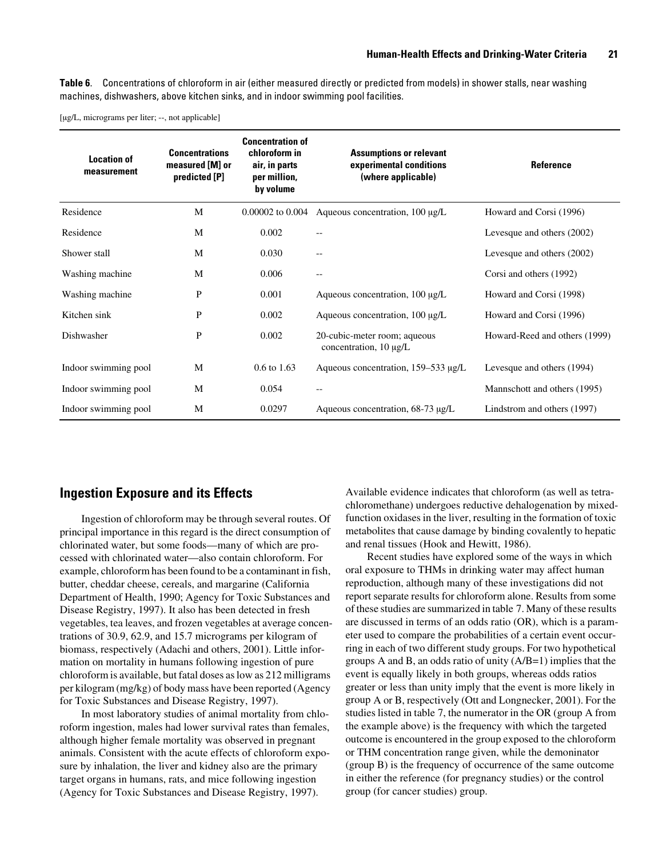<span id="page-30-1"></span>**Table 6**. Concentrations of chloroform in air (either measured directly or predicted from models) in shower stalls, near washing machines, dishwashers, above kitchen sinks, and in indoor swimming pool facilities.

[µg/L, micrograms per liter; --, not applicable]

| <b>Location of</b><br>measurement | <b>Concentrations</b><br>measured [M] or<br>predicted [P] | <b>Concentration of</b><br>chloroform in<br>air, in parts<br>per million,<br>by volume | <b>Assumptions or relevant</b><br>experimental conditions<br>(where applicable) | Reference                     |
|-----------------------------------|-----------------------------------------------------------|----------------------------------------------------------------------------------------|---------------------------------------------------------------------------------|-------------------------------|
| Residence                         | M                                                         | $0.00002$ to $0.004$                                                                   | Aqueous concentration, 100 µg/L                                                 | Howard and Corsi (1996)       |
| Residence                         | M                                                         | 0.002                                                                                  | $- -$                                                                           | Levesque and others (2002)    |
| Shower stall                      | M                                                         | 0.030                                                                                  | $-$                                                                             | Levesque and others (2002)    |
| Washing machine                   | M                                                         | 0.006                                                                                  | $-$                                                                             | Corsi and others (1992)       |
| Washing machine                   | P                                                         | 0.001                                                                                  | Aqueous concentration, $100 \mu g/L$                                            | Howard and Corsi (1998)       |
| Kitchen sink                      | P                                                         | 0.002                                                                                  | Aqueous concentration, 100 µg/L                                                 | Howard and Corsi (1996)       |
| Dishwasher                        | P                                                         | 0.002                                                                                  | 20-cubic-meter room; aqueous<br>concentration, $10 \mu g/L$                     | Howard-Reed and others (1999) |
| Indoor swimming pool              | M                                                         | $0.6 \text{ to } 1.63$                                                                 | Aqueous concentration, 159–533 µg/L                                             | Levesque and others (1994)    |
| Indoor swimming pool              | M                                                         | 0.054                                                                                  | $-$                                                                             | Mannschott and others (1995)  |
| Indoor swimming pool              | M                                                         | 0.0297                                                                                 | Aqueous concentration, 68-73 µg/L                                               | Lindstrom and others (1997)   |

### <span id="page-30-0"></span>**Ingestion Exposure and its Effects**

Ingestion of chloroform may be through several routes. Of principal importance in this regard is the direct consumption of chlorinated water, but some foods—many of which are processed with chlorinated water—also contain chloroform. For example, chloroform has been found to be a contaminant in fish, butter, cheddar cheese, cereals, and margarine (California Department of Health, 1990; Agency for Toxic Substances and Disease Registry, 1997). It also has been detected in fresh vegetables, tea leaves, and frozen vegetables at average concentrations of 30.9, 62.9, and 15.7 micrograms per kilogram of biomass, respectively (Adachi and others, 2001). Little information on mortality in humans following ingestion of pure chloroform is available, but fatal doses as low as 212 milligrams per kilogram (mg/kg) of body mass have been reported (Agency for Toxic Substances and Disease Registry, 1997).

In most laboratory studies of animal mortality from chloroform ingestion, males had lower survival rates than females, although higher female mortality was observed in pregnant animals. Consistent with the acute effects of chloroform exposure by inhalation, the liver and kidney also are the primary target organs in humans, rats, and mice following ingestion (Agency for Toxic Substances and Disease Registry, 1997).

Available evidence indicates that chloroform (as well as tetrachloromethane) undergoes reductive dehalogenation by mixedfunction oxidases in the liver, resulting in the formation of toxic metabolites that cause damage by binding covalently to hepatic and renal tissues (Hook and Hewitt, 1986).

Recent studies have explored some of the ways in which oral exposure to THMs in drinking water may affect human reproduction, although many of these investigations did not report separate results for chloroform alone. Results from some of these studies are summarized in table 7. Many of these results are discussed in terms of an odds ratio (OR), which is a parameter used to compare the probabilities of a certain event occurring in each of two different study groups. For two hypothetical groups A and B, an odds ratio of unity (A/B=1) implies that the event is equally likely in both groups, whereas odds ratios greater or less than unity imply that the event is more likely in group A or B, respectively (Ott and Longnecker, 2001). For the studies listed in table 7, the numerator in the OR (group A from the example above) is the frequency with which the targeted outcome is encountered in the group exposed to the chloroform or THM concentration range given, while the demoninator (group B) is the frequency of occurrence of the same outcome in either the reference (for pregnancy studies) or the control group (for cancer studies) group.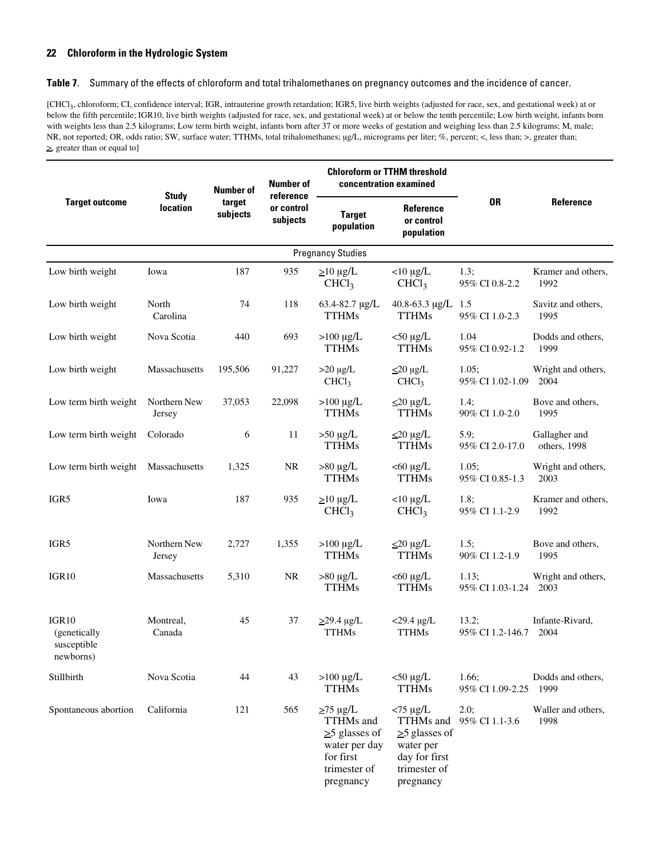#### **Table 7**. Summary of the effects of chloroform and total trihalomethanes on pregnancy outcomes and the incidence of cancer.

[CHCl<sub>3</sub>, chloroform; CI, confidence interval; IGR, intrauterine growth retardation; IGR5, live birth weights (adjusted for race, sex, and gestational week) at or below the fifth percentile; IGR10, live birth weights (adjusted for race, sex, and gestational week) at or below the tenth percentile; Low birth weight, infants born with weights less than 2.5 kilograms; Low term birth weight, infants born after 37 or more weeks of gestation and weighing less than 2.5 kilograms; M, male; NR, not reported; OR, odds ratio; SW, surface water; TTHMs, total trihalomethanes; µg/L, micrograms per liter; %, percent; <, less than; >, greater than;  $\geq$ , greater than or equal to]

|                                                   | <b>Study</b><br><b>location</b> | <b>Number of</b><br>target<br>subjects | <b>Number of</b><br>reference<br>or control<br>subjects | <b>Chloroform or TTHM threshold</b><br>concentration examined                                               |                                                                                                            |                                |                               |
|---------------------------------------------------|---------------------------------|----------------------------------------|---------------------------------------------------------|-------------------------------------------------------------------------------------------------------------|------------------------------------------------------------------------------------------------------------|--------------------------------|-------------------------------|
| <b>Target outcome</b>                             |                                 |                                        |                                                         | <b>Target</b><br>population                                                                                 | Reference<br>or control<br>population                                                                      | <b>OR</b>                      | Reference                     |
|                                                   |                                 |                                        |                                                         | <b>Pregnancy Studies</b>                                                                                    |                                                                                                            |                                |                               |
| Low birth weight                                  | Iowa                            | 187                                    | 935                                                     | $\geq$ 10 µg/L<br>CHCl <sub>3</sub>                                                                         | $<$ 10 µg/L<br>CHCl <sub>3</sub>                                                                           | 1.3:<br>95% CI 0.8-2.2         | Kramer and others,<br>1992    |
| Low birth weight                                  | North<br>Carolina               | 74                                     | 118                                                     | 63.4-82.7 µg/L<br><b>TTHMs</b>                                                                              | 40.8-63.3 $\mu$ g/L<br><b>TTHMs</b>                                                                        | 1.5<br>95% CI 1.0-2.3          | Savitz and others,<br>1995    |
| Low birth weight                                  | Nova Scotia                     | 440                                    | 693                                                     | $>100 \mu g/L$<br><b>TTHMs</b>                                                                              | $<$ 50 µg/L<br><b>TTHMs</b>                                                                                | 1.04<br>95% CI 0.92-1.2        | Dodds and others,<br>1999     |
| Low birth weight                                  | Massachusetts                   | 195,506                                | 91,227                                                  | $>20 \mu g/L$<br>CHCl <sub>3</sub>                                                                          | $\leq$ 20 µg/L<br>CHCl <sub>3</sub>                                                                        | 1.05;<br>95% CI 1.02-1.09      | Wright and others,<br>2004    |
| Low term birth weight                             | Northern New<br>Jersey          | 37,053                                 | 22,098                                                  | $>100 \mu g/L$<br><b>TTHMs</b>                                                                              | $\leq$ 20 µg/L<br><b>TTHMs</b>                                                                             | $1.4$ ;<br>90% CI 1.0-2.0      | Bove and others,<br>1995      |
| Low term birth weight                             | Colorado                        | 6                                      | 11                                                      | $>50 \mu g/L$<br><b>TTHMs</b>                                                                               | $\leq$ 20 µg/L<br><b>TTHMs</b>                                                                             | 5.9;<br>95% CI 2.0-17.0        | Gallagher and<br>others, 1998 |
| Low term birth weight Massachusetts               |                                 | 1,325                                  | NR.                                                     | $>80 \mu g/L$<br><b>TTHMs</b>                                                                               | $<$ 60 $\mu$ g/L<br><b>TTHMs</b>                                                                           | 1.05:<br>95% CI 0.85-1.3       | Wright and others,<br>2003    |
| IGR5                                              | Iowa                            | 187                                    | 935                                                     | $\geq$ 10 µg/L<br>CHCl <sub>3</sub>                                                                         | $<$ 10 µg/L<br>CHCl <sub>3</sub>                                                                           | 1.8;<br>95% CI 1.1-2.9         | Kramer and others,<br>1992    |
| IGR5                                              | Northern New<br>Jersey          | 2,727                                  | 1,355                                                   | $>100 \mu g/L$<br><b>TTHMs</b>                                                                              | $\leq$ 20 µg/L<br><b>TTHMs</b>                                                                             | 1.5;<br>90% CI 1.2-1.9         | Bove and others,<br>1995      |
| IGR <sub>10</sub>                                 | Massachusetts                   | 5,310                                  | <b>NR</b>                                               | $>80 \mu g/L$<br><b>TTHMs</b>                                                                               | $<$ 60 $\mu$ g/L<br><b>TTHMs</b>                                                                           | 1.13;<br>95% CI 1.03-1.24 2003 | Wright and others,            |
| IGR10<br>(genetically<br>susceptible<br>newborns) | Montreal,<br>Canada             | 45                                     | 37                                                      | $\geq$ 29.4 µg/L<br><b>TTHMs</b>                                                                            | $<$ 29.4 $\mu$ g/L<br><b>TTHMs</b>                                                                         | 13.2;<br>95% CI 1.2-146.7      | Infante-Rivard,<br>2004       |
| Stillbirth                                        | Nova Scotia                     | 44                                     | 43                                                      | $>100 \mu g/L$<br><b>TTHMs</b>                                                                              | $<$ 50 µg/L<br><b>TTHMs</b>                                                                                | 1.66;<br>95% CI 1.09-2.25      | Dodds and others,<br>1999     |
| Spontaneous abortion                              | California                      | 121                                    | 565                                                     | $\geq$ 75 µg/L<br>TTHMs and<br>$\geq$ glasses of<br>water per day<br>for first<br>trimester of<br>pregnancy | $<$ 75 µg/L<br>TTHMs and<br>$\geq$ 5 glasses of<br>water per<br>day for first<br>trimester of<br>pregnancy | 2.0;<br>95% CI 1.1-3.6         | Waller and others,<br>1998    |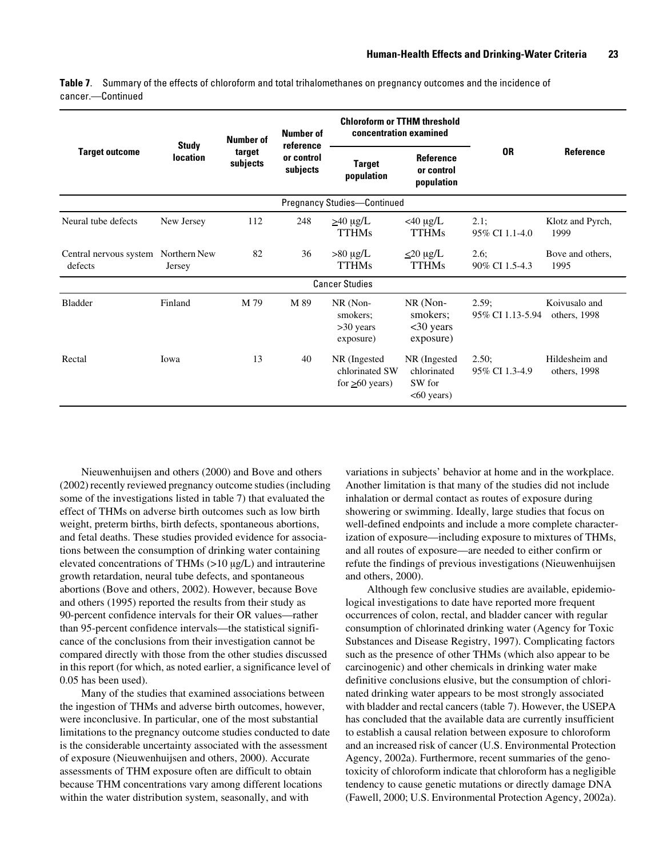**Table 7**. Summary of the effects of chloroform and total trihalomethanes on pregnancy outcomes and the incidence of cancer.—Continued

| <b>Target outcome</b>             | <b>Study</b><br><b>location</b> | <b>Number of</b><br>target<br>subjects | <b>Number of</b><br>reference<br>or control<br>subjects | <b>Chloroform or TTHM threshold</b><br>concentration examined |                                                       |                           |                                |
|-----------------------------------|---------------------------------|----------------------------------------|---------------------------------------------------------|---------------------------------------------------------------|-------------------------------------------------------|---------------------------|--------------------------------|
|                                   |                                 |                                        |                                                         | <b>Target</b><br>population                                   | <b>Reference</b><br>or control<br>population          | <b>OR</b>                 | <b>Reference</b>               |
|                                   |                                 |                                        |                                                         | <b>Pregnancy Studies-Continued</b>                            |                                                       |                           |                                |
| Neural tube defects               | New Jersey                      | 112                                    | 248                                                     | $\geq 40 \mu g/L$<br><b>TTHMs</b>                             | $<$ 40 µg/L<br><b>TTHMs</b>                           | 2.1;<br>95% CI 1.1-4.0    | Klotz and Pyrch,<br>1999       |
| Central nervous system<br>defects | Northern New<br>Jersey          | 82                                     | 36                                                      | $>80 \mu g/L$<br><b>TTHMs</b>                                 | $\leq$ 20 µg/L<br><b>TTHMs</b>                        | 2.6;<br>90% CI 1.5-4.3    | Bove and others,<br>1995       |
|                                   |                                 |                                        |                                                         | <b>Cancer Studies</b>                                         |                                                       |                           |                                |
| <b>Bladder</b>                    | Finland                         | M 79                                   | M 89                                                    | NR (Non-<br>smokers;<br>$>30$ years<br>exposure)              | NR (Non-<br>smokers;<br><30 years<br>exposure)        | 2.59;<br>95% CI 1.13-5.94 | Koivusalo and<br>others, 1998  |
| Rectal                            | Iowa                            | 13                                     | 40                                                      | NR (Ingested<br>chlorinated SW<br>for $\geq 60$ years)        | NR (Ingested<br>chlorinated<br>SW for<br>$<60$ years) | 2.50:<br>95% CI 1.3-4.9   | Hildesheim and<br>others, 1998 |

Nieuwenhuijsen and others (2000) and Bove and others (2002) recently reviewed pregnancy outcome studies (including some of the investigations listed in table 7) that evaluated the effect of THMs on adverse birth outcomes such as low birth weight, preterm births, birth defects, spontaneous abortions, and fetal deaths. These studies provided evidence for associations between the consumption of drinking water containing elevated concentrations of THMs (>10 µg/L) and intrauterine growth retardation, neural tube defects, and spontaneous abortions (Bove and others, 2002). However, because Bove and others (1995) reported the results from their study as 90-percent confidence intervals for their OR values—rather than 95-percent confidence intervals—the statistical significance of the conclusions from their investigation cannot be compared directly with those from the other studies discussed in this report (for which, as noted earlier, a significance level of 0.05 has been used).

Many of the studies that examined associations between the ingestion of THMs and adverse birth outcomes, however, were inconclusive. In particular, one of the most substantial limitations to the pregnancy outcome studies conducted to date is the considerable uncertainty associated with the assessment of exposure (Nieuwenhuijsen and others, 2000). Accurate assessments of THM exposure often are difficult to obtain because THM concentrations vary among different locations within the water distribution system, seasonally, and with

variations in subjects' behavior at home and in the workplace. Another limitation is that many of the studies did not include inhalation or dermal contact as routes of exposure during showering or swimming. Ideally, large studies that focus on well-defined endpoints and include a more complete characterization of exposure—including exposure to mixtures of THMs, and all routes of exposure—are needed to either confirm or refute the findings of previous investigations (Nieuwenhuijsen and others, 2000).

Although few conclusive studies are available, epidemiological investigations to date have reported more frequent occurrences of colon, rectal, and bladder cancer with regular consumption of chlorinated drinking water (Agency for Toxic Substances and Disease Registry, 1997). Complicating factors such as the presence of other THMs (which also appear to be carcinogenic) and other chemicals in drinking water make definitive conclusions elusive, but the consumption of chlorinated drinking water appears to be most strongly associated with bladder and rectal cancers (table 7). However, the USEPA has concluded that the available data are currently insufficient to establish a causal relation between exposure to chloroform and an increased risk of cancer (U.S. Environmental Protection Agency, 2002a). Furthermore, recent summaries of the genotoxicity of chloroform indicate that chloroform has a negligible tendency to cause genetic mutations or directly damage DNA (Fawell, 2000; U.S. Environmental Protection Agency, 2002a).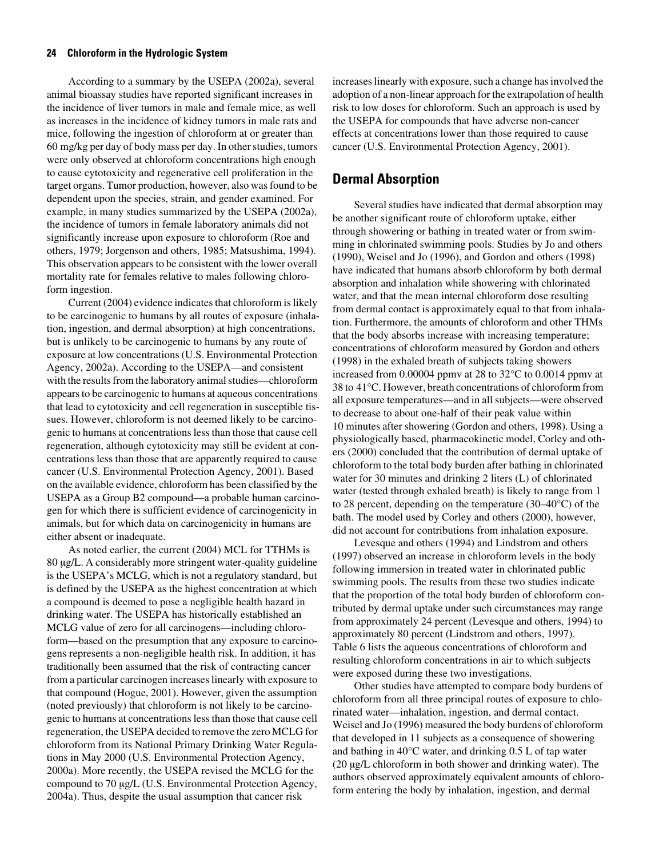According to a summary by the USEPA (2002a), several animal bioassay studies have reported significant increases in the incidence of liver tumors in male and female mice, as well as increases in the incidence of kidney tumors in male rats and mice, following the ingestion of chloroform at or greater than 60 mg/kg per day of body mass per day. In other studies, tumors were only observed at chloroform concentrations high enough to cause cytotoxicity and regenerative cell proliferation in the target organs. Tumor production, however, also was found to be dependent upon the species, strain, and gender examined. For example, in many studies summarized by the USEPA (2002a), the incidence of tumors in female laboratory animals did not significantly increase upon exposure to chloroform (Roe and others, 1979; Jorgenson and others, 1985; Matsushima, 1994). This observation appears to be consistent with the lower overall mortality rate for females relative to males following chloroform ingestion.

Current (2004) evidence indicates that chloroform is likely to be carcinogenic to humans by all routes of exposure (inhalation, ingestion, and dermal absorption) at high concentrations, but is unlikely to be carcinogenic to humans by any route of exposure at low concentrations (U.S. Environmental Protection Agency, 2002a). According to the USEPA—and consistent with the results from the laboratory animal studies—chloroform appears to be carcinogenic to humans at aqueous concentrations that lead to cytotoxicity and cell regeneration in susceptible tissues. However, chloroform is not deemed likely to be carcinogenic to humans at concentrations less than those that cause cell regeneration, although cytotoxicity may still be evident at concentrations less than those that are apparently required to cause cancer (U.S. Environmental Protection Agency, 2001). Based on the available evidence, chloroform has been classified by the USEPA as a Group B2 compound—a probable human carcinogen for which there is sufficient evidence of carcinogenicity in animals, but for which data on carcinogenicity in humans are either absent or inadequate.

As noted earlier, the current (2004) MCL for TTHMs is 80 µg/L. A considerably more stringent water-quality guideline is the USEPA's MCLG, which is not a regulatory standard, but is defined by the USEPA as the highest concentration at which a compound is deemed to pose a negligible health hazard in drinking water. The USEPA has historically established an MCLG value of zero for all carcinogens—including chloroform—based on the presumption that any exposure to carcinogens represents a non-negligible health risk. In addition, it has traditionally been assumed that the risk of contracting cancer from a particular carcinogen increases linearly with exposure to that compound (Hogue, 2001). However, given the assumption (noted previously) that chloroform is not likely to be carcinogenic to humans at concentrations less than those that cause cell regeneration, the USEPA decided to remove the zero MCLG for chloroform from its National Primary Drinking Water Regulations in May 2000 (U.S. Environmental Protection Agency, 2000a). More recently, the USEPA revised the MCLG for the compound to 70 µg/L (U.S. Environmental Protection Agency, 2004a). Thus, despite the usual assumption that cancer risk

increases linearly with exposure, such a change has involved the adoption of a non-linear approach for the extrapolation of health risk to low doses for chloroform. Such an approach is used by the USEPA for compounds that have adverse non-cancer effects at concentrations lower than those required to cause cancer (U.S. Environmental Protection Agency, 2001).

### <span id="page-33-0"></span>**Dermal Absorption**

Several studies have indicated that dermal absorption may be another significant route of chloroform uptake, either through showering or bathing in treated water or from swimming in chlorinated swimming pools. Studies by Jo and others (1990), Weisel and Jo (1996), and Gordon and others (1998) have indicated that humans absorb chloroform by both dermal absorption and inhalation while showering with chlorinated water, and that the mean internal chloroform dose resulting from dermal contact is approximately equal to that from inhalation. Furthermore, the amounts of chloroform and other THMs that the body absorbs increase with increasing temperature; concentrations of chloroform measured by Gordon and others (1998) in the exhaled breath of subjects taking showers increased from 0.00004 ppmv at 28 to 32°C to 0.0014 ppmv at 38 to 41°C. However, breath concentrations of chloroform from all exposure temperatures—and in all subjects—were observed to decrease to about one-half of their peak value within 10 minutes after showering (Gordon and others, 1998). Using a physiologically based, pharmacokinetic model, Corley and others (2000) concluded that the contribution of dermal uptake of chloroform to the total body burden after bathing in chlorinated water for 30 minutes and drinking 2 liters (L) of chlorinated water (tested through exhaled breath) is likely to range from 1 to 28 percent, depending on the temperature (30–40°C) of the bath. The model used by Corley and others (2000), however, did not account for contributions from inhalation exposure.

Levesque and others (1994) and Lindstrom and others (1997) observed an increase in chloroform levels in the body following immersion in treated water in chlorinated public swimming pools. The results from these two studies indicate that the proportion of the total body burden of chloroform contributed by dermal uptake under such circumstances may range from approximately 24 percent (Levesque and others, 1994) to approximately 80 percent (Lindstrom and others, 1997). Table 6 lists the aqueous concentrations of chloroform and resulting chloroform concentrations in air to which subjects were exposed during these two investigations.

Other studies have attempted to compare body burdens of chloroform from all three principal routes of exposure to chlorinated water—inhalation, ingestion, and dermal contact. Weisel and Jo (1996) measured the body burdens of chloroform that developed in 11 subjects as a consequence of showering and bathing in 40°C water, and drinking 0.5 L of tap water (20 µg/L chloroform in both shower and drinking water). The authors observed approximately equivalent amounts of chloroform entering the body by inhalation, ingestion, and dermal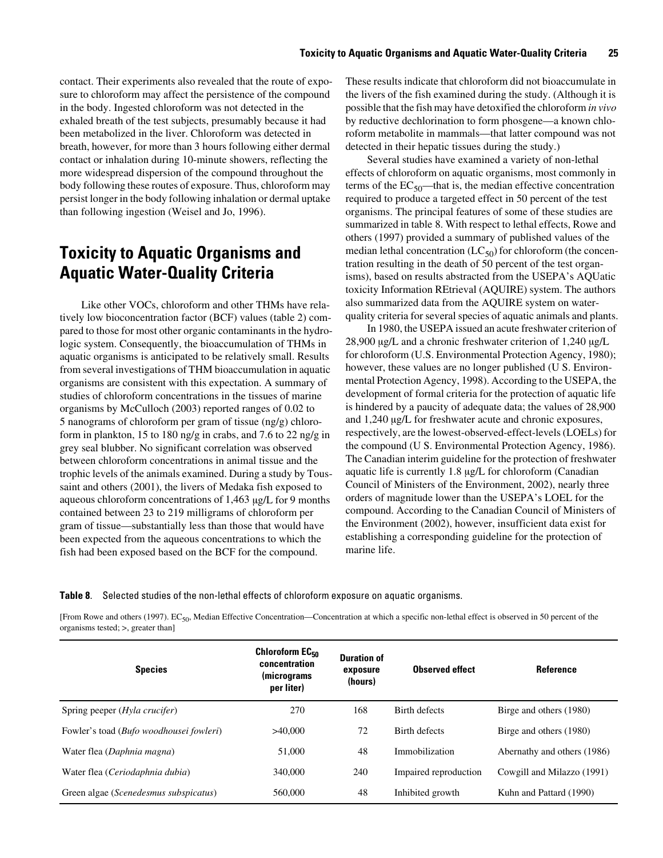contact. Their experiments also revealed that the route of exposure to chloroform may affect the persistence of the compound in the body. Ingested chloroform was not detected in the exhaled breath of the test subjects, presumably because it had been metabolized in the liver. Chloroform was detected in breath, however, for more than 3 hours following either dermal contact or inhalation during 10-minute showers, reflecting the more widespread dispersion of the compound throughout the body following these routes of exposure. Thus, chloroform may persist longer in the body following inhalation or dermal uptake than following ingestion (Weisel and Jo, 1996).

### <span id="page-34-0"></span>**Toxicity to Aquatic Organisms and Aquatic Water-Quality Criteria**

Like other VOCs, chloroform and other THMs have relatively low bioconcentration factor (BCF) values (table 2) compared to those for most other organic contaminants in the hydrologic system. Consequently, the bioaccumulation of THMs in aquatic organisms is anticipated to be relatively small. Results from several investigations of THM bioaccumulation in aquatic organisms are consistent with this expectation. A summary of studies of chloroform concentrations in the tissues of marine organisms by McCulloch (2003) reported ranges of 0.02 to 5 nanograms of chloroform per gram of tissue (ng/g) chloroform in plankton, 15 to 180 ng/g in crabs, and 7.6 to 22 ng/g in grey seal blubber. No significant correlation was observed between chloroform concentrations in animal tissue and the trophic levels of the animals examined. During a study by Toussaint and others (2001), the livers of Medaka fish exposed to aqueous chloroform concentrations of 1,463 µg/L for 9 months contained between 23 to 219 milligrams of chloroform per gram of tissue—substantially less than those that would have been expected from the aqueous concentrations to which the fish had been exposed based on the BCF for the compound.

These results indicate that chloroform did not bioaccumulate in the livers of the fish examined during the study. (Although it is possible that the fish may have detoxified the chloroform *in vivo* by reductive dechlorination to form phosgene—a known chloroform metabolite in mammals—that latter compound was not detected in their hepatic tissues during the study.)

Several studies have examined a variety of non-lethal effects of chloroform on aquatic organisms, most commonly in terms of the  $EC_{50}$ —that is, the median effective concentration required to produce a targeted effect in 50 percent of the test organisms. The principal features of some of these studies are summarized in table 8. With respect to lethal effects, Rowe and others (1997) provided a summary of published values of the median lethal concentration  $(LC_{50})$  for chloroform (the concentration resulting in the death of 50 percent of the test organisms), based on results abstracted from the USEPA's AQUatic toxicity Information REtrieval (AQUIRE) system. The authors also summarized data from the AQUIRE system on waterquality criteria for several species of aquatic animals and plants.

In 1980, the USEPA issued an acute freshwater criterion of 28,900 µg/L and a chronic freshwater criterion of 1,240 µg/L for chloroform (U.S. Environmental Protection Agency, 1980); however, these values are no longer published (U S. Environmental Protection Agency, 1998). According to the USEPA, the development of formal criteria for the protection of aquatic life is hindered by a paucity of adequate data; the values of 28,900 and 1,240 µg/L for freshwater acute and chronic exposures, respectively, are the lowest-observed-effect-levels (LOELs) for the compound (U S. Environmental Protection Agency, 1986). The Canadian interim guideline for the protection of freshwater aquatic life is currently 1.8 µg/L for chloroform (Canadian Council of Ministers of the Environment, 2002), nearly three orders of magnitude lower than the USEPA's LOEL for the compound. According to the Canadian Council of Ministers of the Environment (2002), however, insufficient data exist for establishing a corresponding guideline for the protection of marine life.

<span id="page-34-1"></span>**Table 8**. Selected studies of the non-lethal effects of chloroform exposure on aquatic organisms.

[From Rowe and others (1997). EC<sub>50</sub>, Median Effective Concentration—Concentration at which a specific non-lethal effect is observed in 50 percent of the organisms tested; >, greater than]

| <b>Species</b>                                   | Chloroform EC <sub>50</sub><br>concentration<br>(micrograms<br>per liter) | <b>Duration of</b><br>exposure<br>(hours) | <b>Observed effect</b> | <b>Reference</b>            |
|--------------------------------------------------|---------------------------------------------------------------------------|-------------------------------------------|------------------------|-----------------------------|
| Spring peeper ( <i>Hyla crucifer</i> )           | 270                                                                       | 168                                       | Birth defects          | Birge and others (1980)     |
| Fowler's toad ( <i>Bufo woodhousei fowleri</i> ) | >40,000                                                                   | 72                                        | Birth defects          | Birge and others (1980)     |
| Water flea (Daphnia magna)                       | 51,000                                                                    | 48                                        | Immobilization         | Abernathy and others (1986) |
| Water flea (Ceriodaphnia dubia)                  | 340,000                                                                   | 240                                       | Impaired reproduction  | Cowgill and Milazzo (1991)  |
| Green algae ( <i>Scenedesmus subspicatus</i> )   | 560,000                                                                   | 48                                        | Inhibited growth       | Kuhn and Pattard (1990)     |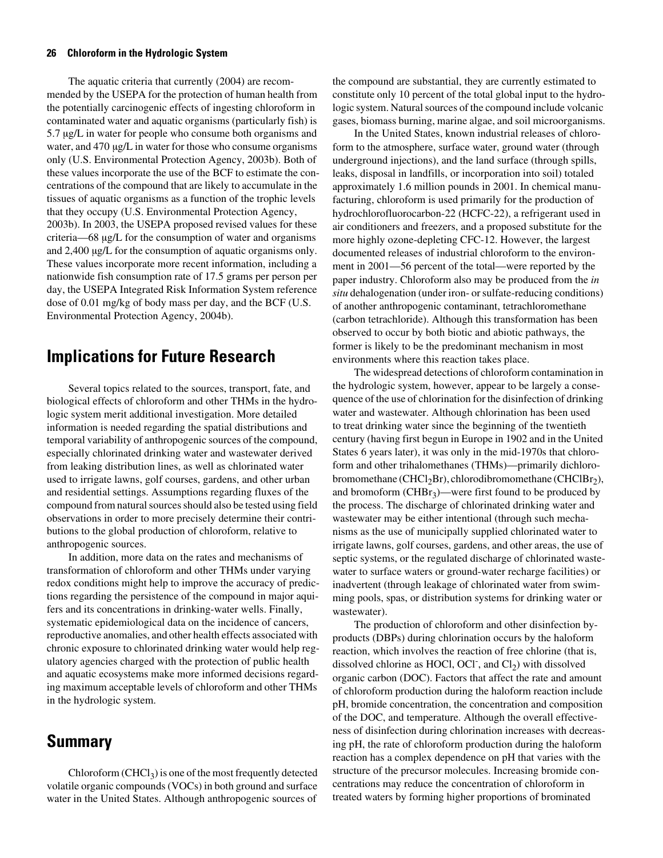The aquatic criteria that currently (2004) are recommended by the USEPA for the protection of human health from the potentially carcinogenic effects of ingesting chloroform in contaminated water and aquatic organisms (particularly fish) is 5.7 µg/L in water for people who consume both organisms and water, and 470  $\mu$ g/L in water for those who consume organisms only (U.S. Environmental Protection Agency, 2003b). Both of these values incorporate the use of the BCF to estimate the concentrations of the compound that are likely to accumulate in the tissues of aquatic organisms as a function of the trophic levels that they occupy (U.S. Environmental Protection Agency, 2003b). In 2003, the USEPA proposed revised values for these criteria—68 µg/L for the consumption of water and organisms and 2,400  $\mu$ g/L for the consumption of aquatic organisms only. These values incorporate more recent information, including a nationwide fish consumption rate of 17.5 grams per person per day, the USEPA Integrated Risk Information System reference dose of 0.01 mg/kg of body mass per day, and the BCF (U.S. Environmental Protection Agency, 2004b).

### <span id="page-35-0"></span>**Implications for Future Research**

Several topics related to the sources, transport, fate, and biological effects of chloroform and other THMs in the hydrologic system merit additional investigation. More detailed information is needed regarding the spatial distributions and temporal variability of anthropogenic sources of the compound, especially chlorinated drinking water and wastewater derived from leaking distribution lines, as well as chlorinated water used to irrigate lawns, golf courses, gardens, and other urban and residential settings. Assumptions regarding fluxes of the compound from natural sources should also be tested using field observations in order to more precisely determine their contributions to the global production of chloroform, relative to anthropogenic sources.

In addition, more data on the rates and mechanisms of transformation of chloroform and other THMs under varying redox conditions might help to improve the accuracy of predictions regarding the persistence of the compound in major aquifers and its concentrations in drinking-water wells. Finally, systematic epidemiological data on the incidence of cancers, reproductive anomalies, and other health effects associated with chronic exposure to chlorinated drinking water would help regulatory agencies charged with the protection of public health and aquatic ecosystems make more informed decisions regarding maximum acceptable levels of chloroform and other THMs in the hydrologic system.

### <span id="page-35-1"></span>**Summary**

Chloroform  $(CHCl<sub>3</sub>)$  is one of the most frequently detected volatile organic compounds (VOCs) in both ground and surface water in the United States. Although anthropogenic sources of

the compound are substantial, they are currently estimated to constitute only 10 percent of the total global input to the hydrologic system. Natural sources of the compound include volcanic gases, biomass burning, marine algae, and soil microorganisms.

In the United States, known industrial releases of chloroform to the atmosphere, surface water, ground water (through underground injections), and the land surface (through spills, leaks, disposal in landfills, or incorporation into soil) totaled approximately 1.6 million pounds in 2001. In chemical manufacturing, chloroform is used primarily for the production of hydrochlorofluorocarbon-22 (HCFC-22), a refrigerant used in air conditioners and freezers, and a proposed substitute for the more highly ozone-depleting CFC-12. However, the largest documented releases of industrial chloroform to the environment in 2001—56 percent of the total—were reported by the paper industry. Chloroform also may be produced from the *in situ* dehalogenation (under iron- or sulfate-reducing conditions) of another anthropogenic contaminant, tetrachloromethane (carbon tetrachloride). Although this transformation has been observed to occur by both biotic and abiotic pathways, the former is likely to be the predominant mechanism in most environments where this reaction takes place.

The widespread detections of chloroform contamination in the hydrologic system, however, appear to be largely a consequence of the use of chlorination for the disinfection of drinking water and wastewater. Although chlorination has been used to treat drinking water since the beginning of the twentieth century (having first begun in Europe in 1902 and in the United States 6 years later), it was only in the mid-1970s that chloroform and other trihalomethanes (THMs)—primarily dichlorobromomethane (CHCl<sub>2</sub>Br), chlorodibromomethane (CHClBr<sub>2</sub>), and bromoform  $(CHBr_3)$ —were first found to be produced by the process. The discharge of chlorinated drinking water and wastewater may be either intentional (through such mechanisms as the use of municipally supplied chlorinated water to irrigate lawns, golf courses, gardens, and other areas, the use of septic systems, or the regulated discharge of chlorinated wastewater to surface waters or ground-water recharge facilities) or inadvertent (through leakage of chlorinated water from swimming pools, spas, or distribution systems for drinking water or wastewater).

The production of chloroform and other disinfection byproducts (DBPs) during chlorination occurs by the haloform reaction, which involves the reaction of free chlorine (that is, dissolved chlorine as HOCl, OCl<sup>-</sup>, and  $Cl<sub>2</sub>$ ) with dissolved organic carbon (DOC). Factors that affect the rate and amount of chloroform production during the haloform reaction include pH, bromide concentration, the concentration and composition of the DOC, and temperature. Although the overall effectiveness of disinfection during chlorination increases with decreasing pH, the rate of chloroform production during the haloform reaction has a complex dependence on pH that varies with the structure of the precursor molecules. Increasing bromide concentrations may reduce the concentration of chloroform in treated waters by forming higher proportions of brominated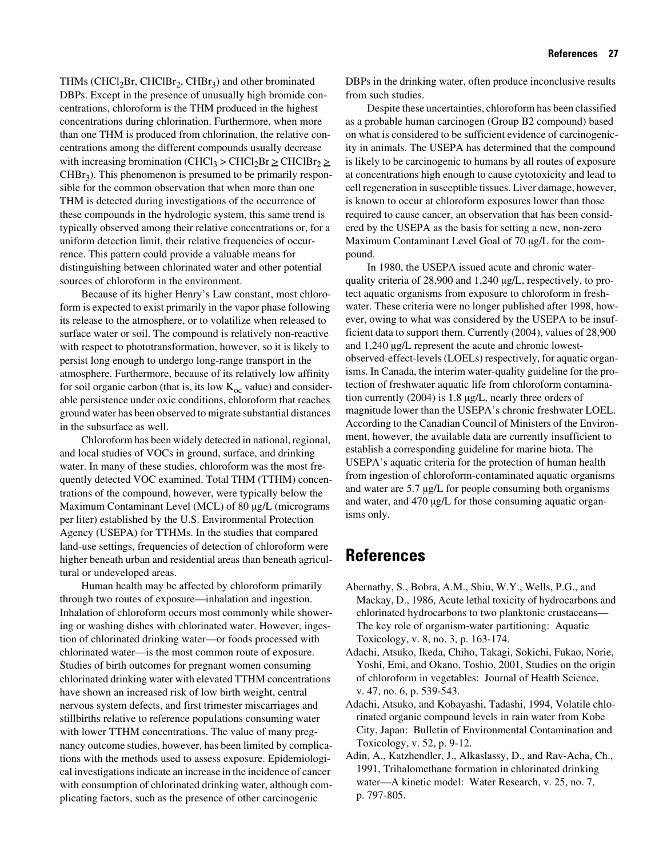THMs (CHCl<sub>2</sub>Br, CHClBr<sub>2</sub>, CHBr<sub>3</sub>) and other brominated DBPs. Except in the presence of unusually high bromide concentrations, chloroform is the THM produced in the highest concentrations during chlorination. Furthermore, when more than one THM is produced from chlorination, the relative concentrations among the different compounds usually decrease with increasing bromination (CHCl<sub>3</sub> > CHCl<sub>2</sub>Br  $\geq$  CHClBr<sub>2</sub>  $\geq$  $CHBr<sub>3</sub>$ ). This phenomenon is presumed to be primarily responsible for the common observation that when more than one THM is detected during investigations of the occurrence of these compounds in the hydrologic system, this same trend is typically observed among their relative concentrations or, for a uniform detection limit, their relative frequencies of occurrence. This pattern could provide a valuable means for distinguishing between chlorinated water and other potential sources of chloroform in the environment.

Because of its higher Henry's Law constant, most chloroform is expected to exist primarily in the vapor phase following its release to the atmosphere, or to volatilize when released to surface water or soil. The compound is relatively non-reactive with respect to phototransformation, however, so it is likely to persist long enough to undergo long-range transport in the atmosphere. Furthermore, because of its relatively low affinity for soil organic carbon (that is, its low  $K_{oc}$  value) and considerable persistence under oxic conditions, chloroform that reaches ground water has been observed to migrate substantial distances in the subsurface as well.

Chloroform has been widely detected in national, regional, and local studies of VOCs in ground, surface, and drinking water. In many of these studies, chloroform was the most frequently detected VOC examined. Total THM (TTHM) concentrations of the compound, however, were typically below the Maximum Contaminant Level (MCL) of 80 µg/L (micrograms per liter) established by the U.S. Environmental Protection Agency (USEPA) for TTHMs. In the studies that compared land-use settings, frequencies of detection of chloroform were higher beneath urban and residential areas than beneath agricultural or undeveloped areas.

Human health may be affected by chloroform primarily through two routes of exposure—inhalation and ingestion. Inhalation of chloroform occurs most commonly while showering or washing dishes with chlorinated water. However, ingestion of chlorinated drinking water—or foods processed with chlorinated water—is the most common route of exposure. Studies of birth outcomes for pregnant women consuming chlorinated drinking water with elevated TTHM concentrations have shown an increased risk of low birth weight, central nervous system defects, and first trimester miscarriages and stillbirths relative to reference populations consuming water with lower TTHM concentrations. The value of many pregnancy outcome studies, however, has been limited by complications with the methods used to assess exposure. Epidemiological investigations indicate an increase in the incidence of cancer with consumption of chlorinated drinking water, although complicating factors, such as the presence of other carcinogenic

DBPs in the drinking water, often produce inconclusive results from such studies.

Despite these uncertainties, chloroform has been classified as a probable human carcinogen (Group B2 compound) based on what is considered to be sufficient evidence of carcinogenicity in animals. The USEPA has determined that the compound is likely to be carcinogenic to humans by all routes of exposure at concentrations high enough to cause cytotoxicity and lead to cell regeneration in susceptible tissues. Liver damage, however, is known to occur at chloroform exposures lower than those required to cause cancer, an observation that has been considered by the USEPA as the basis for setting a new, non-zero Maximum Contaminant Level Goal of 70 µg/L for the compound.

In 1980, the USEPA issued acute and chronic waterquality criteria of 28,900 and 1,240 µg/L, respectively, to protect aquatic organisms from exposure to chloroform in freshwater. These criteria were no longer published after 1998, however, owing to what was considered by the USEPA to be insufficient data to support them. Currently (2004), values of 28,900 and 1,240 µg/L represent the acute and chronic lowestobserved-effect-levels (LOELs) respectively, for aquatic organisms. In Canada, the interim water-quality guideline for the protection of freshwater aquatic life from chloroform contamination currently (2004) is 1.8 µg/L, nearly three orders of magnitude lower than the USEPA's chronic freshwater LOEL. According to the Canadian Council of Ministers of the Environment, however, the available data are currently insufficient to establish a corresponding guideline for marine biota. The USEPA's aquatic criteria for the protection of human health from ingestion of chloroform-contaminated aquatic organisms and water are 5.7 µg/L for people consuming both organisms and water, and 470 µg/L for those consuming aquatic organisms only.

### <span id="page-36-0"></span>**References**

- Abernathy, S., Bobra, A.M., Shiu, W.Y., Wells, P.G., and Mackay, D., 1986, Acute lethal toxicity of hydrocarbons and chlorinated hydrocarbons to two planktonic crustaceans— The key role of organism-water partitioning: Aquatic Toxicology, v. 8, no. 3, p. 163-174.
- Adachi, Atsuko, Ikeda, Chiho, Takagi, Sokichi, Fukao, Norie, Yoshi, Emi, and Okano, Toshio, 2001, Studies on the origin of chloroform in vegetables: Journal of Health Science, v. 47, no. 6, p. 539-543.
- Adachi, Atsuko, and Kobayashi, Tadashi, 1994, Volatile chlorinated organic compound levels in rain water from Kobe City, Japan: Bulletin of Environmental Contamination and Toxicology, v. 52, p. 9-12.
- Adin, A., Katzhendler, J., Alkaslassy, D., and Rav-Acha, Ch., 1991, Trihalomethane formation in chlorinated drinking water—A kinetic model: Water Research, v. 25, no. 7, p. 797-805.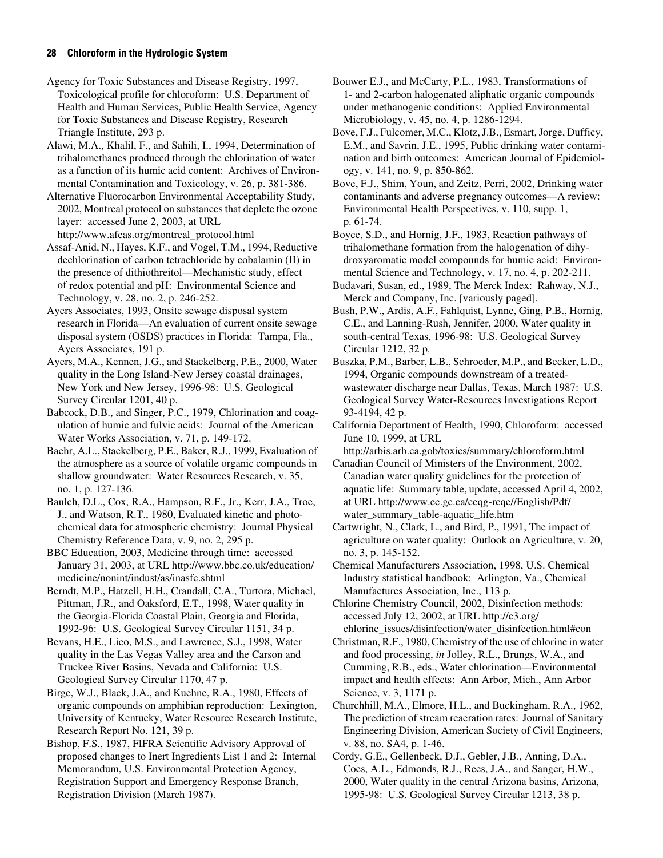Agency for Toxic Substances and Disease Registry, 1997, Toxicological profile for chloroform: U.S. Department of Health and Human Services, Public Health Service, Agency for Toxic Substances and Disease Registry, Research Triangle Institute, 293 p.

Alawi, M.A., Khalil, F., and Sahili, I., 1994, Determination of trihalomethanes produced through the chlorination of water as a function of its humic acid content: Archives of Environmental Contamination and Toxicology, v. 26, p. 381-386.

Alternative Fluorocarbon Environmental Acceptability Study, 2002, Montreal protocol on substances that deplete the ozone layer: accessed June 2, 2003, at URL http://www.afeas.org/montreal\_protocol.html

Assaf-Anid, N., Hayes, K.F., and Vogel, T.M., 1994, Reductive dechlorination of carbon tetrachloride by cobalamin (II) in the presence of dithiothreitol—Mechanistic study, effect of redox potential and pH: Environmental Science and Technology, v. 28, no. 2, p. 246-252.

Ayers Associates, 1993, Onsite sewage disposal system research in Florida—An evaluation of current onsite sewage disposal system (OSDS) practices in Florida: Tampa, Fla., Ayers Associates, 191 p.

Ayers, M.A., Kennen, J.G., and Stackelberg, P.E., 2000, Water quality in the Long Island-New Jersey coastal drainages, New York and New Jersey, 1996-98: U.S. Geological Survey Circular 1201, 40 p.

Babcock, D.B., and Singer, P.C., 1979, Chlorination and coagulation of humic and fulvic acids: Journal of the American Water Works Association, v. 71, p. 149-172.

Baehr, A.L., Stackelberg, P.E., Baker, R.J., 1999, Evaluation of the atmosphere as a source of volatile organic compounds in shallow groundwater: Water Resources Research, v. 35, no. 1, p. 127-136.

Baulch, D.L., Cox, R.A., Hampson, R.F., Jr., Kerr, J.A., Troe, J., and Watson, R.T., 1980, Evaluated kinetic and photochemical data for atmospheric chemistry: Journal Physical Chemistry Reference Data, v. 9, no. 2, 295 p.

BBC Education, 2003, Medicine through time: accessed January 31, 2003, at URL http://www.bbc.co.uk/education/ medicine/nonint/indust/as/inasfc.shtml

Berndt, M.P., Hatzell, H.H., Crandall, C.A., Turtora, Michael, Pittman, J.R., and Oaksford, E.T., 1998, Water quality in the Georgia-Florida Coastal Plain, Georgia and Florida, 1992-96: U.S. Geological Survey Circular 1151, 34 p.

Bevans, H.E., Lico, M.S., and Lawrence, S.J., 1998, Water quality in the Las Vegas Valley area and the Carson and Truckee River Basins, Nevada and California: U.S. Geological Survey Circular 1170, 47 p.

Birge, W.J., Black, J.A., and Kuehne, R.A., 1980, Effects of organic compounds on amphibian reproduction: Lexington, University of Kentucky, Water Resource Research Institute, Research Report No. 121, 39 p.

Bishop, F.S., 1987, FIFRA Scientific Advisory Approval of proposed changes to Inert Ingredients List 1 and 2: Internal Memorandum, U.S. Environmental Protection Agency, Registration Support and Emergency Response Branch, Registration Division (March 1987).

Bouwer E.J., and McCarty, P.L., 1983, Transformations of 1- and 2-carbon halogenated aliphatic organic compounds under methanogenic conditions: Applied Environmental Microbiology, v. 45, no. 4, p. 1286-1294.

Bove, F.J., Fulcomer, M.C., Klotz, J.B., Esmart, Jorge, Dufficy, E.M., and Savrin, J.E., 1995, Public drinking water contamination and birth outcomes: American Journal of Epidemiology, v. 141, no. 9, p. 850-862.

Bove, F.J., Shim, Youn, and Zeitz, Perri, 2002, Drinking water contaminants and adverse pregnancy outcomes—A review: Environmental Health Perspectives, v. 110, supp. 1, p. 61-74.

Boyce, S.D., and Hornig, J.F., 1983, Reaction pathways of trihalomethane formation from the halogenation of dihydroxyaromatic model compounds for humic acid: Environmental Science and Technology, v. 17, no. 4, p. 202-211.

Budavari, Susan, ed., 1989, The Merck Index: Rahway, N.J., Merck and Company, Inc. [variously paged].

Bush, P.W., Ardis, A.F., Fahlquist, Lynne, Ging, P.B., Hornig, C.E., and Lanning-Rush, Jennifer, 2000, Water quality in south-central Texas, 1996-98: U.S. Geological Survey Circular 1212, 32 p.

Buszka, P.M., Barber, L.B., Schroeder, M.P., and Becker, L.D., 1994, Organic compounds downstream of a treatedwastewater discharge near Dallas, Texas, March 1987: U.S. Geological Survey Water-Resources Investigations Report 93-4194, 42 p.

California Department of Health, 1990, Chloroform: accessed June 10, 1999, at URL

http://arbis.arb.ca.gob/toxics/summary/chloroform.html Canadian Council of Ministers of the Environment, 2002,

Canadian water quality guidelines for the protection of aquatic life: Summary table, update, accessed April 4, 2002, at URL http://www.ec.gc.ca/ceqg-rcqe//English/Pdf/ water\_summary\_table-aquatic\_life.htm

Cartwright, N., Clark, L., and Bird, P., 1991, The impact of agriculture on water quality: Outlook on Agriculture, v. 20, no. 3, p. 145-152.

Chemical Manufacturers Association, 1998, U.S. Chemical Industry statistical handbook: Arlington, Va., Chemical Manufactures Association, Inc., 113 p.

Chlorine Chemistry Council, 2002, Disinfection methods: accessed July 12, 2002, at URL http://c3.org/

chlorine\_issues/disinfection/water\_disinfection.html#con Christman, R.F., 1980, Chemistry of the use of chlorine in water

and food processing, *in* Jolley, R.L., Brungs, W.A., and Cumming, R.B., eds., Water chlorination—Environmental impact and health effects: Ann Arbor, Mich., Ann Arbor Science, v. 3, 1171 p.

Churchhill, M.A., Elmore, H.L., and Buckingham, R.A., 1962, The prediction of stream reaeration rates: Journal of Sanitary Engineering Division, American Society of Civil Engineers, v. 88, no. SA4, p. 1-46.

Cordy, G.E., Gellenbeck, D.J., Gebler, J.B., Anning, D.A., Coes, A.L., Edmonds, R.J., Rees, J.A., and Sanger, H.W., 2000, Water quality in the central Arizona basins, Arizona, 1995-98: U.S. Geological Survey Circular 1213, 38 p.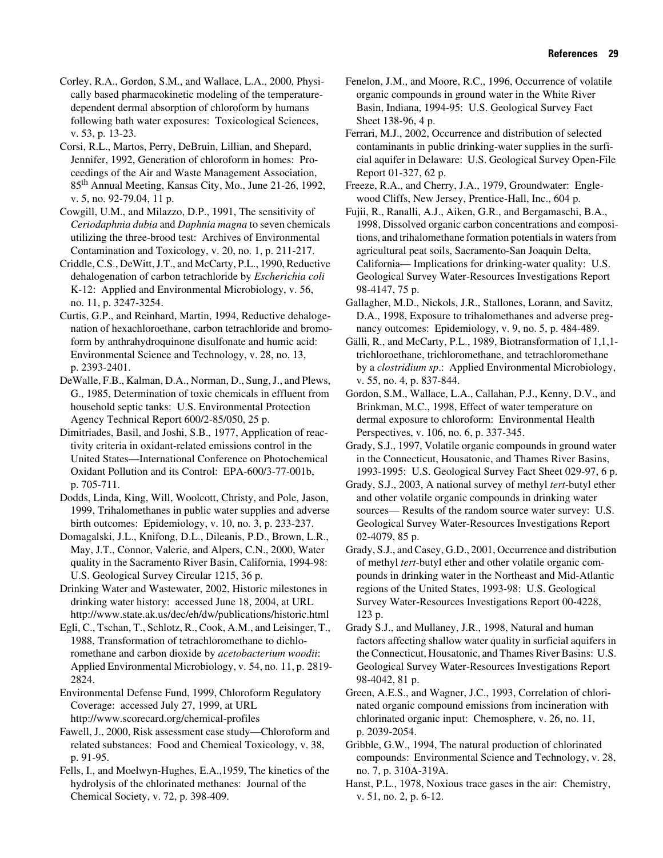Corley, R.A., Gordon, S.M., and Wallace, L.A., 2000, Physically based pharmacokinetic modeling of the temperaturedependent dermal absorption of chloroform by humans following bath water exposures: Toxicological Sciences, v. 53, p. 13-23.

Corsi, R.L., Martos, Perry, DeBruin, Lillian, and Shepard, Jennifer, 1992, Generation of chloroform in homes: Proceedings of the Air and Waste Management Association, 85th Annual Meeting, Kansas City, Mo., June 21-26, 1992, v. 5, no. 92-79.04, 11 p.

Cowgill, U.M., and Milazzo, D.P., 1991, The sensitivity of *Ceriodaphnia dubia* and *Daphnia magna* to seven chemicals utilizing the three-brood test: Archives of Environmental Contamination and Toxicology, v. 20, no. 1, p. 211-217.

Criddle, C.S., DeWitt, J.T., and McCarty, P.L., 1990, Reductive dehalogenation of carbon tetrachloride by *Escherichia coli*  K-12: Applied and Environmental Microbiology, v. 56, no. 11, p. 3247-3254.

Curtis, G.P., and Reinhard, Martin, 1994, Reductive dehalogenation of hexachloroethane, carbon tetrachloride and bromoform by anthrahydroquinone disulfonate and humic acid: Environmental Science and Technology, v. 28, no. 13, p. 2393-2401.

DeWalle, F.B., Kalman, D.A., Norman, D., Sung, J., and Plews, G., 1985, Determination of toxic chemicals in effluent from household septic tanks: U.S. Environmental Protection Agency Technical Report 600/2-85/050, 25 p.

Dimitriades, Basil, and Joshi, S.B., 1977, Application of reactivity criteria in oxidant-related emissions control in the United States—International Conference on Photochemical Oxidant Pollution and its Control: EPA-600/3-77-001b, p. 705-711.

Dodds, Linda, King, Will, Woolcott, Christy, and Pole, Jason, 1999, Trihalomethanes in public water supplies and adverse birth outcomes: Epidemiology, v. 10, no. 3, p. 233-237.

Domagalski, J.L., Knifong, D.L., Dileanis, P.D., Brown, L.R., May, J.T., Connor, Valerie, and Alpers, C.N., 2000, Water quality in the Sacramento River Basin, California, 1994-98: U.S. Geological Survey Circular 1215, 36 p.

Drinking Water and Wastewater, 2002, Historic milestones in drinking water history: accessed June 18, 2004, at URL http://www.state.ak.us/dec/eh/dw/publications/historic.html

Egli, C., Tschan, T., Schlotz, R., Cook, A.M., and Leisinger, T., 1988, Transformation of tetrachloromethane to dichloromethane and carbon dioxide by *acetobacterium woodii*: Applied Environmental Microbiology, v. 54, no. 11, p. 2819- 2824.

Environmental Defense Fund, 1999, Chloroform Regulatory Coverage: accessed July 27, 1999, at URL http://www.scorecard.org/chemical-profiles

Fawell, J., 2000, Risk assessment case study—Chloroform and related substances: Food and Chemical Toxicology, v. 38, p. 91-95.

Fells, I., and Moelwyn-Hughes, E.A.,1959, The kinetics of the hydrolysis of the chlorinated methanes: Journal of the Chemical Society, v. 72, p. 398-409.

Fenelon, J.M., and Moore, R.C., 1996, Occurrence of volatile organic compounds in ground water in the White River Basin, Indiana, 1994-95: U.S. Geological Survey Fact Sheet 138-96, 4 p.

Ferrari, M.J., 2002, Occurrence and distribution of selected contaminants in public drinking-water supplies in the surficial aquifer in Delaware: U.S. Geological Survey Open-File Report 01-327, 62 p.

Freeze, R.A., and Cherry, J.A., 1979, Groundwater: Englewood Cliffs, New Jersey, Prentice-Hall, Inc., 604 p.

Fujii, R., Ranalli, A.J., Aiken, G.R., and Bergamaschi, B.A., 1998, Dissolved organic carbon concentrations and compositions, and trihalomethane formation potentials in waters from agricultural peat soils, Sacramento-San Joaquin Delta, California— Implications for drinking-water quality: U.S. Geological Survey Water-Resources Investigations Report 98-4147, 75 p.

Gallagher, M.D., Nickols, J.R., Stallones, Lorann, and Savitz, D.A., 1998, Exposure to trihalomethanes and adverse pregnancy outcomes: Epidemiology, v. 9, no. 5, p. 484-489.

Gälli, R., and McCarty, P.L., 1989, Biotransformation of 1,1,1 trichloroethane, trichloromethane, and tetrachloromethane by a *clostridium sp*.: Applied Environmental Microbiology, v. 55, no. 4, p. 837-844.

Gordon, S.M., Wallace, L.A., Callahan, P.J., Kenny, D.V., and Brinkman, M.C., 1998, Effect of water temperature on dermal exposure to chloroform: Environmental Health Perspectives, v. 106, no. 6, p. 337-345.

Grady, S.J., 1997, Volatile organic compounds in ground water in the Connecticut, Housatonic, and Thames River Basins, 1993-1995: U.S. Geological Survey Fact Sheet 029-97, 6 p.

Grady, S.J., 2003, A national survey of methyl *tert*-butyl ether and other volatile organic compounds in drinking water sources— Results of the random source water survey: U.S. Geological Survey Water-Resources Investigations Report 02-4079, 85 p.

Grady, S.J., and Casey, G.D., 2001, Occurrence and distribution of methyl *tert*-butyl ether and other volatile organic compounds in drinking water in the Northeast and Mid-Atlantic regions of the United States, 1993-98: U.S. Geological Survey Water-Resources Investigations Report 00-4228, 123 p.

Grady S.J., and Mullaney, J.R., 1998, Natural and human factors affecting shallow water quality in surficial aquifers in the Connecticut, Housatonic, and Thames River Basins: U.S. Geological Survey Water-Resources Investigations Report 98-4042, 81 p.

Green, A.E.S., and Wagner, J.C., 1993, Correlation of chlorinated organic compound emissions from incineration with chlorinated organic input: Chemosphere, v. 26, no. 11, p. 2039-2054.

Gribble, G.W., 1994, The natural production of chlorinated compounds: Environmental Science and Technology, v. 28, no. 7, p. 310A-319A.

Hanst, P.L., 1978, Noxious trace gases in the air: Chemistry, v. 51, no. 2, p. 6-12.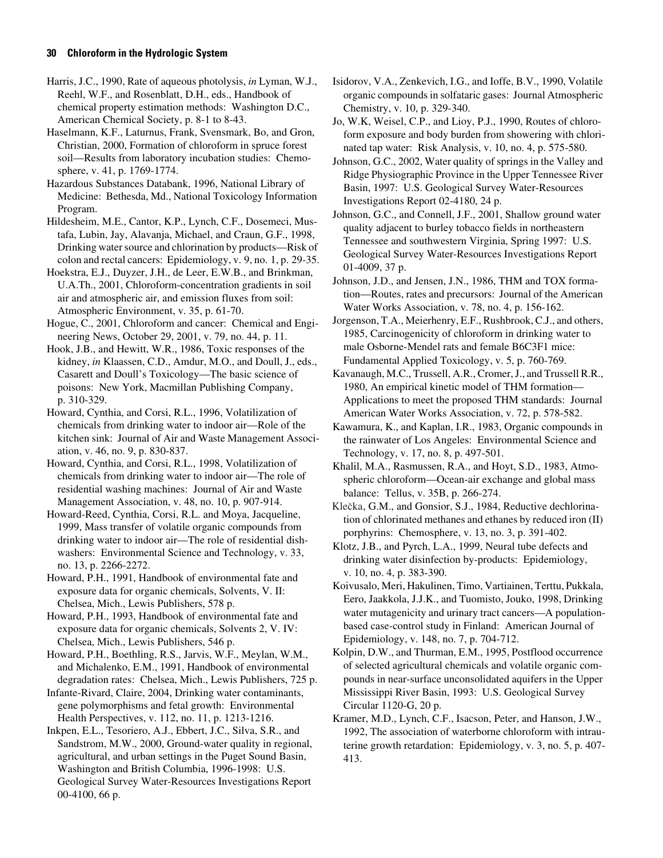Harris, J.C., 1990, Rate of aqueous photolysis, *in* Lyman, W.J., Reehl, W.F., and Rosenblatt, D.H., eds., Handbook of chemical property estimation methods: Washington D.C., American Chemical Society, p. 8-1 to 8-43.

Haselmann, K.F., Laturnus, Frank, Svensmark, Bo, and Gron, Christian, 2000, Formation of chloroform in spruce forest soil—Results from laboratory incubation studies: Chemosphere, v. 41, p. 1769-1774.

Hazardous Substances Databank, 1996, National Library of Medicine: Bethesda, Md., National Toxicology Information Program.

Hildesheim, M.E., Cantor, K.P., Lynch, C.F., Dosemeci, Mustafa, Lubin, Jay, Alavanja, Michael, and Craun, G.F., 1998, Drinking water source and chlorination by products—Risk of colon and rectal cancers: Epidemiology, v. 9, no. 1, p. 29-35.

Hoekstra, E.J., Duyzer, J.H., de Leer, E.W.B., and Brinkman, U.A.Th., 2001, Chloroform-concentration gradients in soil air and atmospheric air, and emission fluxes from soil: Atmospheric Environment, v. 35, p. 61-70.

Hogue, C., 2001, Chloroform and cancer: Chemical and Engineering News, October 29, 2001, v. 79, no. 44, p. 11.

Hook, J.B., and Hewitt, W.R., 1986, Toxic responses of the kidney, *in* Klaassen, C.D., Amdur, M.O., and Doull, J., eds., Casarett and Doull's Toxicology—The basic science of poisons: New York, Macmillan Publishing Company, p. 310-329.

Howard, Cynthia, and Corsi, R.L., 1996, Volatilization of chemicals from drinking water to indoor air—Role of the kitchen sink: Journal of Air and Waste Management Association, v. 46, no. 9, p. 830-837.

Howard, Cynthia, and Corsi, R.L., 1998, Volatilization of chemicals from drinking water to indoor air—The role of residential washing machines: Journal of Air and Waste Management Association, v. 48, no. 10, p. 907-914.

Howard-Reed, Cynthia, Corsi, R.L. and Moya, Jacqueline, 1999, Mass transfer of volatile organic compounds from drinking water to indoor air—The role of residential dishwashers: Environmental Science and Technology, v. 33, no. 13, p. 2266-2272.

Howard, P.H., 1991, Handbook of environmental fate and exposure data for organic chemicals, Solvents, V. II: Chelsea, Mich., Lewis Publishers, 578 p.

Howard, P.H., 1993, Handbook of environmental fate and exposure data for organic chemicals, Solvents 2, V. IV: Chelsea, Mich., Lewis Publishers, 546 p.

Howard, P.H., Boethling, R.S., Jarvis, W.F., Meylan, W.M., and Michalenko, E.M., 1991, Handbook of environmental degradation rates: Chelsea, Mich., Lewis Publishers, 725 p.

Infante-Rivard, Claire, 2004, Drinking water contaminants, gene polymorphisms and fetal growth: Environmental Health Perspectives, v. 112, no. 11, p. 1213-1216.

Inkpen, E.L., Tesoriero, A.J., Ebbert, J.C., Silva, S.R., and Sandstrom, M.W., 2000, Ground-water quality in regional, agricultural, and urban settings in the Puget Sound Basin, Washington and British Columbia, 1996-1998: U.S. Geological Survey Water-Resources Investigations Report 00-4100, 66 p.

Isidorov, V.A., Zenkevich, I.G., and Ioffe, B.V., 1990, Volatile organic compounds in solfataric gases: Journal Atmospheric Chemistry, v. 10, p. 329-340.

Jo, W.K, Weisel, C.P., and Lioy, P.J., 1990, Routes of chloroform exposure and body burden from showering with chlorinated tap water: Risk Analysis, v. 10, no. 4, p. 575-580.

Johnson, G.C., 2002, Water quality of springs in the Valley and Ridge Physiographic Province in the Upper Tennessee River Basin, 1997: U.S. Geological Survey Water-Resources Investigations Report 02-4180, 24 p.

Johnson, G.C., and Connell, J.F., 2001, Shallow ground water quality adjacent to burley tobacco fields in northeastern Tennessee and southwestern Virginia, Spring 1997: U.S. Geological Survey Water-Resources Investigations Report 01-4009, 37 p.

Johnson, J.D., and Jensen, J.N., 1986, THM and TOX formation—Routes, rates and precursors: Journal of the American Water Works Association, v. 78, no. 4, p. 156-162.

Jorgenson, T.A., Meierhenry, E.F., Rushbrook, C.J., and others, 1985, Carcinogenicity of chloroform in drinking water to male Osborne-Mendel rats and female B6C3F1 mice: Fundamental Applied Toxicology, v. 5, p. 760-769.

Kavanaugh, M.C., Trussell, A.R., Cromer, J., and Trussell R.R., 1980, An empirical kinetic model of THM formation— Applications to meet the proposed THM standards: Journal American Water Works Association, v. 72, p. 578-582.

Kawamura, K., and Kaplan, I.R., 1983, Organic compounds in the rainwater of Los Angeles: Environmental Science and Technology, v. 17, no. 8, p. 497-501.

Khalil, M.A., Rasmussen, R.A., and Hoyt, S.D., 1983, Atmospheric chloroform—Ocean-air exchange and global mass balance: Tellus, v. 35B, p. 266-274.

Klečka, G.M., and Gonsior, S.J., 1984, Reductive dechlorination of chlorinated methanes and ethanes by reduced iron (II) porphyrins: Chemosphere, v. 13, no. 3, p. 391-402.

Klotz, J.B., and Pyrch, L.A., 1999, Neural tube defects and drinking water disinfection by-products: Epidemiology, v. 10, no. 4, p. 383-390.

Koivusalo, Meri, Hakulinen, Timo, Vartiainen, Terttu, Pukkala, Eero, Jaakkola, J.J.K., and Tuomisto, Jouko, 1998, Drinking water mutagenicity and urinary tract cancers—A populationbased case-control study in Finland: American Journal of Epidemiology, v. 148, no. 7, p. 704-712.

Kolpin, D.W., and Thurman, E.M., 1995, Postflood occurrence of selected agricultural chemicals and volatile organic compounds in near-surface unconsolidated aquifers in the Upper Mississippi River Basin, 1993: U.S. Geological Survey Circular 1120-G, 20 p.

Kramer, M.D., Lynch, C.F., Isacson, Peter, and Hanson, J.W., 1992, The association of waterborne chloroform with intrauterine growth retardation: Epidemiology, v. 3, no. 5, p. 407- 413.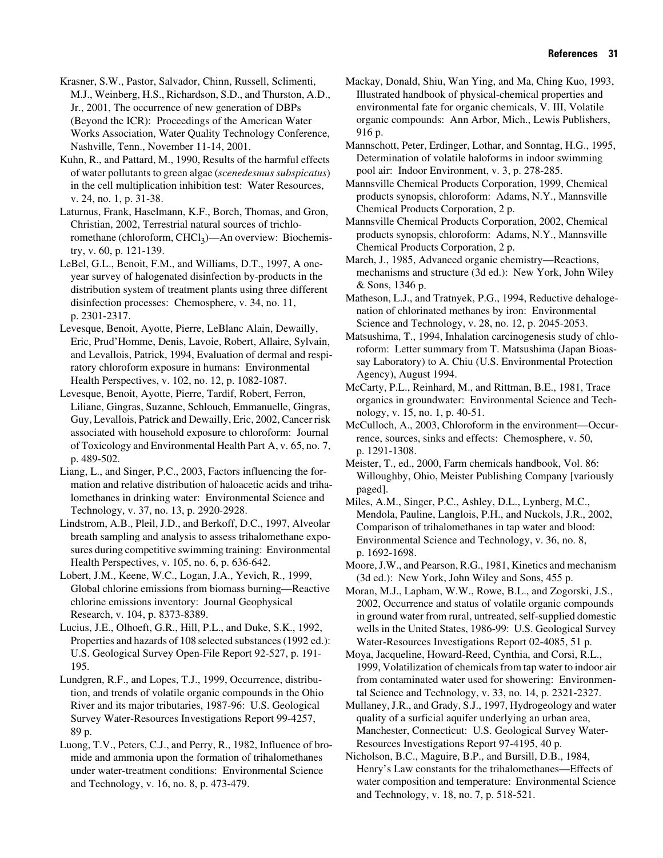Krasner, S.W., Pastor, Salvador, Chinn, Russell, Sclimenti, M.J., Weinberg, H.S., Richardson, S.D., and Thurston, A.D., Jr., 2001, The occurrence of new generation of DBPs (Beyond the ICR): Proceedings of the American Water Works Association, Water Quality Technology Conference, Nashville, Tenn., November 11-14, 2001.

Kuhn, R., and Pattard, M., 1990, Results of the harmful effects of water pollutants to green algae (*scenedesmus subspicatus*) in the cell multiplication inhibition test: Water Resources, v. 24, no. 1, p. 31-38.

Laturnus, Frank, Haselmann, K.F., Borch, Thomas, and Gron, Christian, 2002, Terrestrial natural sources of trichloromethane (chloroform, CHCl<sub>3</sub>)—An overview: Biochemistry, v. 60, p. 121-139.

LeBel, G.L., Benoit, F.M., and Williams, D.T., 1997, A oneyear survey of halogenated disinfection by-products in the distribution system of treatment plants using three different disinfection processes: Chemosphere, v. 34, no. 11, p. 2301-2317.

Levesque, Benoit, Ayotte, Pierre, LeBlanc Alain, Dewailly, Eric, Prud'Homme, Denis, Lavoie, Robert, Allaire, Sylvain, and Levallois, Patrick, 1994, Evaluation of dermal and respiratory chloroform exposure in humans: Environmental Health Perspectives, v. 102, no. 12, p. 1082-1087.

Levesque, Benoit, Ayotte, Pierre, Tardif, Robert, Ferron, Liliane, Gingras, Suzanne, Schlouch, Emmanuelle, Gingras, Guy, Levallois, Patrick and Dewailly, Eric, 2002, Cancer risk associated with household exposure to chloroform: Journal of Toxicology and Environmental Health Part A, v. 65, no. 7, p. 489-502.

Liang, L., and Singer, P.C., 2003, Factors influencing the formation and relative distribution of haloacetic acids and trihalomethanes in drinking water: Environmental Science and Technology, v. 37, no. 13, p. 2920-2928.

Lindstrom, A.B., Pleil, J.D., and Berkoff, D.C., 1997, Alveolar breath sampling and analysis to assess trihalomethane exposures during competitive swimming training: Environmental Health Perspectives, v. 105, no. 6, p. 636-642.

Lobert, J.M., Keene, W.C., Logan, J.A., Yevich, R., 1999, Global chlorine emissions from biomass burning—Reactive chlorine emissions inventory: Journal Geophysical Research, v. 104, p. 8373-8389.

Lucius, J.E., Olhoeft, G.R., Hill, P.L., and Duke, S.K., 1992, Properties and hazards of 108 selected substances (1992 ed.): U.S. Geological Survey Open-File Report 92-527, p. 191- 195.

Lundgren, R.F., and Lopes, T.J., 1999, Occurrence, distribution, and trends of volatile organic compounds in the Ohio River and its major tributaries, 1987-96: U.S. Geological Survey Water-Resources Investigations Report 99-4257, 89 p.

Luong, T.V., Peters, C.J., and Perry, R., 1982, Influence of bromide and ammonia upon the formation of trihalomethanes under water-treatment conditions: Environmental Science and Technology, v. 16, no. 8, p. 473-479.

Mackay, Donald, Shiu, Wan Ying, and Ma, Ching Kuo, 1993, Illustrated handbook of physical-chemical properties and environmental fate for organic chemicals, V. III, Volatile organic compounds: Ann Arbor, Mich., Lewis Publishers, 916 p.

Mannschott, Peter, Erdinger, Lothar, and Sonntag, H.G., 1995, Determination of volatile haloforms in indoor swimming pool air: Indoor Environment, v. 3, p. 278-285.

Mannsville Chemical Products Corporation, 1999, Chemical products synopsis, chloroform: Adams, N.Y., Mannsville Chemical Products Corporation, 2 p.

Mannsville Chemical Products Corporation, 2002, Chemical products synopsis, chloroform: Adams, N.Y., Mannsville Chemical Products Corporation, 2 p.

March, J., 1985, Advanced organic chemistry—Reactions, mechanisms and structure (3d ed.): New York, John Wiley & Sons, 1346 p.

Matheson, L.J., and Tratnyek, P.G., 1994, Reductive dehalogenation of chlorinated methanes by iron: Environmental Science and Technology, v. 28, no. 12, p. 2045-2053.

Matsushima, T., 1994, Inhalation carcinogenesis study of chloroform: Letter summary from T. Matsushima (Japan Bioassay Laboratory) to A. Chiu (U.S. Environmental Protection Agency), August 1994.

McCarty, P.L., Reinhard, M., and Rittman, B.E., 1981, Trace organics in groundwater: Environmental Science and Technology, v. 15, no. 1, p. 40-51.

McCulloch, A., 2003, Chloroform in the environment—Occurrence, sources, sinks and effects: Chemosphere, v. 50, p. 1291-1308.

Meister, T., ed., 2000, Farm chemicals handbook, Vol. 86: Willoughby, Ohio, Meister Publishing Company [variously paged].

Miles, A.M., Singer, P.C., Ashley, D.L., Lynberg, M.C., Mendola, Pauline, Langlois, P.H., and Nuckols, J.R., 2002, Comparison of trihalomethanes in tap water and blood: Environmental Science and Technology, v. 36, no. 8, p. 1692-1698.

Moore, J.W., and Pearson, R.G., 1981, Kinetics and mechanism (3d ed.): New York, John Wiley and Sons, 455 p.

Moran, M.J., Lapham, W.W., Rowe, B.L., and Zogorski, J.S., 2002, Occurrence and status of volatile organic compounds in ground water from rural, untreated, self-supplied domestic wells in the United States, 1986-99: U.S. Geological Survey Water-Resources Investigations Report 02-4085, 51 p.

Moya, Jacqueline, Howard-Reed, Cynthia, and Corsi, R.L., 1999, Volatilization of chemicals from tap water to indoor air from contaminated water used for showering: Environmental Science and Technology, v. 33, no. 14, p. 2321-2327.

Mullaney, J.R., and Grady, S.J., 1997, Hydrogeology and water quality of a surficial aquifer underlying an urban area, Manchester, Connecticut: U.S. Geological Survey Water-Resources Investigations Report 97-4195, 40 p.

Nicholson, B.C., Maguire, B.P., and Bursill, D.B., 1984, Henry's Law constants for the trihalomethanes—Effects of water composition and temperature: Environmental Science and Technology, v. 18, no. 7, p. 518-521.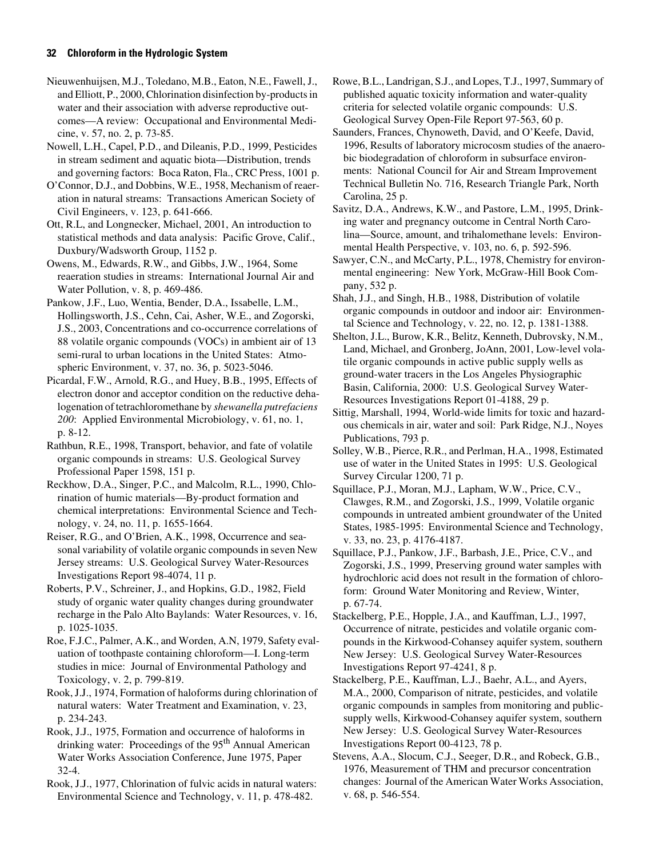Nieuwenhuijsen, M.J., Toledano, M.B., Eaton, N.E., Fawell, J., and Elliott, P., 2000, Chlorination disinfection by-products in water and their association with adverse reproductive outcomes—A review: Occupational and Environmental Medicine, v. 57, no. 2, p. 73-85.

Nowell, L.H., Capel, P.D., and Dileanis, P.D., 1999, Pesticides in stream sediment and aquatic biota—Distribution, trends and governing factors: Boca Raton, Fla., CRC Press, 1001 p.

O'Connor, D.J., and Dobbins, W.E., 1958, Mechanism of reaeration in natural streams: Transactions American Society of Civil Engineers, v. 123, p. 641-666.

Ott, R.L, and Longnecker, Michael, 2001, An introduction to statistical methods and data analysis: Pacific Grove, Calif., Duxbury/Wadsworth Group, 1152 p.

Owens, M., Edwards, R.W., and Gibbs, J.W., 1964, Some reaeration studies in streams: International Journal Air and Water Pollution, v. 8, p. 469-486.

Pankow, J.F., Luo, Wentia, Bender, D.A., Issabelle, L.M., Hollingsworth, J.S., Cehn, Cai, Asher, W.E., and Zogorski, J.S., 2003, Concentrations and co-occurrence correlations of 88 volatile organic compounds (VOCs) in ambient air of 13 semi-rural to urban locations in the United States: Atmospheric Environment, v. 37, no. 36, p. 5023-5046.

Picardal, F.W., Arnold, R.G., and Huey, B.B., 1995, Effects of electron donor and acceptor condition on the reductive dehalogenation of tetrachloromethane by *shewanella putrefaciens 200*: Applied Environmental Microbiology, v. 61, no. 1, p. 8-12.

Rathbun, R.E., 1998, Transport, behavior, and fate of volatile organic compounds in streams: U.S. Geological Survey Professional Paper 1598, 151 p.

Reckhow, D.A., Singer, P.C., and Malcolm, R.L., 1990, Chlorination of humic materials—By-product formation and chemical interpretations: Environmental Science and Technology, v. 24, no. 11, p. 1655-1664.

Reiser, R.G., and O'Brien, A.K., 1998, Occurrence and seasonal variability of volatile organic compounds in seven New Jersey streams: U.S. Geological Survey Water-Resources Investigations Report 98-4074, 11 p.

Roberts, P.V., Schreiner, J., and Hopkins, G.D., 1982, Field study of organic water quality changes during groundwater recharge in the Palo Alto Baylands: Water Resources, v. 16, p. 1025-1035.

Roe, F.J.C., Palmer, A.K., and Worden, A.N, 1979, Safety evaluation of toothpaste containing chloroform—I. Long-term studies in mice: Journal of Environmental Pathology and Toxicology, v. 2, p. 799-819.

Rook, J.J., 1974, Formation of haloforms during chlorination of natural waters: Water Treatment and Examination, v. 23, p. 234-243.

Rook, J.J., 1975, Formation and occurrence of haloforms in drinking water: Proceedings of the 95<sup>th</sup> Annual American Water Works Association Conference, June 1975, Paper 32-4.

Rook, J.J., 1977, Chlorination of fulvic acids in natural waters: Environmental Science and Technology, v. 11, p. 478-482.

Rowe, B.L., Landrigan, S.J., and Lopes, T.J., 1997, Summary of published aquatic toxicity information and water-quality criteria for selected volatile organic compounds: U.S. Geological Survey Open-File Report 97-563, 60 p.

Saunders, Frances, Chynoweth, David, and O'Keefe, David, 1996, Results of laboratory microcosm studies of the anaerobic biodegradation of chloroform in subsurface environments: National Council for Air and Stream Improvement Technical Bulletin No. 716, Research Triangle Park, North Carolina, 25 p.

Savitz, D.A., Andrews, K.W., and Pastore, L.M., 1995, Drinking water and pregnancy outcome in Central North Carolina—Source, amount, and trihalomethane levels: Environmental Health Perspective, v. 103, no. 6, p. 592-596.

Sawyer, C.N., and McCarty, P.L., 1978, Chemistry for environmental engineering: New York, McGraw-Hill Book Company, 532 p.

Shah, J.J., and Singh, H.B., 1988, Distribution of volatile organic compounds in outdoor and indoor air: Environmental Science and Technology, v. 22, no. 12, p. 1381-1388.

Shelton, J.L., Burow, K.R., Belitz, Kenneth, Dubrovsky, N.M., Land, Michael, and Gronberg, JoAnn, 2001, Low-level volatile organic compounds in active public supply wells as ground-water tracers in the Los Angeles Physiographic Basin, California, 2000: U.S. Geological Survey Water-Resources Investigations Report 01-4188, 29 p.

Sittig, Marshall, 1994, World-wide limits for toxic and hazardous chemicals in air, water and soil: Park Ridge, N.J., Noyes Publications, 793 p.

Solley, W.B., Pierce, R.R., and Perlman, H.A., 1998, Estimated use of water in the United States in 1995: U.S. Geological Survey Circular 1200, 71 p.

Squillace, P.J., Moran, M.J., Lapham, W.W., Price, C.V., Clawges, R.M., and Zogorski, J.S., 1999, Volatile organic compounds in untreated ambient groundwater of the United States, 1985-1995: Environmental Science and Technology, v. 33, no. 23, p. 4176-4187.

Squillace, P.J., Pankow, J.F., Barbash, J.E., Price, C.V., and Zogorski, J.S., 1999, Preserving ground water samples with hydrochloric acid does not result in the formation of chloroform: Ground Water Monitoring and Review, Winter, p. 67-74.

Stackelberg, P.E., Hopple, J.A., and Kauffman, L.J., 1997, Occurrence of nitrate, pesticides and volatile organic compounds in the Kirkwood-Cohansey aquifer system, southern New Jersey: U.S. Geological Survey Water-Resources Investigations Report 97-4241, 8 p.

Stackelberg, P.E., Kauffman, L.J., Baehr, A.L., and Ayers, M.A., 2000, Comparison of nitrate, pesticides, and volatile organic compounds in samples from monitoring and publicsupply wells, Kirkwood-Cohansey aquifer system, southern New Jersey: U.S. Geological Survey Water-Resources Investigations Report 00-4123, 78 p.

Stevens, A.A., Slocum, C.J., Seeger, D.R., and Robeck, G.B., 1976, Measurement of THM and precursor concentration changes: Journal of the American Water Works Association, v. 68, p. 546-554.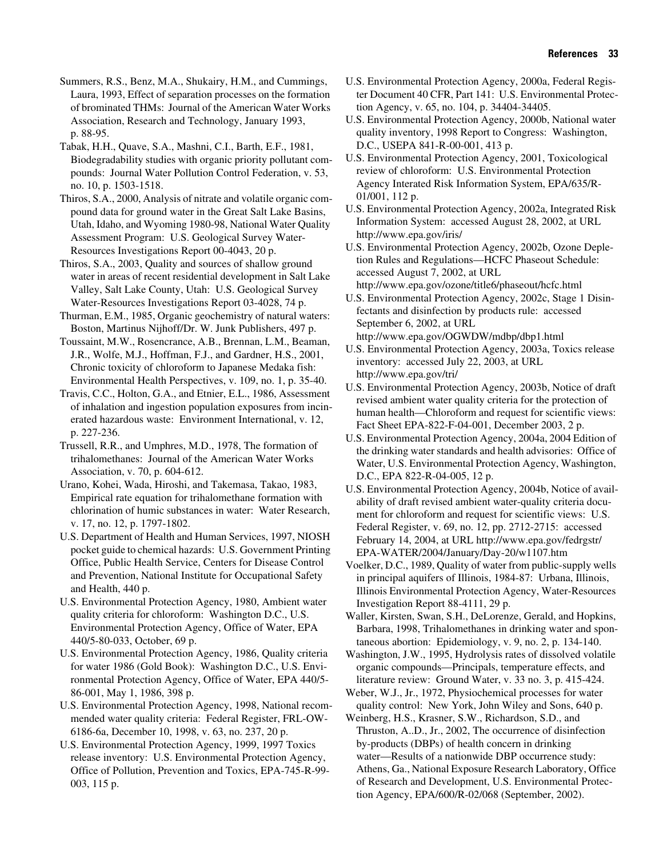Summers, R.S., Benz, M.A., Shukairy, H.M., and Cummings, Laura, 1993, Effect of separation processes on the formation of brominated THMs: Journal of the American Water Works Association, Research and Technology, January 1993, p. 88-95.

Tabak, H.H., Quave, S.A., Mashni, C.I., Barth, E.F., 1981, Biodegradability studies with organic priority pollutant compounds: Journal Water Pollution Control Federation, v. 53, no. 10, p. 1503-1518.

Thiros, S.A., 2000, Analysis of nitrate and volatile organic compound data for ground water in the Great Salt Lake Basins, Utah, Idaho, and Wyoming 1980-98, National Water Quality Assessment Program: U.S. Geological Survey Water-Resources Investigations Report 00-4043, 20 p.

Thiros, S.A., 2003, Quality and sources of shallow ground water in areas of recent residential development in Salt Lake Valley, Salt Lake County, Utah: U.S. Geological Survey Water-Resources Investigations Report 03-4028, 74 p.

Thurman, E.M., 1985, Organic geochemistry of natural waters: Boston, Martinus Nijhoff/Dr. W. Junk Publishers, 497 p.

Toussaint, M.W., Rosencrance, A.B., Brennan, L.M., Beaman, J.R., Wolfe, M.J., Hoffman, F.J., and Gardner, H.S., 2001, Chronic toxicity of chloroform to Japanese Medaka fish: Environmental Health Perspectives, v. 109, no. 1, p. 35-40.

Travis, C.C., Holton, G.A., and Etnier, E.L., 1986, Assessment of inhalation and ingestion population exposures from incinerated hazardous waste: Environment International, v. 12, p. 227-236.

Trussell, R.R., and Umphres, M.D., 1978, The formation of trihalomethanes: Journal of the American Water Works Association, v. 70, p. 604-612.

Urano, Kohei, Wada, Hiroshi, and Takemasa, Takao, 1983, Empirical rate equation for trihalomethane formation with chlorination of humic substances in water: Water Research, v. 17, no. 12, p. 1797-1802.

U.S. Department of Health and Human Services, 1997, NIOSH pocket guide to chemical hazards: U.S. Government Printing Office, Public Health Service, Centers for Disease Control and Prevention, National Institute for Occupational Safety and Health, 440 p.

U.S. Environmental Protection Agency, 1980, Ambient water quality criteria for chloroform: Washington D.C., U.S. Environmental Protection Agency, Office of Water, EPA 440/5-80-033, October, 69 p.

U.S. Environmental Protection Agency, 1986, Quality criteria for water 1986 (Gold Book): Washington D.C., U.S. Environmental Protection Agency, Office of Water, EPA 440/5- 86-001, May 1, 1986, 398 p.

U.S. Environmental Protection Agency, 1998, National recommended water quality criteria: Federal Register, FRL-OW-6186-6a, December 10, 1998, v. 63, no. 237, 20 p.

U.S. Environmental Protection Agency, 1999, 1997 Toxics release inventory: U.S. Environmental Protection Agency, Office of Pollution, Prevention and Toxics, EPA-745-R-99- 003, 115 p.

U.S. Environmental Protection Agency, 2000a, Federal Register Document 40 CFR, Part 141: U.S. Environmental Protection Agency, v. 65, no. 104, p. 34404-34405.

U.S. Environmental Protection Agency, 2000b, National water quality inventory, 1998 Report to Congress: Washington, D.C., USEPA 841-R-00-001, 413 p.

U.S. Environmental Protection Agency, 2001, Toxicological review of chloroform: U.S. Environmental Protection Agency Interated Risk Information System, EPA/635/R-01/001, 112 p.

U.S. Environmental Protection Agency, 2002a, Integrated Risk Information System: accessed August 28, 2002, at URL http://www.epa.gov/iris/

U.S. Environmental Protection Agency, 2002b, Ozone Depletion Rules and Regulations—HCFC Phaseout Schedule: accessed August 7, 2002, at URL http://www.epa.gov/ozone/title6/phaseout/hcfc.html

U.S. Environmental Protection Agency, 2002c, Stage 1 Disinfectants and disinfection by products rule: accessed September 6, 2002, at URL

http://www.epa.gov/OGWDW/mdbp/dbp1.html U.S. Environmental Protection Agency, 2003a, Toxics release inventory: accessed July 22, 2003, at URL http://www.epa.gov/tri/

U.S. Environmental Protection Agency, 2003b, Notice of draft revised ambient water quality criteria for the protection of human health—Chloroform and request for scientific views: Fact Sheet EPA-822-F-04-001, December 2003, 2 p.

U.S. Environmental Protection Agency, 2004a, 2004 Edition of the drinking water standards and health advisories: Office of Water, U.S. Environmental Protection Agency, Washington, D.C., EPA 822-R-04-005, 12 p.

U.S. Environmental Protection Agency, 2004b, Notice of availability of draft revised ambient water-quality criteria document for chloroform and request for scientific views: U.S. Federal Register, v. 69, no. 12, pp. 2712-2715: accessed February 14, 2004, at URL http://www.epa.gov/fedrgstr/ EPA-WATER/2004/January/Day-20/w1107.htm

Voelker, D.C., 1989, Quality of water from public-supply wells in principal aquifers of Illinois, 1984-87: Urbana, Illinois, Illinois Environmental Protection Agency, Water-Resources Investigation Report 88-4111, 29 p.

Waller, Kirsten, Swan, S.H., DeLorenze, Gerald, and Hopkins, Barbara, 1998, Trihalomethanes in drinking water and spontaneous abortion: Epidemiology, v. 9, no. 2, p. 134-140.

Washington, J.W., 1995, Hydrolysis rates of dissolved volatile organic compounds—Principals, temperature effects, and literature review: Ground Water, v. 33 no. 3, p. 415-424.

Weber, W.J., Jr., 1972, Physiochemical processes for water quality control: New York, John Wiley and Sons, 640 p.

Weinberg, H.S., Krasner, S.W., Richardson, S.D., and Thruston, A..D., Jr., 2002, The occurrence of disinfection by-products (DBPs) of health concern in drinking water—Results of a nationwide DBP occurrence study: Athens, Ga., National Exposure Research Laboratory, Office of Research and Development, U.S. Environmental Protection Agency, EPA/600/R-02/068 (September, 2002).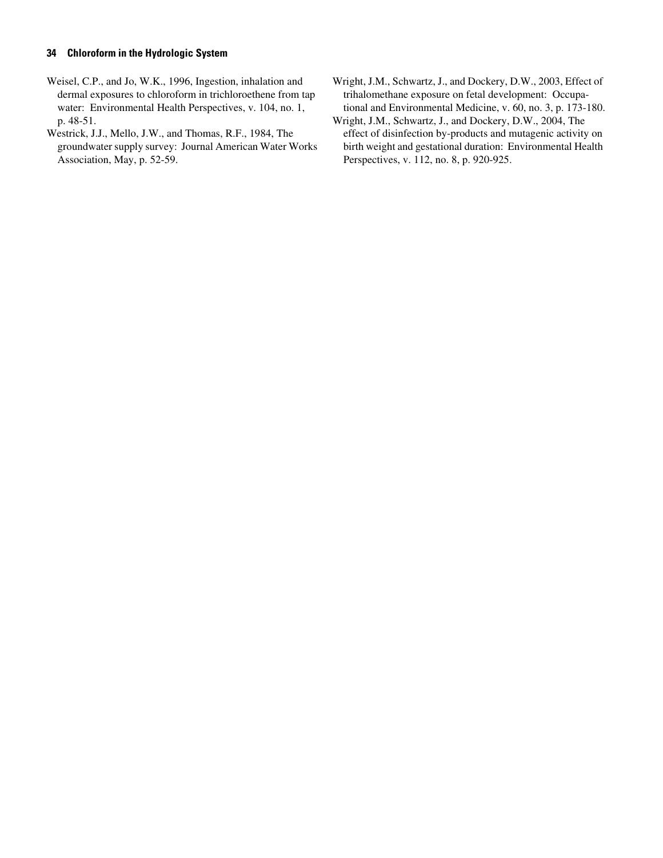- Weisel, C.P., and Jo, W.K., 1996, Ingestion, inhalation and dermal exposures to chloroform in trichloroethene from tap water: Environmental Health Perspectives, v. 104, no. 1, p. 48-51.
- Westrick, J.J., Mello, J.W., and Thomas, R.F., 1984, The groundwater supply survey: Journal American Water Works Association, May, p. 52-59.
- Wright, J.M., Schwartz, J., and Dockery, D.W., 2003, Effect of trihalomethane exposure on fetal development: Occupational and Environmental Medicine, v. 60, no. 3, p. 173-180.
- Wright, J.M., Schwartz, J., and Dockery, D.W., 2004, The effect of disinfection by-products and mutagenic activity on birth weight and gestational duration: Environmental Health Perspectives, v. 112, no. 8, p. 920-925.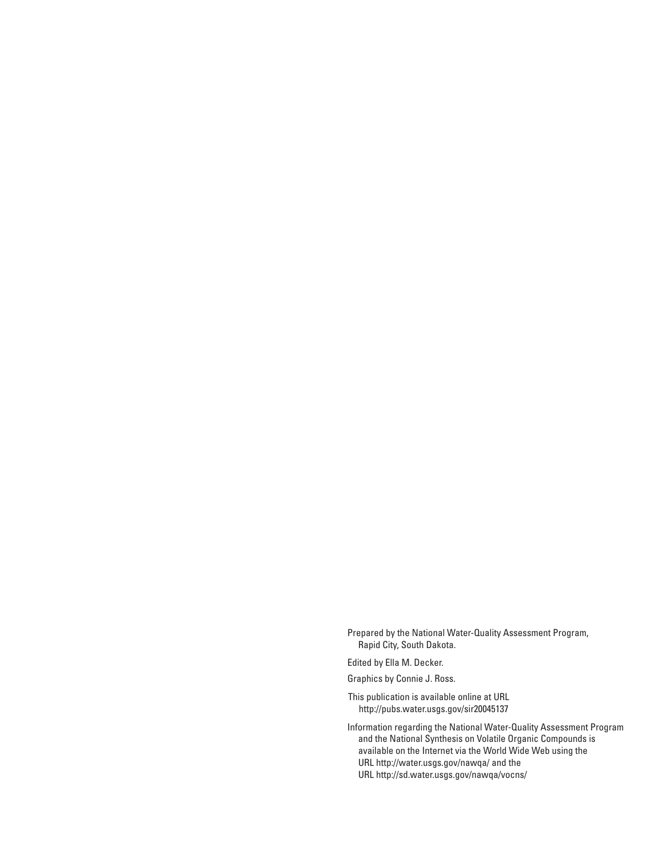Prepared by the National Water-Quality Assessment Program, Rapid City, South Dakota.

Edited by Ella M. Decker.

Graphics by Connie J. Ross.

This publication is available online at URL http://pubs.water.usgs.gov/sir20045137

Information regarding the National Water-Quality Assessment Program and the National Synthesis on Volatile Organic Compounds is available on the Internet via the World Wide Web using the URL http://water.usgs.gov/nawqa/ and the URL http://sd.water.usgs.gov/nawqa/vocns/